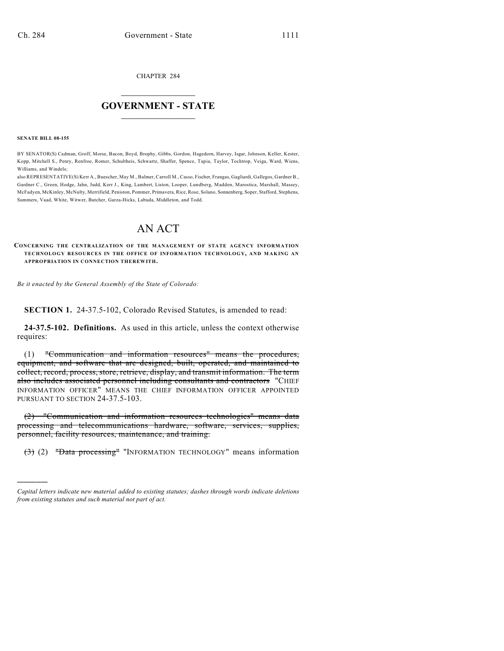CHAPTER 284

# $\mathcal{L}_\text{max}$  . The set of the set of the set of the set of the set of the set of the set of the set of the set of the set of the set of the set of the set of the set of the set of the set of the set of the set of the set **GOVERNMENT - STATE**  $\_$   $\_$

**SENATE BILL 08-155**

)))))

BY SENATOR(S) Cadman, Groff, Morse, Bacon, Boyd, Brophy, Gibbs, Gordon, Hagedorn, Harvey, Isgar, Johnson, Keller, Kester, Kopp, Mitchell S., Penry, Renfroe, Romer, Schultheis, Schwartz, Shaffer, Spence, Tapia, Taylor, Tochtrop, Veiga, Ward, Wiens, Williams, and Windels;

also REPRESENTATIVE(S) Kerr A., Buescher, May M., Balmer, Carroll M., Casso, Fischer, Frangas, Gagliardi, Gallegos, Gardner B., Gardner C., Green, Hodge, Jahn, Judd, Kerr J., King, Lambert, Liston, Looper, Lundberg, Madden, Marostica, Marshall, Massey, McFadyen, McKinley, McNulty, Merrifield, Peniston, Pommer, Primavera, Rice, Rose, Solano, Sonnenberg, Soper, Stafford, Stephens, Summers, Vaad, White, Witwer, Butcher, Garza-Hicks, Labuda, Middleton, and Todd.

# AN ACT

**CONCERNING THE CENTRALIZATION OF THE MANAGEMENT OF STATE AGENCY INFORMATION TECHNOLOGY RESOURCES IN THE OFFICE OF INFORMATION TECHNOLOGY, AND M AKING AN APPROPRIATION IN CONNECTION THEREWITH.**

*Be it enacted by the General Assembly of the State of Colorado:*

**SECTION 1.** 24-37.5-102, Colorado Revised Statutes, is amended to read:

**24-37.5-102. Definitions.** As used in this article, unless the context otherwise requires:

(1) "Communication and information resources" means the procedures, equipment, and software that are designed, built, operated, and maintained to collect, record, process, store, retrieve, display, and transmit information. The term also includes associated personnel including consultants and contractors "CHIEF INFORMATION OFFICER" MEANS THE CHIEF INFORMATION OFFICER APPOINTED PURSUANT TO SECTION 24-37.5-103.

(2) "Communication and information resources technologies" means data processing and telecommunications hardware, software, services, supplies, personnel, facility resources, maintenance, and training.

(3) (2) "Data processing" "INFORMATION TECHNOLOGY" means information

*Capital letters indicate new material added to existing statutes; dashes through words indicate deletions from existing statutes and such material not part of act.*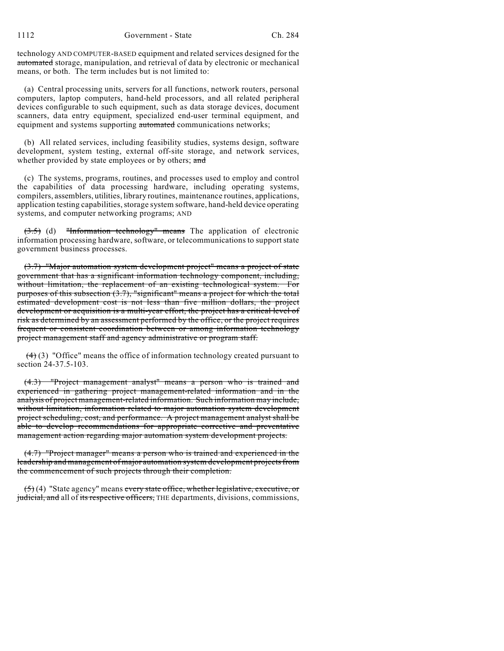technology AND COMPUTER-BASED equipment and related services designed for the automated storage, manipulation, and retrieval of data by electronic or mechanical means, or both. The term includes but is not limited to:

(a) Central processing units, servers for all functions, network routers, personal computers, laptop computers, hand-held processors, and all related peripheral devices configurable to such equipment, such as data storage devices, document scanners, data entry equipment, specialized end-user terminal equipment, and equipment and systems supporting automated communications networks;

(b) All related services, including feasibility studies, systems design, software development, system testing, external off-site storage, and network services, whether provided by state employees or by others; and

(c) The systems, programs, routines, and processes used to employ and control the capabilities of data processing hardware, including operating systems, compilers, assemblers, utilities, library routines, maintenance routines, applications, application testing capabilities, storage system software, hand-held device operating systems, and computer networking programs; AND

 $(3.5)$  (d) "Information technology" means The application of electronic information processing hardware, software, or telecommunications to support state government business processes.

(3.7) "Major automation system development project" means a project of state government that has a significant information technology component, including, without limitation, the replacement of an existing technological system. For purposes of this subsection (3.7), "significant" means a project for which the total estimated development cost is not less than five million dollars, the project development or acquisition is a multi-year effort, the project has a critical level of risk as determined by an assessment performed by the office, or the project requires frequent or consistent coordination between or among information technology project management staff and agency administrative or program staff.

 $(4)$  (3) "Office" means the office of information technology created pursuant to section 24-37.5-103.

(4.3) "Project management analyst" means a person who is trained and experienced in gathering project management-related information and in the analysis of project management-related information. Such information may include, without limitation, information related to major automation system development project scheduling, cost, and performance. A project management analyst shall be able to develop recommendations for appropriate corrective and preventative management action regarding major automation system development projects.

(4.7) "Project manager" means a person who is trained and experienced in the leadership and management of major automation system development projects from the commencement of such projects through their completion.

 $(5)(4)$  "State agency" means every state office, whether legislative, executive, or judicial, and all of its respective officers, THE departments, divisions, commissions,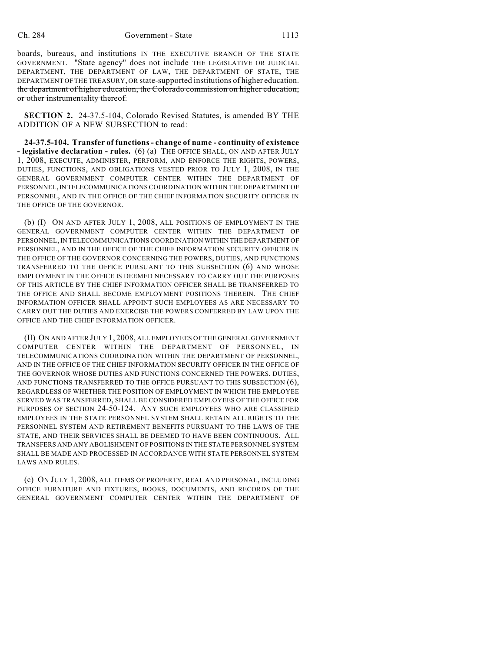boards, bureaus, and institutions IN THE EXECUTIVE BRANCH OF THE STATE GOVERNMENT. "State agency" does not include THE LEGISLATIVE OR JUDICIAL DEPARTMENT, THE DEPARTMENT OF LAW, THE DEPARTMENT OF STATE, THE DEPARTMENT OF THE TREASURY, OR state-supported institutions of higher education. the department of higher education, the Colorado commission on higher education, or other instrumentality thereof.

**SECTION 2.** 24-37.5-104, Colorado Revised Statutes, is amended BY THE ADDITION OF A NEW SUBSECTION to read:

**24-37.5-104. Transfer of functions - change of name - continuity of existence - legislative declaration - rules.** (6) (a) THE OFFICE SHALL, ON AND AFTER JULY 1, 2008, EXECUTE, ADMINISTER, PERFORM, AND ENFORCE THE RIGHTS, POWERS, DUTIES, FUNCTIONS, AND OBLIGATIONS VESTED PRIOR TO JULY 1, 2008, IN THE GENERAL GOVERNMENT COMPUTER CENTER WITHIN THE DEPARTMENT OF PERSONNEL, IN TELECOMMUNICATIONS COORDINATION WITHIN THE DEPARTMENT OF PERSONNEL, AND IN THE OFFICE OF THE CHIEF INFORMATION SECURITY OFFICER IN THE OFFICE OF THE GOVERNOR.

(b) (I) ON AND AFTER JULY 1, 2008, ALL POSITIONS OF EMPLOYMENT IN THE GENERAL GOVERNMENT COMPUTER CENTER WITHIN THE DEPARTMENT OF PERSONNEL, IN TELECOMMUNICATIONS COORDINATION WITHIN THE DEPARTMENT OF PERSONNEL, AND IN THE OFFICE OF THE CHIEF INFORMATION SECURITY OFFICER IN THE OFFICE OF THE GOVERNOR CONCERNING THE POWERS, DUTIES, AND FUNCTIONS TRANSFERRED TO THE OFFICE PURSUANT TO THIS SUBSECTION (6) AND WHOSE EMPLOYMENT IN THE OFFICE IS DEEMED NECESSARY TO CARRY OUT THE PURPOSES OF THIS ARTICLE BY THE CHIEF INFORMATION OFFICER SHALL BE TRANSFERRED TO THE OFFICE AND SHALL BECOME EMPLOYMENT POSITIONS THEREIN. THE CHIEF INFORMATION OFFICER SHALL APPOINT SUCH EMPLOYEES AS ARE NECESSARY TO CARRY OUT THE DUTIES AND EXERCISE THE POWERS CONFERRED BY LAW UPON THE OFFICE AND THE CHIEF INFORMATION OFFICER.

(II) ON AND AFTER JULY 1, 2008, ALL EMPLOYEES OF THE GENERAL GOVERNMENT COMPUTER CENTER WITHIN THE DEPARTMENT OF PERSONNEL, IN TELECOMMUNICATIONS COORDINATION WITHIN THE DEPARTMENT OF PERSONNEL, AND IN THE OFFICE OF THE CHIEF INFORMATION SECURITY OFFICER IN THE OFFICE OF THE GOVERNOR WHOSE DUTIES AND FUNCTIONS CONCERNED THE POWERS, DUTIES, AND FUNCTIONS TRANSFERRED TO THE OFFICE PURSUANT TO THIS SUBSECTION (6), REGARDLESS OF WHETHER THE POSITION OF EMPLOYMENT IN WHICH THE EMPLOYEE SERVED WAS TRANSFERRED, SHALL BE CONSIDERED EMPLOYEES OF THE OFFICE FOR PURPOSES OF SECTION 24-50-124. ANY SUCH EMPLOYEES WHO ARE CLASSIFIED EMPLOYEES IN THE STATE PERSONNEL SYSTEM SHALL RETAIN ALL RIGHTS TO THE PERSONNEL SYSTEM AND RETIREMENT BENEFITS PURSUANT TO THE LAWS OF THE STATE, AND THEIR SERVICES SHALL BE DEEMED TO HAVE BEEN CONTINUOUS. ALL TRANSFERS AND ANY ABOLISHMENT OF POSITIONS IN THE STATE PERSONNEL SYSTEM SHALL BE MADE AND PROCESSED IN ACCORDANCE WITH STATE PERSONNEL SYSTEM LAWS AND RULES.

(c) ON JULY 1, 2008, ALL ITEMS OF PROPERTY, REAL AND PERSONAL, INCLUDING OFFICE FURNITURE AND FIXTURES, BOOKS, DOCUMENTS, AND RECORDS OF THE GENERAL GOVERNMENT COMPUTER CENTER WITHIN THE DEPARTMENT OF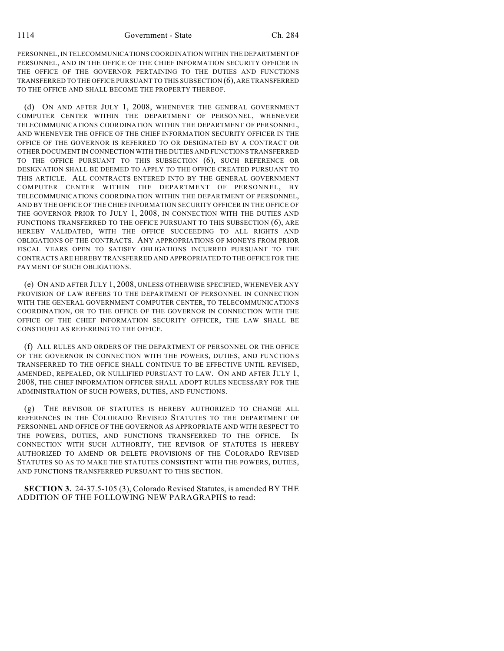PERSONNEL, IN TELECOMMUNICATIONS COORDINATION WITHIN THE DEPARTMENT OF PERSONNEL, AND IN THE OFFICE OF THE CHIEF INFORMATION SECURITY OFFICER IN THE OFFICE OF THE GOVERNOR PERTAINING TO THE DUTIES AND FUNCTIONS TRANSFERRED TO THE OFFICE PURSUANT TO THIS SUBSECTION (6), ARE TRANSFERRED TO THE OFFICE AND SHALL BECOME THE PROPERTY THEREOF.

(d) ON AND AFTER JULY 1, 2008, WHENEVER THE GENERAL GOVERNMENT COMPUTER CENTER WITHIN THE DEPARTMENT OF PERSONNEL, WHENEVER TELECOMMUNICATIONS COORDINATION WITHIN THE DEPARTMENT OF PERSONNEL, AND WHENEVER THE OFFICE OF THE CHIEF INFORMATION SECURITY OFFICER IN THE OFFICE OF THE GOVERNOR IS REFERRED TO OR DESIGNATED BY A CONTRACT OR OTHER DOCUMENT IN CONNECTION WITH THE DUTIES AND FUNCTIONS TRANSFERRED TO THE OFFICE PURSUANT TO THIS SUBSECTION (6), SUCH REFERENCE OR DESIGNATION SHALL BE DEEMED TO APPLY TO THE OFFICE CREATED PURSUANT TO THIS ARTICLE. ALL CONTRACTS ENTERED INTO BY THE GENERAL GOVERNMENT COMPUTER CENTER WITHIN THE DEPARTMENT OF PERSONNEL, BY TELECOMMUNICATIONS COORDINATION WITHIN THE DEPARTMENT OF PERSONNEL, AND BY THE OFFICE OF THE CHIEF INFORMATION SECURITY OFFICER IN THE OFFICE OF THE GOVERNOR PRIOR TO JULY 1, 2008, IN CONNECTION WITH THE DUTIES AND FUNCTIONS TRANSFERRED TO THE OFFICE PURSUANT TO THIS SUBSECTION (6), ARE HEREBY VALIDATED, WITH THE OFFICE SUCCEEDING TO ALL RIGHTS AND OBLIGATIONS OF THE CONTRACTS. ANY APPROPRIATIONS OF MONEYS FROM PRIOR FISCAL YEARS OPEN TO SATISFY OBLIGATIONS INCURRED PURSUANT TO THE CONTRACTS ARE HEREBY TRANSFERRED AND APPROPRIATED TO THE OFFICE FOR THE PAYMENT OF SUCH OBLIGATIONS.

(e) ON AND AFTER JULY 1, 2008, UNLESS OTHERWISE SPECIFIED, WHENEVER ANY PROVISION OF LAW REFERS TO THE DEPARTMENT OF PERSONNEL IN CONNECTION WITH THE GENERAL GOVERNMENT COMPUTER CENTER, TO TELECOMMUNICATIONS COORDINATION, OR TO THE OFFICE OF THE GOVERNOR IN CONNECTION WITH THE OFFICE OF THE CHIEF INFORMATION SECURITY OFFICER, THE LAW SHALL BE CONSTRUED AS REFERRING TO THE OFFICE.

(f) ALL RULES AND ORDERS OF THE DEPARTMENT OF PERSONNEL OR THE OFFICE OF THE GOVERNOR IN CONNECTION WITH THE POWERS, DUTIES, AND FUNCTIONS TRANSFERRED TO THE OFFICE SHALL CONTINUE TO BE EFFECTIVE UNTIL REVISED, AMENDED, REPEALED, OR NULLIFIED PURSUANT TO LAW. ON AND AFTER JULY 1, 2008, THE CHIEF INFORMATION OFFICER SHALL ADOPT RULES NECESSARY FOR THE ADMINISTRATION OF SUCH POWERS, DUTIES, AND FUNCTIONS.

(g) THE REVISOR OF STATUTES IS HEREBY AUTHORIZED TO CHANGE ALL REFERENCES IN THE COLORADO REVISED STATUTES TO THE DEPARTMENT OF PERSONNEL AND OFFICE OF THE GOVERNOR AS APPROPRIATE AND WITH RESPECT TO THE POWERS, DUTIES, AND FUNCTIONS TRANSFERRED TO THE OFFICE. IN CONNECTION WITH SUCH AUTHORITY, THE REVISOR OF STATUTES IS HEREBY AUTHORIZED TO AMEND OR DELETE PROVISIONS OF THE COLORADO REVISED STATUTES SO AS TO MAKE THE STATUTES CONSISTENT WITH THE POWERS, DUTIES, AND FUNCTIONS TRANSFERRED PURSUANT TO THIS SECTION.

**SECTION 3.** 24-37.5-105 (3), Colorado Revised Statutes, is amended BY THE ADDITION OF THE FOLLOWING NEW PARAGRAPHS to read: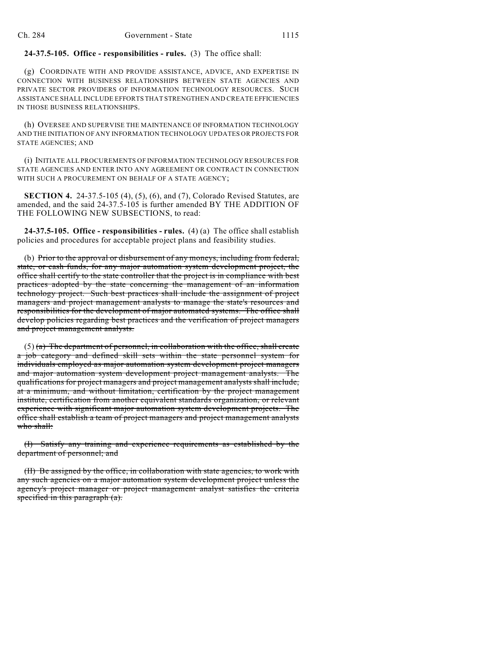#### **24-37.5-105. Office - responsibilities - rules.** (3) The office shall:

(g) COORDINATE WITH AND PROVIDE ASSISTANCE, ADVICE, AND EXPERTISE IN CONNECTION WITH BUSINESS RELATIONSHIPS BETWEEN STATE AGENCIES AND PRIVATE SECTOR PROVIDERS OF INFORMATION TECHNOLOGY RESOURCES. SUCH ASSISTANCE SHALL INCLUDE EFFORTS THAT STRENGTHEN AND CREATE EFFICIENCIES IN THOSE BUSINESS RELATIONSHIPS.

(h) OVERSEE AND SUPERVISE THE MAINTENANCE OF INFORMATION TECHNOLOGY AND THE INITIATION OF ANY INFORMATION TECHNOLOGY UPDATES OR PROJECTS FOR STATE AGENCIES; AND

(i) INITIATE ALL PROCUREMENTS OF INFORMATION TECHNOLOGY RESOURCES FOR STATE AGENCIES AND ENTER INTO ANY AGREEMENT OR CONTRACT IN CONNECTION WITH SUCH A PROCUREMENT ON BEHALF OF A STATE AGENCY:

**SECTION 4.** 24-37.5-105 (4), (5), (6), and (7), Colorado Revised Statutes, are amended, and the said 24-37.5-105 is further amended BY THE ADDITION OF THE FOLLOWING NEW SUBSECTIONS, to read:

**24-37.5-105. Office - responsibilities - rules.** (4) (a) The office shall establish policies and procedures for acceptable project plans and feasibility studies.

(b) Prior to the approval or disbursement of any moneys, including from federal, state, or cash funds, for any major automation system development project, the office shall certify to the state controller that the project is in compliance with best practices adopted by the state concerning the management of an information technology project. Such best practices shall include the assignment of project managers and project management analysts to manage the state's resources and responsibilities for the development of major automated systems. The office shall develop policies regarding best practices and the verification of project managers and project management analysts.

 $(5)$  (a) The department of personnel, in collaboration with the office, shall create a job category and defined skill sets within the state personnel system for individuals employed as major automation system development project managers and major automation system development project management analysts. The qualifications for project managers and project management analysts shall include, at a minimum, and without limitation, certification by the project management institute, certification from another equivalent standards organization, or relevant experience with significant major automation system development projects. The office shall establish a team of project managers and project management analysts who shall:

(I) Satisfy any training and experience requirements as established by the department of personnel; and

(II) Be assigned by the office, in collaboration with state agencies, to work with any such agencies on a major automation system development project unless the agency's project manager or project management analyst satisfies the criteria specified in this paragraph (a).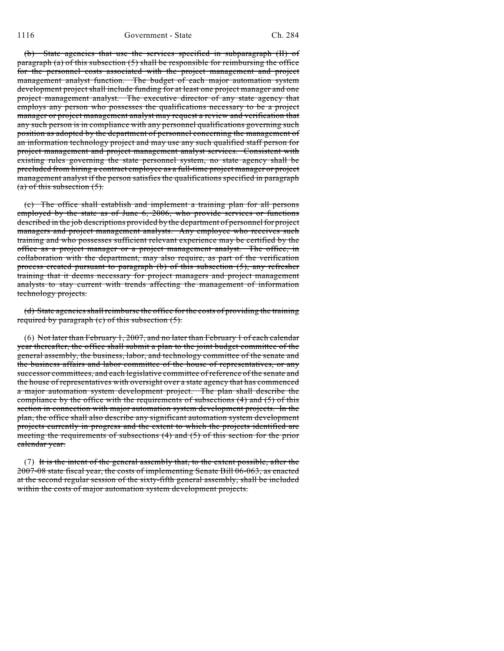(b) State agencies that use the services specified in subparagraph (II) of paragraph (a) of this subsection  $(5)$  shall be responsible for reimbursing the office for the personnel costs associated with the project management and project management analyst function. The budget of each major automation system development project shall include funding for at least one project manager and one project management analyst. The executive director of any state agency that employs any person who possesses the qualifications necessary to be a project manager or project management analyst may request a review and verification that any such person is in compliance with any personnel qualifications governing such position as adopted by the department of personnel concerning the management of an information technology project and may use any such qualified staff person for project management and project management analyst services. Consistent with existing rules governing the state personnel system, no state agency shall be precluded from hiring a contract employee as a full-time project manager or project management analyst if the person satisfies the qualifications specified in paragraph  $(a)$  of this subsection  $(5)$ .

(c) The office shall establish and implement a training plan for all persons employed by the state as of June 6, 2006, who provide services or functions described in the job descriptions provided by the department of personnel for project managers and project management analysts. Any employee who receives such training and who possesses sufficient relevant experience may be certified by the office as a project manager or a project management analyst. The office, in collaboration with the department, may also require, as part of the verification process created pursuant to paragraph (b) of this subsection (5), any refresher training that it deems necessary for project managers and project management analysts to stay current with trends affecting the management of information technology projects.

(d) State agencies shall reimburse the office for the costs of providing the training required by paragraph (c) of this subsection (5).

(6) Not later than February 1, 2007, and no later than February 1 of each calendar year thereafter, the office shall submit a plan to the joint budget committee of the general assembly, the business, labor, and technology committee of the senate and the business affairs and labor committee of the house of representatives, or any successor committees, and each legislative committee of reference of the senate and the house of representatives with oversight over a state agency that has commenced a major automation system development project. The plan shall describe the compliance by the office with the requirements of subsections  $(4)$  and  $(5)$  of this section in connection with major automation system development projects. In the plan, the office shall also describe any significant automation system development projects currently in progress and the extent to which the projects identified are meeting the requirements of subsections (4) and (5) of this section for the prior calendar year.

(7) It is the intent of the general assembly that, to the extent possible, after the 2007-08 state fiscal year, the costs of implementing Senate Bill 06-063, as enacted at the second regular session of the sixty-fifth general assembly, shall be included within the costs of major automation system development projects.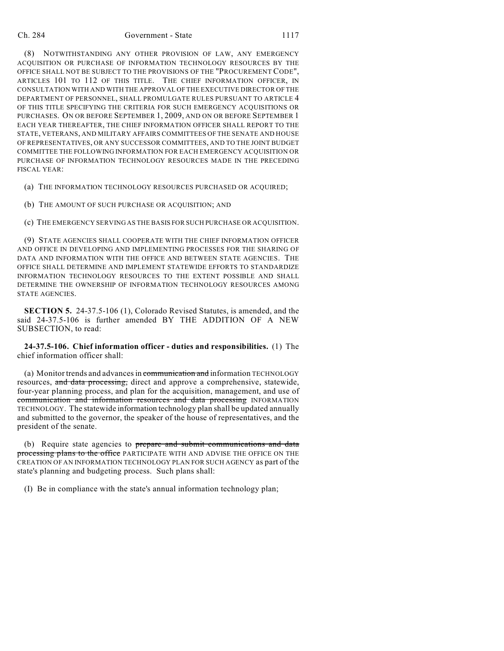(8) NOTWITHSTANDING ANY OTHER PROVISION OF LAW, ANY EMERGENCY ACQUISITION OR PURCHASE OF INFORMATION TECHNOLOGY RESOURCES BY THE OFFICE SHALL NOT BE SUBJECT TO THE PROVISIONS OF THE "PROCUREMENT CODE", ARTICLES 101 TO 112 OF THIS TITLE. THE CHIEF INFORMATION OFFICER, IN CONSULTATION WITH AND WITH THE APPROVAL OF THE EXECUTIVE DIRECTOR OF THE DEPARTMENT OF PERSONNEL, SHALL PROMULGATE RULES PURSUANT TO ARTICLE 4 OF THIS TITLE SPECIFYING THE CRITERIA FOR SUCH EMERGENCY ACQUISITIONS OR PURCHASES. ON OR BEFORE SEPTEMBER 1, 2009, AND ON OR BEFORE SEPTEMBER 1 EACH YEAR THEREAFTER, THE CHIEF INFORMATION OFFICER SHALL REPORT TO THE STATE, VETERANS, AND MILITARY AFFAIRS COMMITTEES OF THE SENATE AND HOUSE OF REPRESENTATIVES, OR ANY SUCCESSOR COMMITTEES, AND TO THE JOINT BUDGET COMMITTEE THE FOLLOWING INFORMATION FOR EACH EMERGENCY ACQUISITION OR PURCHASE OF INFORMATION TECHNOLOGY RESOURCES MADE IN THE PRECEDING FISCAL YEAR:

(a) THE INFORMATION TECHNOLOGY RESOURCES PURCHASED OR ACQUIRED;

(b) THE AMOUNT OF SUCH PURCHASE OR ACQUISITION; AND

(c) THE EMERGENCY SERVING AS THE BASIS FOR SUCH PURCHASE OR ACQUISITION.

(9) STATE AGENCIES SHALL COOPERATE WITH THE CHIEF INFORMATION OFFICER AND OFFICE IN DEVELOPING AND IMPLEMENTING PROCESSES FOR THE SHARING OF DATA AND INFORMATION WITH THE OFFICE AND BETWEEN STATE AGENCIES. THE OFFICE SHALL DETERMINE AND IMPLEMENT STATEWIDE EFFORTS TO STANDARDIZE INFORMATION TECHNOLOGY RESOURCES TO THE EXTENT POSSIBLE AND SHALL DETERMINE THE OWNERSHIP OF INFORMATION TECHNOLOGY RESOURCES AMONG STATE AGENCIES.

**SECTION 5.** 24-37.5-106 (1), Colorado Revised Statutes, is amended, and the said 24-37.5-106 is further amended BY THE ADDITION OF A NEW SUBSECTION, to read:

**24-37.5-106. Chief information officer - duties and responsibilities.** (1) The chief information officer shall:

(a) Monitor trends and advances in communication and information TECHNOLOGY resources, and data processing, direct and approve a comprehensive, statewide, four-year planning process, and plan for the acquisition, management, and use of communication and information resources and data processing INFORMATION TECHNOLOGY. The statewide information technology plan shall be updated annually and submitted to the governor, the speaker of the house of representatives, and the president of the senate.

(b) Require state agencies to prepare and submit communications and data processing plans to the office PARTICIPATE WITH AND ADVISE THE OFFICE ON THE CREATION OF AN INFORMATION TECHNOLOGY PLAN FOR SUCH AGENCY as part of the state's planning and budgeting process. Such plans shall:

(I) Be in compliance with the state's annual information technology plan;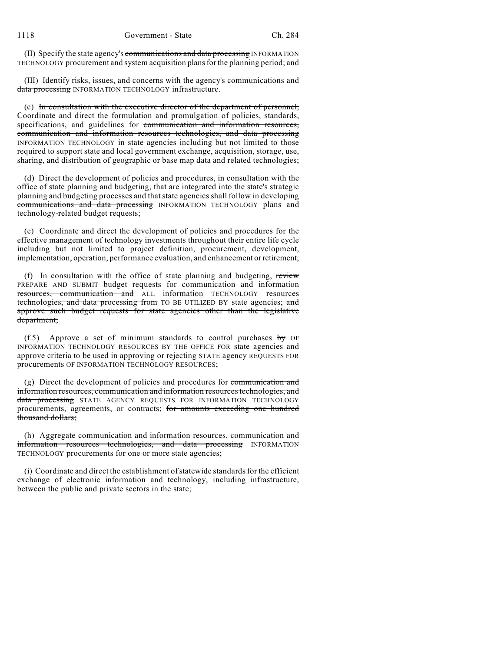(II) Specify the state agency's communications and data processing INFORMATION TECHNOLOGY procurement and system acquisition plans for the planning period; and

(III) Identify risks, issues, and concerns with the agency's communications and data processing INFORMATION TECHNOLOGY infrastructure.

(c) In consultation with the executive director of the department of personnel, Coordinate and direct the formulation and promulgation of policies, standards, specifications, and guidelines for communication and information resources, communication and information resources technologies, and data processing INFORMATION TECHNOLOGY in state agencies including but not limited to those required to support state and local government exchange, acquisition, storage, use, sharing, and distribution of geographic or base map data and related technologies;

(d) Direct the development of policies and procedures, in consultation with the office of state planning and budgeting, that are integrated into the state's strategic planning and budgeting processes and that state agencies shall follow in developing communications and data processing INFORMATION TECHNOLOGY plans and technology-related budget requests;

(e) Coordinate and direct the development of policies and procedures for the effective management of technology investments throughout their entire life cycle including but not limited to project definition, procurement, development, implementation, operation, performance evaluation, and enhancement or retirement;

(f) In consultation with the office of state planning and budgeting, review PREPARE AND SUBMIT budget requests for communication and information resources, communication and ALL information TECHNOLOGY resources technologies, and data processing from TO BE UTILIZED BY state agencies; and approve such budget requests for state agencies other than the legislative department;

(f.5) Approve a set of minimum standards to control purchases  $\frac{1}{2}$  OF INFORMATION TECHNOLOGY RESOURCES BY THE OFFICE FOR state agencies and approve criteria to be used in approving or rejecting STATE agency REQUESTS FOR procurements OF INFORMATION TECHNOLOGY RESOURCES;

(g) Direct the development of policies and procedures for communication and information resources, communication and information resources technologies, and data processing STATE AGENCY REQUESTS FOR INFORMATION TECHNOLOGY procurements, agreements, or contracts; for amounts exceeding one hundred thousand dollars;

(h) Aggregate communication and information resources, communication and information resources technologies, and data processing INFORMATION TECHNOLOGY procurements for one or more state agencies;

(i) Coordinate and direct the establishment ofstatewide standards for the efficient exchange of electronic information and technology, including infrastructure, between the public and private sectors in the state;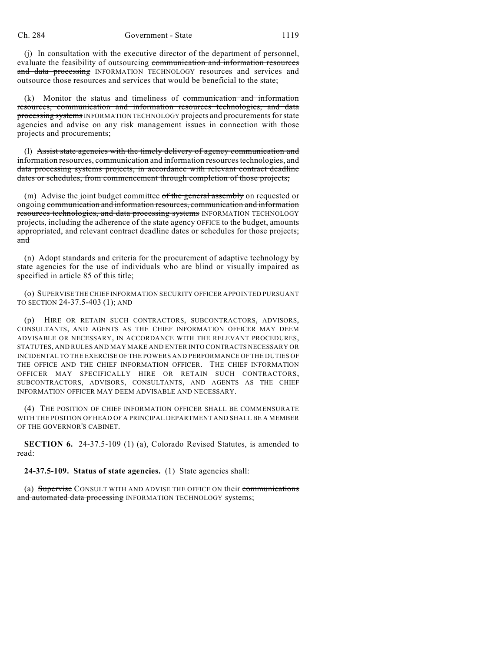(j) In consultation with the executive director of the department of personnel, evaluate the feasibility of outsourcing communication and information resources and data processing INFORMATION TECHNOLOGY resources and services and outsource those resources and services that would be beneficial to the state;

(k) Monitor the status and timeliness of communication and information resources, communication and information resources technologies, and data processing systems INFORMATION TECHNOLOGY projects and procurements for state agencies and advise on any risk management issues in connection with those projects and procurements;

(l) Assist state agencies with the timely delivery of agency communication and information resources, communication and information resources technologies, and data processing systems projects, in accordance with relevant contract deadline dates or schedules, from commencement through completion of those projects;

(m) Advise the joint budget committee of the general assembly on requested or ongoing communication and information resources, communication and information resources technologies, and data processing systems INFORMATION TECHNOLOGY projects, including the adherence of the state agency OFFICE to the budget, amounts appropriated, and relevant contract deadline dates or schedules for those projects; and

(n) Adopt standards and criteria for the procurement of adaptive technology by state agencies for the use of individuals who are blind or visually impaired as specified in article 85 of this title;

(o) SUPERVISE THE CHIEF INFORMATION SECURITY OFFICER APPOINTED PURSUANT TO SECTION 24-37.5-403 (1); AND

(p) HIRE OR RETAIN SUCH CONTRACTORS, SUBCONTRACTORS, ADVISORS, CONSULTANTS, AND AGENTS AS THE CHIEF INFORMATION OFFICER MAY DEEM ADVISABLE OR NECESSARY, IN ACCORDANCE WITH THE RELEVANT PROCEDURES, STATUTES, AND RULES AND MAY MAKE AND ENTER INTO CONTRACTS NECESSARY OR INCIDENTAL TO THE EXERCISE OF THE POWERS AND PERFORMANCE OF THE DUTIES OF THE OFFICE AND THE CHIEF INFORMATION OFFICER. THE CHIEF INFORMATION OFFICER MAY SPECIFICALLY HIRE OR RETAIN SUCH CONTRACTORS, SUBCONTRACTORS, ADVISORS, CONSULTANTS, AND AGENTS AS THE CHIEF INFORMATION OFFICER MAY DEEM ADVISABLE AND NECESSARY.

(4) THE POSITION OF CHIEF INFORMATION OFFICER SHALL BE COMMENSURATE WITH THE POSITION OF HEAD OF A PRINCIPAL DEPARTMENT AND SHALL BE A MEMBER OF THE GOVERNOR'S CABINET.

**SECTION 6.** 24-37.5-109 (1) (a), Colorado Revised Statutes, is amended to read:

**24-37.5-109. Status of state agencies.** (1) State agencies shall:

(a) Supervise CONSULT WITH AND ADVISE THE OFFICE ON their communications and automated data processing INFORMATION TECHNOLOGY systems;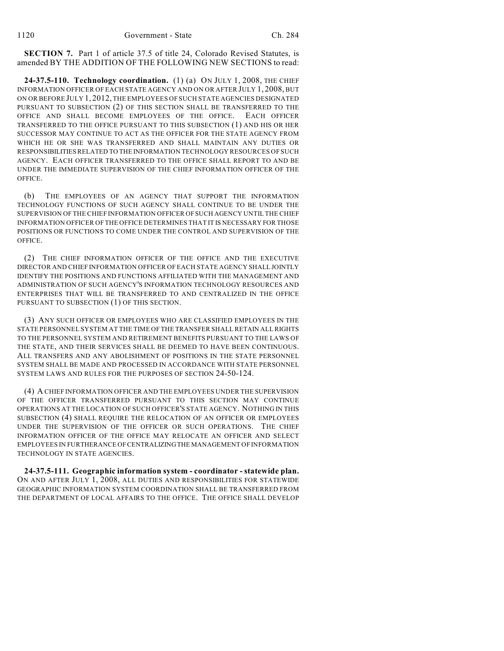**SECTION 7.** Part 1 of article 37.5 of title 24, Colorado Revised Statutes, is amended BY THE ADDITION OF THE FOLLOWING NEW SECTIONS to read:

**24-37.5-110. Technology coordination.** (1) (a) ON JULY 1, 2008, THE CHIEF INFORMATION OFFICER OF EACH STATE AGENCY AND ON OR AFTER JULY 1, 2008, BUT ON OR BEFORE JULY 1, 2012, THE EMPLOYEES OF SUCH STATE AGENCIES DESIGNATED PURSUANT TO SUBSECTION (2) OF THIS SECTION SHALL BE TRANSFERRED TO THE OFFICE AND SHALL BECOME EMPLOYEES OF THE OFFICE. EACH OFFICER TRANSFERRED TO THE OFFICE PURSUANT TO THIS SUBSECTION (1) AND HIS OR HER SUCCESSOR MAY CONTINUE TO ACT AS THE OFFICER FOR THE STATE AGENCY FROM WHICH HE OR SHE WAS TRANSFERRED AND SHALL MAINTAIN ANY DUTIES OR RESPONSIBILITIES RELATED TO THE INFORMATION TECHNOLOGY RESOURCES OF SUCH AGENCY. EACH OFFICER TRANSFERRED TO THE OFFICE SHALL REPORT TO AND BE UNDER THE IMMEDIATE SUPERVISION OF THE CHIEF INFORMATION OFFICER OF THE OFFICE.

(b) THE EMPLOYEES OF AN AGENCY THAT SUPPORT THE INFORMATION TECHNOLOGY FUNCTIONS OF SUCH AGENCY SHALL CONTINUE TO BE UNDER THE SUPERVISION OF THE CHIEF INFORMATION OFFICER OF SUCH AGENCY UNTIL THE CHIEF INFORMATION OFFICER OF THE OFFICE DETERMINES THAT IT IS NECESSARY FOR THOSE POSITIONS OR FUNCTIONS TO COME UNDER THE CONTROL AND SUPERVISION OF THE OFFICE.

(2) THE CHIEF INFORMATION OFFICER OF THE OFFICE AND THE EXECUTIVE DIRECTOR AND CHIEF INFORMATION OFFICER OF EACH STATE AGENCY SHALL JOINTLY IDENTIFY THE POSITIONS AND FUNCTIONS AFFILIATED WITH THE MANAGEMENT AND ADMINISTRATION OF SUCH AGENCY'S INFORMATION TECHNOLOGY RESOURCES AND ENTERPRISES THAT WILL BE TRANSFERRED TO AND CENTRALIZED IN THE OFFICE PURSUANT TO SUBSECTION (1) OF THIS SECTION.

(3) ANY SUCH OFFICER OR EMPLOYEES WHO ARE CLASSIFIED EMPLOYEES IN THE STATE PERSONNEL SYSTEM AT THE TIME OF THE TRANSFER SHALL RETAIN ALL RIGHTS TO THE PERSONNEL SYSTEM AND RETIREMENT BENEFITS PURSUANT TO THE LAWS OF THE STATE, AND THEIR SERVICES SHALL BE DEEMED TO HAVE BEEN CONTINUOUS. ALL TRANSFERS AND ANY ABOLISHMENT OF POSITIONS IN THE STATE PERSONNEL SYSTEM SHALL BE MADE AND PROCESSED IN ACCORDANCE WITH STATE PERSONNEL SYSTEM LAWS AND RULES FOR THE PURPOSES OF SECTION 24-50-124.

(4) A CHIEF INFORMATION OFFICER AND THE EMPLOYEES UNDER THE SUPERVISION OF THE OFFICER TRANSFERRED PURSUANT TO THIS SECTION MAY CONTINUE OPERATIONS AT THE LOCATION OF SUCH OFFICER'S STATE AGENCY. NOTHING IN THIS SUBSECTION (4) SHALL REQUIRE THE RELOCATION OF AN OFFICER OR EMPLOYEES UNDER THE SUPERVISION OF THE OFFICER OR SUCH OPERATIONS. THE CHIEF INFORMATION OFFICER OF THE OFFICE MAY RELOCATE AN OFFICER AND SELECT EMPLOYEES IN FURTHERANCE OF CENTRALIZING THE MANAGEMENT OF INFORMATION TECHNOLOGY IN STATE AGENCIES.

**24-37.5-111. Geographic information system - coordinator - statewide plan.** ON AND AFTER JULY 1, 2008, ALL DUTIES AND RESPONSIBILITIES FOR STATEWIDE GEOGRAPHIC INFORMATION SYSTEM COORDINATION SHALL BE TRANSFERRED FROM THE DEPARTMENT OF LOCAL AFFAIRS TO THE OFFICE. THE OFFICE SHALL DEVELOP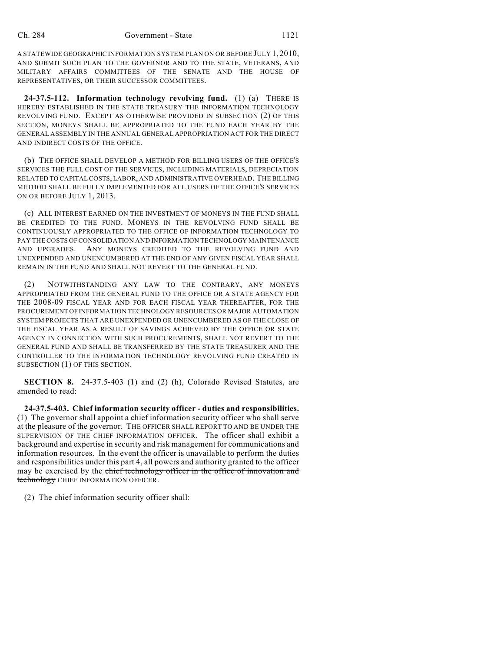A STATEWIDE GEOGRAPHIC INFORMATION SYSTEM PLAN ON OR BEFORE JULY 1, 2010, AND SUBMIT SUCH PLAN TO THE GOVERNOR AND TO THE STATE, VETERANS, AND MILITARY AFFAIRS COMMITTEES OF THE SENATE AND THE HOUSE OF REPRESENTATIVES, OR THEIR SUCCESSOR COMMITTEES.

**24-37.5-112. Information technology revolving fund.** (1) (a) THERE IS HEREBY ESTABLISHED IN THE STATE TREASURY THE INFORMATION TECHNOLOGY REVOLVING FUND. EXCEPT AS OTHERWISE PROVIDED IN SUBSECTION (2) OF THIS SECTION, MONEYS SHALL BE APPROPRIATED TO THE FUND EACH YEAR BY THE GENERAL ASSEMBLY IN THE ANNUAL GENERAL APPROPRIATION ACT FOR THE DIRECT AND INDIRECT COSTS OF THE OFFICE.

(b) THE OFFICE SHALL DEVELOP A METHOD FOR BILLING USERS OF THE OFFICE'S SERVICES THE FULL COST OF THE SERVICES, INCLUDING MATERIALS, DEPRECIATION RELATED TO CAPITAL COSTS, LABOR, AND ADMINISTRATIVE OVERHEAD. THE BILLING METHOD SHALL BE FULLY IMPLEMENTED FOR ALL USERS OF THE OFFICE'S SERVICES ON OR BEFORE JULY 1, 2013.

(c) ALL INTEREST EARNED ON THE INVESTMENT OF MONEYS IN THE FUND SHALL BE CREDITED TO THE FUND. MONEYS IN THE REVOLVING FUND SHALL BE CONTINUOUSLY APPROPRIATED TO THE OFFICE OF INFORMATION TECHNOLOGY TO PAY THE COSTS OF CONSOLIDATION AND INFORMATION TECHNOLOGY MAINTENANCE AND UPGRADES. ANY MONEYS CREDITED TO THE REVOLVING FUND AND UNEXPENDED AND UNENCUMBERED AT THE END OF ANY GIVEN FISCAL YEAR SHALL REMAIN IN THE FUND AND SHALL NOT REVERT TO THE GENERAL FUND.

(2) NOTWITHSTANDING ANY LAW TO THE CONTRARY, ANY MONEYS APPROPRIATED FROM THE GENERAL FUND TO THE OFFICE OR A STATE AGENCY FOR THE 2008-09 FISCAL YEAR AND FOR EACH FISCAL YEAR THEREAFTER, FOR THE PROCUREMENT OF INFORMATION TECHNOLOGY RESOURCES OR MAJOR AUTOMATION SYSTEM PROJECTS THAT ARE UNEXPENDED OR UNENCUMBERED AS OF THE CLOSE OF THE FISCAL YEAR AS A RESULT OF SAVINGS ACHIEVED BY THE OFFICE OR STATE AGENCY IN CONNECTION WITH SUCH PROCUREMENTS, SHALL NOT REVERT TO THE GENERAL FUND AND SHALL BE TRANSFERRED BY THE STATE TREASURER AND THE CONTROLLER TO THE INFORMATION TECHNOLOGY REVOLVING FUND CREATED IN SUBSECTION (1) OF THIS SECTION.

**SECTION 8.** 24-37.5-403 (1) and (2) (h), Colorado Revised Statutes, are amended to read:

**24-37.5-403. Chief information security officer - duties and responsibilities.** (1) The governor shall appoint a chief information security officer who shall serve at the pleasure of the governor. THE OFFICER SHALL REPORT TO AND BE UNDER THE SUPERVISION OF THE CHIEF INFORMATION OFFICER. The officer shall exhibit a background and expertise in security and risk management for communications and information resources. In the event the officer is unavailable to perform the duties and responsibilities under this part 4, all powers and authority granted to the officer may be exercised by the chief technology officer in the office of innovation and technology CHIEF INFORMATION OFFICER.

(2) The chief information security officer shall: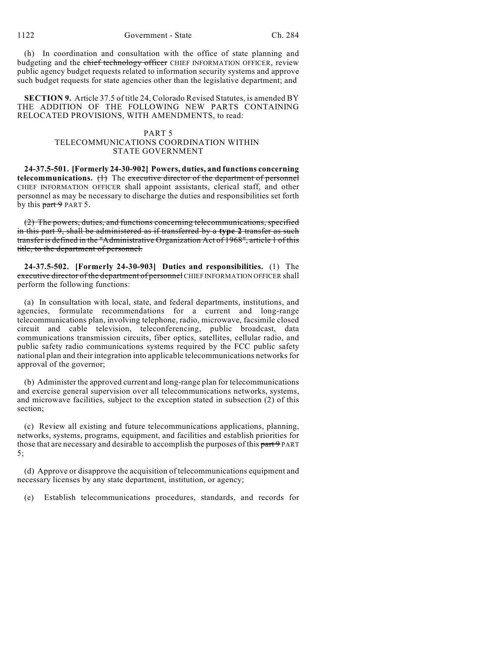(h) In coordination and consultation with the office of state planning and budgeting and the chief technology officer CHIEF INFORMATION OFFICER, review public agency budget requests related to information security systems and approve such budget requests for state agencies other than the legislative department; and

**SECTION 9.** Article 37.5 of title 24, Colorado Revised Statutes, is amended BY THE ADDITION OF THE FOLLOWING NEW PARTS CONTAINING RELOCATED PROVISIONS, WITH AMENDMENTS, to read:

### PART 5 TELECOMMUNICATIONS COORDINATION WITHIN STATE GOVERNMENT

**24-37.5-501. [Formerly 24-30-902] Powers, duties, and functions concerning telecommunications.** (1) The executive director of the department of personnel CHIEF INFORMATION OFFICER shall appoint assistants, clerical staff, and other personnel as may be necessary to discharge the duties and responsibilities set forth by this  $part 9$  PART 5.

(2) The powers, duties, and functions concerning telecommunications, specified in this part 9, shall be administered as if transferred by a **type 2** transfer as such transfer is defined in the "Administrative Organization Act of 1968", article 1 of this title, to the department of personnel.

**24-37.5-502. [Formerly 24-30-903] Duties and responsibilities.** (1) The executive director of the department of personnel CHIEF INFORMATION OFFICER shall perform the following functions:

(a) In consultation with local, state, and federal departments, institutions, and agencies, formulate recommendations for a current and long-range telecommunications plan, involving telephone, radio, microwave, facsimile closed circuit and cable television, teleconferencing, public broadcast, data communications transmission circuits, fiber optics, satellites, cellular radio, and public safety radio communications systems required by the FCC public safety national plan and their integration into applicable telecommunications networks for approval of the governor;

(b) Administer the approved current and long-range plan for telecommunications and exercise general supervision over all telecommunications networks, systems, and microwave facilities, subject to the exception stated in subsection (2) of this section;

(c) Review all existing and future telecommunications applications, planning, networks, systems, programs, equipment, and facilities and establish priorities for those that are necessary and desirable to accomplish the purposes of this part 9 PART 5;

(d) Approve or disapprove the acquisition of telecommunications equipment and necessary licenses by any state department, institution, or agency;

(e) Establish telecommunications procedures, standards, and records for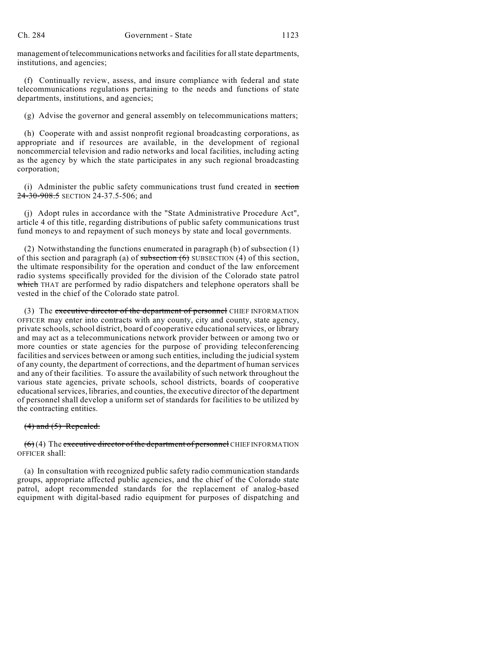management of telecommunications networks and facilities for all state departments, institutions, and agencies;

(f) Continually review, assess, and insure compliance with federal and state telecommunications regulations pertaining to the needs and functions of state departments, institutions, and agencies;

(g) Advise the governor and general assembly on telecommunications matters;

(h) Cooperate with and assist nonprofit regional broadcasting corporations, as appropriate and if resources are available, in the development of regional noncommercial television and radio networks and local facilities, including acting as the agency by which the state participates in any such regional broadcasting corporation;

(i) Administer the public safety communications trust fund created in section 24-30-908.5 SECTION 24-37.5-506; and

(j) Adopt rules in accordance with the "State Administrative Procedure Act", article 4 of this title, regarding distributions of public safety communications trust fund moneys to and repayment of such moneys by state and local governments.

(2) Notwithstanding the functions enumerated in paragraph (b) of subsection (1) of this section and paragraph (a) of subsection  $(6)$  SUBSECTION  $(4)$  of this section, the ultimate responsibility for the operation and conduct of the law enforcement radio systems specifically provided for the division of the Colorado state patrol which THAT are performed by radio dispatchers and telephone operators shall be vested in the chief of the Colorado state patrol.

(3) The executive director of the department of personnel CHIEF INFORMATION OFFICER may enter into contracts with any county, city and county, state agency, private schools, school district, board of cooperative educational services, or library and may act as a telecommunications network provider between or among two or more counties or state agencies for the purpose of providing teleconferencing facilities and services between or among such entities, including the judicial system of any county, the department of corrections, and the department of human services and any of their facilities. To assure the availability of such network throughout the various state agencies, private schools, school districts, boards of cooperative educational services, libraries, and counties, the executive director of the department of personnel shall develop a uniform set of standards for facilities to be utilized by the contracting entities.

#### $(4)$  and  $(5)$  Repealed.

 $(6)$  (4) The executive director of the department of personnel CHIEF INFORMATION OFFICER shall:

(a) In consultation with recognized public safety radio communication standards groups, appropriate affected public agencies, and the chief of the Colorado state patrol, adopt recommended standards for the replacement of analog-based equipment with digital-based radio equipment for purposes of dispatching and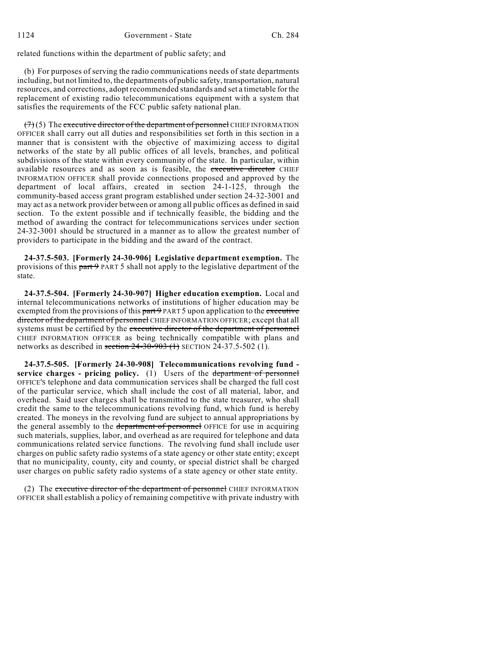related functions within the department of public safety; and

(b) For purposes of serving the radio communications needs of state departments including, but not limited to, the departments of public safety, transportation, natural resources, and corrections, adopt recommended standards and set a timetable for the replacement of existing radio telecommunications equipment with a system that satisfies the requirements of the FCC public safety national plan.

 $(7)(5)$  The executive director of the department of personnel CHIEF INFORMATION OFFICER shall carry out all duties and responsibilities set forth in this section in a manner that is consistent with the objective of maximizing access to digital networks of the state by all public offices of all levels, branches, and political subdivisions of the state within every community of the state. In particular, within available resources and as soon as is feasible, the executive director CHIEF INFORMATION OFFICER shall provide connections proposed and approved by the department of local affairs, created in section 24-1-125, through the community-based access grant program established under section 24-32-3001 and may act as a network provider between or among all public offices as defined in said section. To the extent possible and if technically feasible, the bidding and the method of awarding the contract for telecommunications services under section 24-32-3001 should be structured in a manner as to allow the greatest number of providers to participate in the bidding and the award of the contract.

**24-37.5-503. [Formerly 24-30-906] Legislative department exemption.** The provisions of this part 9 PART 5 shall not apply to the legislative department of the state.

**24-37.5-504. [Formerly 24-30-907] Higher education exemption.** Local and internal telecommunications networks of institutions of higher education may be exempted from the provisions of this part 9 PART 5 upon application to the executive director of the department of personnel CHIEF INFORMATION OFFICER; except that all systems must be certified by the executive director of the department of personnel CHIEF INFORMATION OFFICER as being technically compatible with plans and networks as described in section  $24-30-903$  (1) SECTION 24-37.5-502 (1).

**24-37.5-505. [Formerly 24-30-908] Telecommunications revolving fund service charges - pricing policy.** (1) Users of the department of personnel OFFICE'S telephone and data communication services shall be charged the full cost of the particular service, which shall include the cost of all material, labor, and overhead. Said user charges shall be transmitted to the state treasurer, who shall credit the same to the telecommunications revolving fund, which fund is hereby created. The moneys in the revolving fund are subject to annual appropriations by the general assembly to the department of personnel OFFICE for use in acquiring such materials, supplies, labor, and overhead as are required for telephone and data communications related service functions. The revolving fund shall include user charges on public safety radio systems of a state agency or other state entity; except that no municipality, county, city and county, or special district shall be charged user charges on public safety radio systems of a state agency or other state entity.

(2) The executive director of the department of personnel CHIEF INFORMATION OFFICER shall establish a policy of remaining competitive with private industry with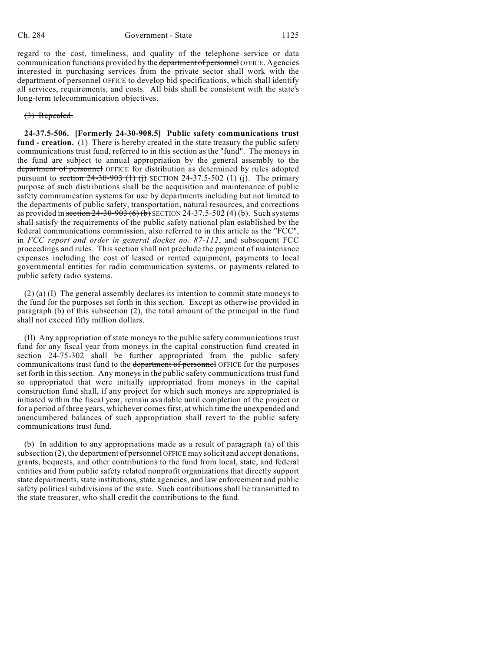regard to the cost, timeliness, and quality of the telephone service or data communication functions provided by the department of personnel OFFICE. Agencies interested in purchasing services from the private sector shall work with the department of personnel OFFICE to develop bid specifications, which shall identify all services, requirements, and costs. All bids shall be consistent with the state's long-term telecommunication objectives.

#### (3) Repealed.

**24-37.5-506. [Formerly 24-30-908.5] Public safety communications trust fund - creation.** (1) There is hereby created in the state treasury the public safety communications trust fund, referred to in this section as the "fund". The moneys in the fund are subject to annual appropriation by the general assembly to the department of personnel OFFICE for distribution as determined by rules adopted pursuant to section  $24-30-903$  (1) (j) SECTION 24-37.5-502 (1) (j). The primary purpose of such distributions shall be the acquisition and maintenance of public safety communication systems for use by departments including but not limited to the departments of public safety, transportation, natural resources, and corrections as provided in section  $24-30-903(6)(b)$  SECTION 24-37.5-502(4)(b). Such systems shall satisfy the requirements of the public safety national plan established by the federal communications commission, also referred to in this article as the "FCC", in *FCC report and order in general docket no. 87-112*, and subsequent FCC proceedings and rules. This section shall not preclude the payment of maintenance expenses including the cost of leased or rented equipment, payments to local governmental entities for radio communication systems, or payments related to public safety radio systems.

(2) (a) (I) The general assembly declares its intention to commit state moneys to the fund for the purposes set forth in this section. Except as otherwise provided in paragraph (b) of this subsection (2), the total amount of the principal in the fund shall not exceed fifty million dollars.

(II) Any appropriation of state moneys to the public safety communications trust fund for any fiscal year from moneys in the capital construction fund created in section 24-75-302 shall be further appropriated from the public safety communications trust fund to the department of personnel OFFICE for the purposes set forth in this section. Any moneys in the public safety communications trust fund so appropriated that were initially appropriated from moneys in the capital construction fund shall, if any project for which such moneys are appropriated is initiated within the fiscal year, remain available until completion of the project or for a period of three years, whichever comes first, at which time the unexpended and unencumbered balances of such appropriation shall revert to the public safety communications trust fund.

(b) In addition to any appropriations made as a result of paragraph (a) of this subsection  $(2)$ , the department of personnel OFFICE may solicit and accept donations, grants, bequests, and other contributions to the fund from local, state, and federal entities and from public safety related nonprofit organizations that directly support state departments, state institutions, state agencies, and law enforcement and public safety political subdivisions of the state. Such contributions shall be transmitted to the state treasurer, who shall credit the contributions to the fund.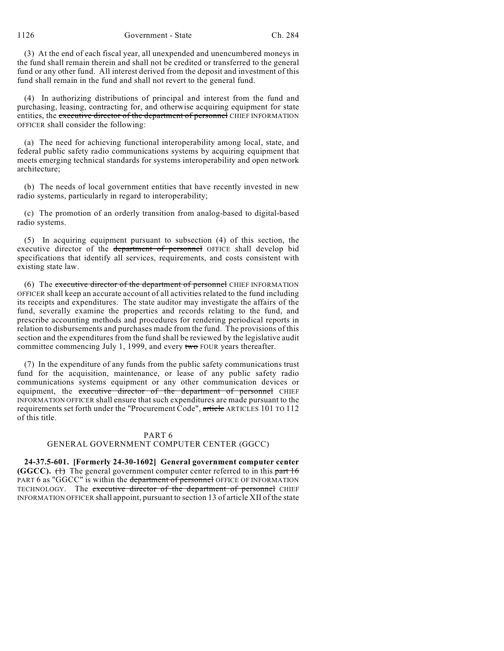1126 Government - State Ch. 284

(3) At the end of each fiscal year, all unexpended and unencumbered moneys in the fund shall remain therein and shall not be credited or transferred to the general fund or any other fund. All interest derived from the deposit and investment of this fund shall remain in the fund and shall not revert to the general fund.

(4) In authorizing distributions of principal and interest from the fund and purchasing, leasing, contracting for, and otherwise acquiring equipment for state entities, the executive director of the department of personnel CHIEF INFORMATION OFFICER shall consider the following:

(a) The need for achieving functional interoperability among local, state, and federal public safety radio communications systems by acquiring equipment that meets emerging technical standards for systems interoperability and open network architecture;

(b) The needs of local government entities that have recently invested in new radio systems, particularly in regard to interoperability;

(c) The promotion of an orderly transition from analog-based to digital-based radio systems.

(5) In acquiring equipment pursuant to subsection (4) of this section, the executive director of the department of personnel OFFICE shall develop bid specifications that identify all services, requirements, and costs consistent with existing state law.

(6) The executive director of the department of personnel CHIEF INFORMATION OFFICER shall keep an accurate account of all activities related to the fund including its receipts and expenditures. The state auditor may investigate the affairs of the fund, severally examine the properties and records relating to the fund, and prescribe accounting methods and procedures for rendering periodical reports in relation to disbursements and purchases made from the fund. The provisions of this section and the expenditures from the fund shall be reviewed by the legislative audit committee commencing July 1, 1999, and every two FOUR years thereafter.

(7) In the expenditure of any funds from the public safety communications trust fund for the acquisition, maintenance, or lease of any public safety radio communications systems equipment or any other communication devices or equipment, the executive director of the department of personnel CHIEF INFORMATION OFFICER shall ensure that such expenditures are made pursuant to the requirements set forth under the "Procurement Code", article ARTICLES 101 TO 112 of this title.

#### PART 6

### GENERAL GOVERNMENT COMPUTER CENTER (GGCC)

**24-37.5-601. [Formerly 24-30-1602] General government computer center (GGCC).**  $(1)$  The general government computer center referred to in this part 16 PART 6 as "GGCC" is within the department of personnel OFFICE OF INFORMATION TECHNOLOGY. The executive director of the department of personnel CHIEF INFORMATION OFFICER shall appoint, pursuant to section 13 of article XII of the state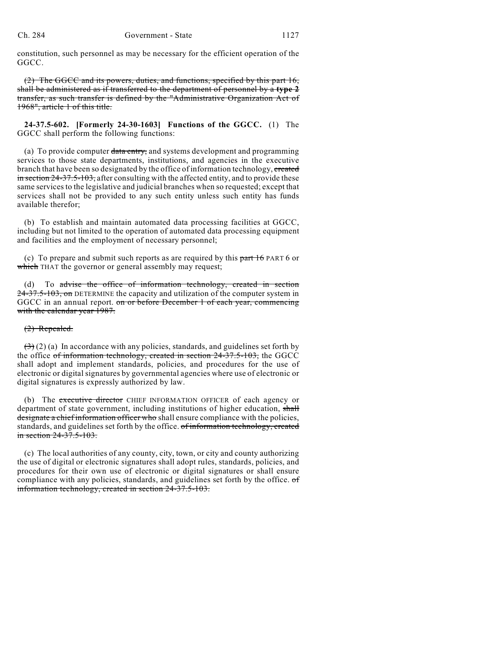constitution, such personnel as may be necessary for the efficient operation of the GGCC.

(2) The GGCC and its powers, duties, and functions, specified by this part 16, shall be administered as if transferred to the department of personnel by a **type 2** transfer, as such transfer is defined by the "Administrative Organization Act of 1968", article 1 of this title.

**24-37.5-602. [Formerly 24-30-1603] Functions of the GGCC.** (1) The GGCC shall perform the following functions:

(a) To provide computer data entry, and systems development and programming services to those state departments, institutions, and agencies in the executive branch that have been so designated by the office of information technology, created in section 24-37.5-103, after consulting with the affected entity, and to provide these same services to the legislative and judicial branches when so requested; except that services shall not be provided to any such entity unless such entity has funds available therefor;

(b) To establish and maintain automated data processing facilities at GGCC, including but not limited to the operation of automated data processing equipment and facilities and the employment of necessary personnel;

(c) To prepare and submit such reports as are required by this  $part 16$  PART 6 or which THAT the governor or general assembly may request;

(d) To advise the office of information technology, created in section 24-37.5-103, on DETERMINE the capacity and utilization of the computer system in GGCC in an annual report. on or before December 1 of each year, commencing with the calendar year 1987.

### (2) Repealed.

 $(3)(2)$  (a) In accordance with any policies, standards, and guidelines set forth by the office of information technology, created in section 24-37.5-103, the GGCC shall adopt and implement standards, policies, and procedures for the use of electronic or digital signatures by governmental agencies where use of electronic or digital signatures is expressly authorized by law.

(b) The executive director CHIEF INFORMATION OFFICER of each agency or department of state government, including institutions of higher education, shall designate a chief information officer who shall ensure compliance with the policies, standards, and guidelines set forth by the office. of information technology, created in section 24-37.5-103.

(c) The local authorities of any county, city, town, or city and county authorizing the use of digital or electronic signatures shall adopt rules, standards, policies, and procedures for their own use of electronic or digital signatures or shall ensure compliance with any policies, standards, and guidelines set forth by the office. of information technology, created in section 24-37.5-103.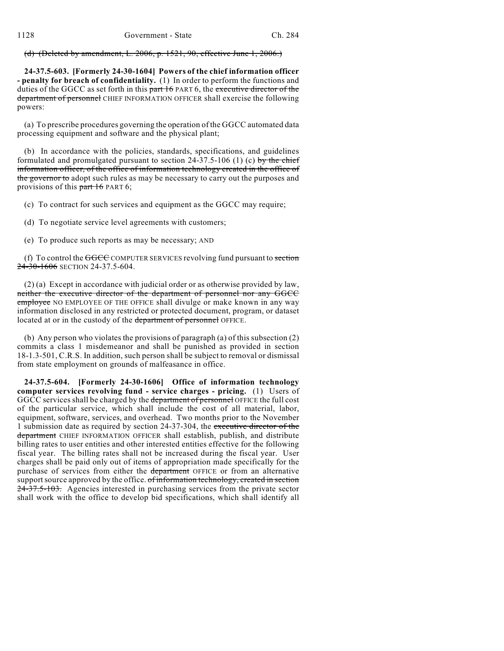(d) (Deleted by amendment, L. 2006, p. 1521, 90, effective June 1, 2006.)

**24-37.5-603. [Formerly 24-30-1604] Powers of the chief information officer - penalty for breach of confidentiality.** (1) In order to perform the functions and duties of the GGCC as set forth in this part 16 PART 6, the executive director of the department of personnel CHIEF INFORMATION OFFICER shall exercise the following powers:

(a) To prescribe procedures governing the operation of the GGCC automated data processing equipment and software and the physical plant;

(b) In accordance with the policies, standards, specifications, and guidelines formulated and promulgated pursuant to section  $24-37.5-106$  (1) (c) by the chief information officer, of the office of information technology created in the office of the governor to adopt such rules as may be necessary to carry out the purposes and provisions of this part 16 PART 6;

(c) To contract for such services and equipment as the GGCC may require;

(d) To negotiate service level agreements with customers;

(e) To produce such reports as may be necessary; AND

(f) To control the  $\overline{GCC}$  COMPUTER SERVICES revolving fund pursuant to section 24-30-1606 SECTION 24-37.5-604.

(2) (a) Except in accordance with judicial order or as otherwise provided by law, neither the executive director of the department of personnel nor any GGCC employee NO EMPLOYEE OF THE OFFICE shall divulge or make known in any way information disclosed in any restricted or protected document, program, or dataset located at or in the custody of the department of personnel OFFICE.

(b) Any person who violates the provisions of paragraph (a) of this subsection (2) commits a class 1 misdemeanor and shall be punished as provided in section 18-1.3-501, C.R.S. In addition, such person shall be subject to removal or dismissal from state employment on grounds of malfeasance in office.

**24-37.5-604. [Formerly 24-30-1606] Office of information technology computer services revolving fund - service charges - pricing.** (1) Users of GGCC services shall be charged by the department of personnel OFFICE the full cost of the particular service, which shall include the cost of all material, labor, equipment, software, services, and overhead. Two months prior to the November 1 submission date as required by section 24-37-304, the executive director of the department CHIEF INFORMATION OFFICER shall establish, publish, and distribute billing rates to user entities and other interested entities effective for the following fiscal year. The billing rates shall not be increased during the fiscal year. User charges shall be paid only out of items of appropriation made specifically for the purchase of services from either the department OFFICE or from an alternative support source approved by the office. of information technology, created in section 24-37.5-103. Agencies interested in purchasing services from the private sector shall work with the office to develop bid specifications, which shall identify all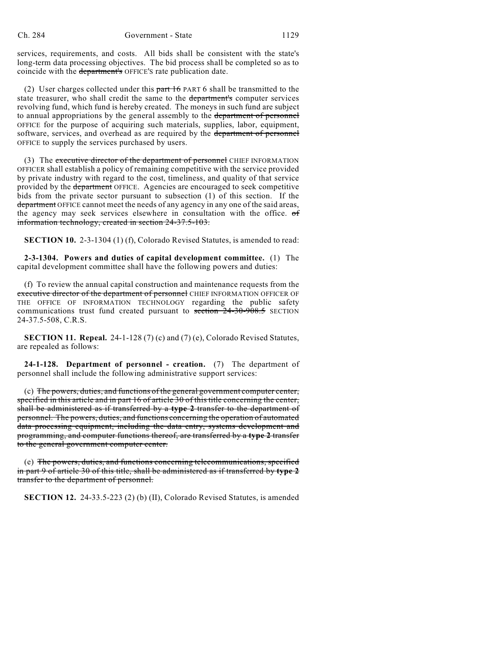services, requirements, and costs. All bids shall be consistent with the state's long-term data processing objectives. The bid process shall be completed so as to coincide with the department's OFFICE's rate publication date.

(2) User charges collected under this  $part 16$  PART 6 shall be transmitted to the state treasurer, who shall credit the same to the department's computer services revolving fund, which fund is hereby created. The moneys in such fund are subject to annual appropriations by the general assembly to the department of personnel OFFICE for the purpose of acquiring such materials, supplies, labor, equipment, software, services, and overhead as are required by the department of personnel OFFICE to supply the services purchased by users.

(3) The executive director of the department of personnel CHIEF INFORMATION OFFICER shall establish a policy of remaining competitive with the service provided by private industry with regard to the cost, timeliness, and quality of that service provided by the department OFFICE. Agencies are encouraged to seek competitive bids from the private sector pursuant to subsection (1) of this section. If the department OFFICE cannot meet the needs of any agency in any one of the said areas, the agency may seek services elsewhere in consultation with the office. of information technology, created in section 24-37.5-103.

**SECTION 10.** 2-3-1304 (1) (f), Colorado Revised Statutes, is amended to read:

**2-3-1304. Powers and duties of capital development committee.** (1) The capital development committee shall have the following powers and duties:

(f) To review the annual capital construction and maintenance requests from the executive director of the department of personnel CHIEF INFORMATION OFFICER OF THE OFFICE OF INFORMATION TECHNOLOGY regarding the public safety communications trust fund created pursuant to section 24-30-908.5 SECTION 24-37.5-508, C.R.S.

**SECTION 11. Repeal.** 24-1-128 (7) (c) and (7) (e), Colorado Revised Statutes, are repealed as follows:

**24-1-128. Department of personnel - creation.** (7) The department of personnel shall include the following administrative support services:

(c) The powers, duties, and functions of the general government computer center, specified in this article and in part 16 of article 30 of this title concerning the center, shall be administered as if transferred by a **type 2** transfer to the department of personnel. The powers, duties, and functions concerning the operation of automated data processing equipment, including the data entry, systems development and programming, and computer functions thereof, are transferred by a **type 2** transfer to the general government computer center.

(e) The powers, duties, and functions concerning telecommunications, specified in part 9 of article 30 of this title, shall be administered as if transferred by **type 2** transfer to the department of personnel.

**SECTION 12.** 24-33.5-223 (2) (b) (II), Colorado Revised Statutes, is amended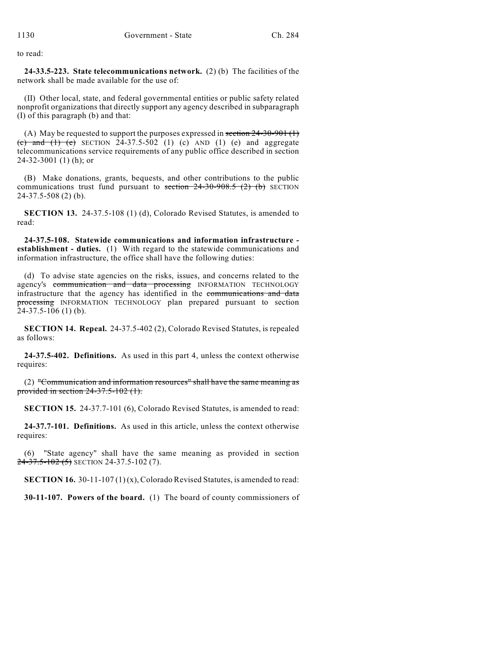to read:

**24-33.5-223. State telecommunications network.** (2) (b) The facilities of the network shall be made available for the use of:

(II) Other local, state, and federal governmental entities or public safety related nonprofit organizations that directly support any agency described in subparagraph (I) of this paragraph (b) and that:

(A) May be requested to support the purposes expressed in section  $24-30-901$  (1) (c) and (1) (e) SECTION  $24-37.5-502$  (1) (c) AND (1) (e) and aggregate telecommunications service requirements of any public office described in section 24-32-3001 (1) (h); or

(B) Make donations, grants, bequests, and other contributions to the public communications trust fund pursuant to section  $24-30-908.5$  (2) (b) SECTION 24-37.5-508 (2) (b).

**SECTION 13.** 24-37.5-108 (1) (d), Colorado Revised Statutes, is amended to read:

**24-37.5-108. Statewide communications and information infrastructure establishment - duties.** (1) With regard to the statewide communications and information infrastructure, the office shall have the following duties:

(d) To advise state agencies on the risks, issues, and concerns related to the agency's communication and data processing INFORMATION TECHNOLOGY infrastructure that the agency has identified in the communications and data processing INFORMATION TECHNOLOGY plan prepared pursuant to section 24-37.5-106 (1) (b).

**SECTION 14. Repeal.** 24-37.5-402 (2), Colorado Revised Statutes, is repealed as follows:

**24-37.5-402. Definitions.** As used in this part 4, unless the context otherwise requires:

(2) "Communication and information resources" shall have the same meaning as provided in section 24-37.5-102 (1).

**SECTION 15.** 24-37.7-101 (6), Colorado Revised Statutes, is amended to read:

**24-37.7-101. Definitions.** As used in this article, unless the context otherwise requires:

(6) "State agency" shall have the same meaning as provided in section  $24-37.5-102(5)$  SECTION 24-37.5-102(7).

**SECTION 16.** 30-11-107 (1) (x), Colorado Revised Statutes, is amended to read:

**30-11-107. Powers of the board.** (1) The board of county commissioners of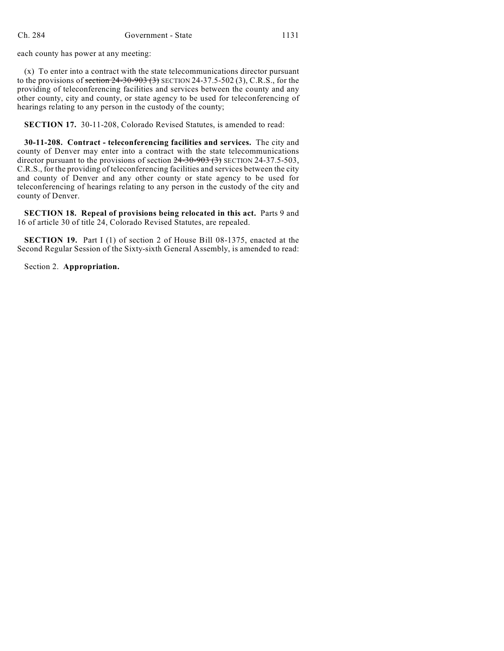each county has power at any meeting:

(x) To enter into a contract with the state telecommunications director pursuant to the provisions of section  $24-30-903$  (3) SECTION 24-37.5-502 (3), C.R.S., for the providing of teleconferencing facilities and services between the county and any other county, city and county, or state agency to be used for teleconferencing of hearings relating to any person in the custody of the county;

**SECTION 17.** 30-11-208, Colorado Revised Statutes, is amended to read:

**30-11-208. Contract - teleconferencing facilities and services.** The city and county of Denver may enter into a contract with the state telecommunications director pursuant to the provisions of section  $24-30-903$  (3) SECTION 24-37.5-503, C.R.S., for the providing of teleconferencing facilities and services between the city and county of Denver and any other county or state agency to be used for teleconferencing of hearings relating to any person in the custody of the city and county of Denver.

**SECTION 18. Repeal of provisions being relocated in this act.** Parts 9 and 16 of article 30 of title 24, Colorado Revised Statutes, are repealed.

**SECTION 19.** Part I (1) of section 2 of House Bill 08-1375, enacted at the Second Regular Session of the Sixty-sixth General Assembly, is amended to read:

Section 2. **Appropriation.**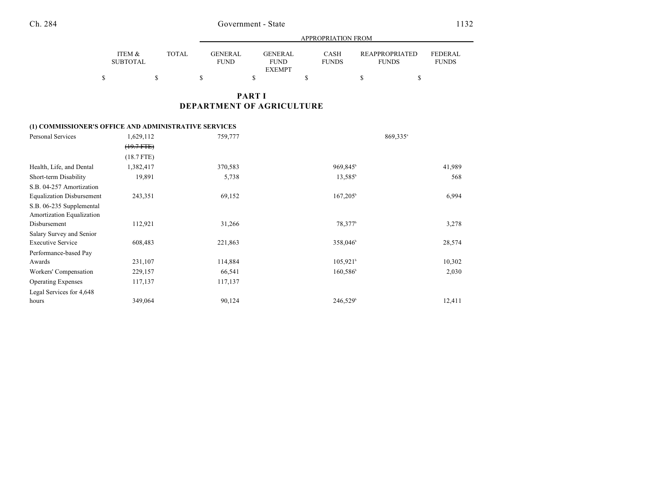|                           |              |                        | APPROPRIATION FROM                      |                      |                                       |                                |  |  |
|---------------------------|--------------|------------------------|-----------------------------------------|----------------------|---------------------------------------|--------------------------------|--|--|
| ITEM &<br><b>SUBTOTAL</b> | <b>TOTAL</b> | GENERAL<br><b>FUND</b> | GENERAL<br><b>FUND</b><br><b>EXEMPT</b> | CASH<br><b>FUNDS</b> | <b>REAPPROPRIATED</b><br><b>FUNDS</b> | <b>FEDERAL</b><br><b>FUNDS</b> |  |  |
|                           |              |                        |                                         |                      |                                       |                                |  |  |

## **PART I DEPARTMENT OF AGRICULTURE**

### **(1) COMMISSIONER'S OFFICE AND ADMINISTRATIVE SERVICES**

| Personal Services                | 1,629,112      | 759,777 | 869,335 <sup>a</sup>   |        |
|----------------------------------|----------------|---------|------------------------|--------|
|                                  | $(19.7 + FFE)$ |         |                        |        |
|                                  | $(18.7$ FTE)   |         |                        |        |
| Health, Life, and Dental         | 1,382,417      | 370,583 | 969,845 <sup>b</sup>   | 41,989 |
| Short-term Disability            | 19,891         | 5,738   | $13,585^{\circ}$       | 568    |
| S.B. 04-257 Amortization         |                |         |                        |        |
| <b>Equalization Disbursement</b> | 243,351        | 69,152  | $167,205^{\circ}$      | 6,994  |
| S.B. 06-235 Supplemental         |                |         |                        |        |
| Amortization Equalization        |                |         |                        |        |
| Disbursement                     | 112,921        | 31,266  | 78,377 <sup>b</sup>    | 3,278  |
| Salary Survey and Senior         |                |         |                        |        |
| <b>Executive Service</b>         | 608,483        | 221,863 | 358,046 <sup>b</sup>   | 28,574 |
| Performance-based Pay            |                |         |                        |        |
| Awards                           | 231,107        | 114,884 | $105,921$ <sup>b</sup> | 10,302 |
| Workers' Compensation            | 229,157        | 66,541  | 160,586 <sup>b</sup>   | 2,030  |
| <b>Operating Expenses</b>        | 117,137        | 117,137 |                        |        |
| Legal Services for 4,648         |                |         |                        |        |
| hours                            | 349,064        | 90,124  | 246,529 <sup>b</sup>   | 12,411 |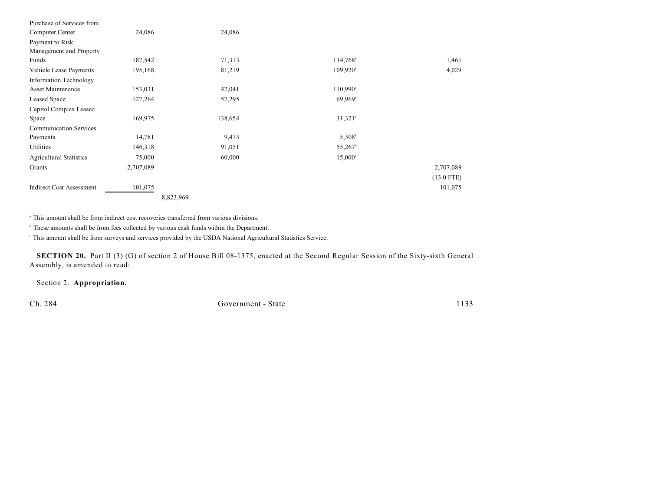| Purchase of Services from       |           |         |                      |              |
|---------------------------------|-----------|---------|----------------------|--------------|
| Computer Center                 | 24,086    | 24,086  |                      |              |
| Payment to Risk                 |           |         |                      |              |
| Management and Property         |           |         |                      |              |
| Funds                           | 187,542   | 71,313  | 114,768 <sup>b</sup> | 1,461        |
| Vehicle Lease Payments          | 195,168   | 81,219  | 109,920 <sup>b</sup> | 4,029        |
| <b>Information Technology</b>   |           |         |                      |              |
| Asset Maintenance               | 153,031   | 42,041  | 110,990 <sup>b</sup> |              |
| Leased Space                    | 127,264   | 57,295  | $69.969^{\circ}$     |              |
| Capitol Complex Leased          |           |         |                      |              |
| Space                           | 169,975   | 138,654 | $31,321^b$           |              |
| <b>Communication Services</b>   |           |         |                      |              |
| Payments                        | 14,781    | 9,473   | $5,308^b$            |              |
| Utilities                       | 146,318   | 91,051  | 55,267               |              |
| <b>Agricultural Statistics</b>  | 75,000    | 60,000  | $15,000^{\circ}$     |              |
| Grants                          | 2,707,089 |         |                      | 2,707,089    |
|                                 |           |         |                      | $(13.0$ FTE) |
| <b>Indirect Cost Assessment</b> | 101,075   |         |                      | 101,075      |
|                                 | 8,823,969 |         |                      |              |

<sup>a</sup> This amount shall be from indirect cost recoveries transferred from various divisions.

 $\degree$  These amounts shall be from fees collected by various cash funds within the Department.

This amount shall be from surveys and services provided by the USDA National Agricultural Statistics Service. <sup>c</sup>

**SECTION 20.** Part II (3) (G) of section 2 of House Bill 08-1375, enacted at the Second Regular Session of the Sixty-sixth General Assembly, is amended to read:

Section 2. **Appropriation.**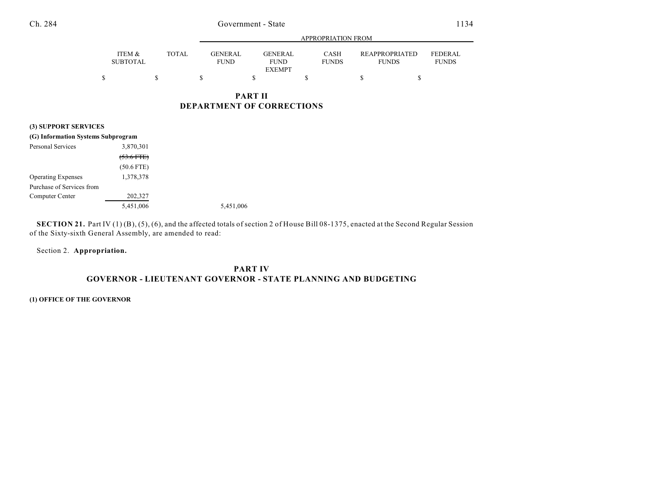|                           |              |                               | APPROPRIATION FROM     |                             |                                       |                         |  |
|---------------------------|--------------|-------------------------------|------------------------|-----------------------------|---------------------------------------|-------------------------|--|
| ITEM &<br><b>SUBTOTAL</b> | <b>TOTAL</b> | <b>GENERAL</b><br><b>FUND</b> | GENERAL<br><b>FUND</b> | <b>CASH</b><br><b>FUNDS</b> | <b>REAPPROPRIATED</b><br><b>FUNDS</b> | FEDERAL<br><b>FUNDS</b> |  |
|                           |              |                               | <b>EXEMPT</b>          |                             |                                       |                         |  |
|                           |              |                               |                        |                             |                                       |                         |  |

## **PART II DEPARTMENT OF CORRECTIONS**

### **(3) SUPPORT SERVICES**

| (G) Information Systems Subprogram |              |           |
|------------------------------------|--------------|-----------|
| <b>Personal Services</b>           | 3,870,301    |           |
|                                    | $(53.6$ FTE) |           |
|                                    | $(50.6$ FTE) |           |
| <b>Operating Expenses</b>          | 1,378,378    |           |
| Purchase of Services from          |              |           |
| Computer Center                    | 202,327      |           |
|                                    | 5,451,006    | 5,451,006 |

**SECTION 21.** Part IV (1)(B), (5), (6), and the affected totals of section 2 of House Bill 08-1375, enacted at the Second Regular Session of the Sixty-sixth General Assembly, are amended to read:

Section 2. **Appropriation.**

## **PART IV GOVERNOR - LIEUTENANT GOVERNOR - STATE PLANNING AND BUDGETING**

#### **(1) OFFICE OF THE GOVERNOR**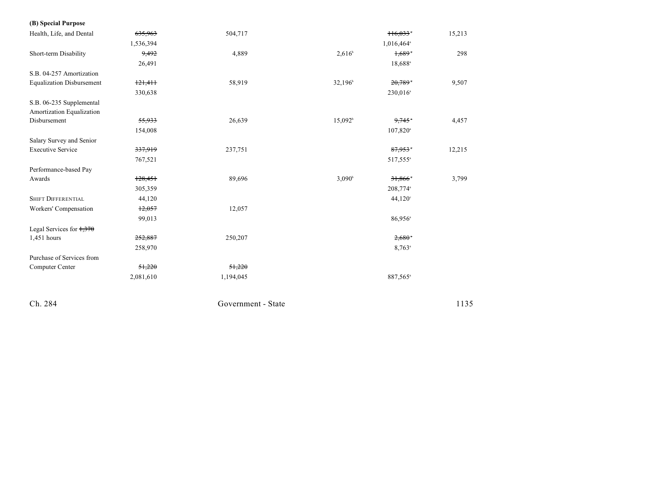| (B) Special Purpose                                   |           |           |                     |                        |        |
|-------------------------------------------------------|-----------|-----------|---------------------|------------------------|--------|
| Health, Life, and Dental                              | 635,963   | 504,717   |                     | 116,033                | 15,213 |
|                                                       | 1,536,394 |           |                     | 1,016,464 <sup>a</sup> |        |
| Short-term Disability                                 | 9,492     | 4,889     | $2,616^{\circ}$     | 1,689                  | 298    |
|                                                       | 26,491    |           |                     | 18,688 <sup>a</sup>    |        |
| S.B. 04-257 Amortization                              |           |           |                     |                        |        |
| <b>Equalization Disbursement</b>                      | 121,411   | 58,919    | 32,196 <sup>b</sup> | $20,789$ <sup>*</sup>  | 9,507  |
|                                                       | 330,638   |           |                     | 230,016 <sup>a</sup>   |        |
| S.B. 06-235 Supplemental<br>Amortization Equalization |           |           |                     |                        |        |
| Disbursement                                          | 55,933    | 26,639    | $15,092^b$          | 9,745                  | 4,457  |
|                                                       | 154,008   |           |                     | 107,820 <sup>a</sup>   |        |
| Salary Survey and Senior                              |           |           |                     |                        |        |
| <b>Executive Service</b>                              | 337,919   | 237,751   |                     | 87,953                 | 12,215 |
|                                                       | 767,521   |           |                     | 517,555 <sup>a</sup>   |        |
| Performance-based Pay                                 |           |           |                     |                        |        |
| Awards                                                | 128,451   | 89,696    | $3,090^{\rm b}$     | 31,866                 | 3,799  |
|                                                       | 305,359   |           |                     | 208,774 <sup>a</sup>   |        |
| <b>SHIFT DIFFERENTIAL</b>                             | 44,120    |           |                     | 44,120°                |        |
| Workers' Compensation                                 | 12,057    | 12,057    |                     |                        |        |
|                                                       | 99,013    |           |                     | 86,956 <sup>a</sup>    |        |
| Legal Services for $1,370$                            |           |           |                     |                        |        |
| 1,451 hours                                           | 252,887   | 250,207   |                     | 2,680                  |        |
|                                                       | 258,970   |           |                     | $8,763$ <sup>a</sup>   |        |
| Purchase of Services from                             |           |           |                     |                        |        |
| Computer Center                                       | 51,220    | 51,220    |                     |                        |        |
|                                                       | 2,081,610 | 1,194,045 |                     | 887,565 <sup>a</sup>   |        |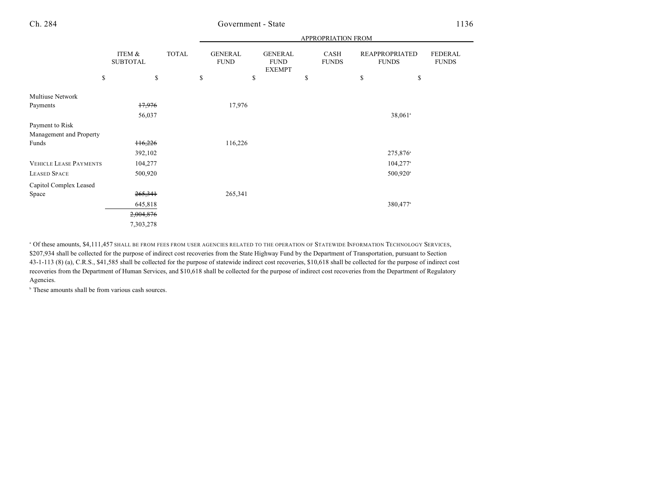|                               |                           |              | <b>APPROPRIATION FROM</b>     |                                                |                      |                                       |                         |  |  |  |
|-------------------------------|---------------------------|--------------|-------------------------------|------------------------------------------------|----------------------|---------------------------------------|-------------------------|--|--|--|
|                               | ITEM &<br><b>SUBTOTAL</b> | <b>TOTAL</b> | <b>GENERAL</b><br><b>FUND</b> | <b>GENERAL</b><br><b>FUND</b><br><b>EXEMPT</b> | CASH<br><b>FUNDS</b> | <b>REAPPROPRIATED</b><br><b>FUNDS</b> | FEDERAL<br><b>FUNDS</b> |  |  |  |
| \$                            | \$                        |              | \$                            | \$                                             | \$                   | \$<br>\$                              |                         |  |  |  |
| Multiuse Network              |                           |              |                               |                                                |                      |                                       |                         |  |  |  |
| Payments                      | 17,976                    |              | 17,976                        |                                                |                      |                                       |                         |  |  |  |
|                               | 56,037                    |              |                               |                                                |                      | 38,061 <sup>a</sup>                   |                         |  |  |  |
| Payment to Risk               |                           |              |                               |                                                |                      |                                       |                         |  |  |  |
| Management and Property       |                           |              |                               |                                                |                      |                                       |                         |  |  |  |
| Funds                         | 116,226                   |              | 116,226                       |                                                |                      |                                       |                         |  |  |  |
|                               | 392,102                   |              |                               |                                                |                      | 275,876 <sup>a</sup>                  |                         |  |  |  |
| <b>VEHICLE LEASE PAYMENTS</b> | 104,277                   |              |                               |                                                |                      | $104,277$ <sup>a</sup>                |                         |  |  |  |
| <b>LEASED SPACE</b>           | 500,920                   |              |                               |                                                |                      | $500,920$ <sup>a</sup>                |                         |  |  |  |
| Capitol Complex Leased        |                           |              |                               |                                                |                      |                                       |                         |  |  |  |
| Space                         | 265,341                   |              | 265,341                       |                                                |                      |                                       |                         |  |  |  |
|                               | 645,818                   |              |                               |                                                |                      | 380,477 <sup>a</sup>                  |                         |  |  |  |
|                               | 2,004,876                 |              |                               |                                                |                      |                                       |                         |  |  |  |
|                               | 7,303,278                 |              |                               |                                                |                      |                                       |                         |  |  |  |

" Of these amounts, \$4,111,457 shall be from fees from user agencies related to the operation of Statewide Information Technology Services, \$207,934 shall be collected for the purpose of indirect cost recoveries from the State Highway Fund by the Department of Transportation, pursuant to Section 43-1-113 (8) (a), C.R.S., \$41,585 shall be collected for the purpose of statewide indirect cost recoveries, \$10,618 shall be collected for the purpose of indirect cost recoveries from the Department of Human Services, and \$10,618 shall be collected for the purpose of indirect cost recoveries from the Department of Regulatory Agencies.

 $\,^{\circ}$  These amounts shall be from various cash sources.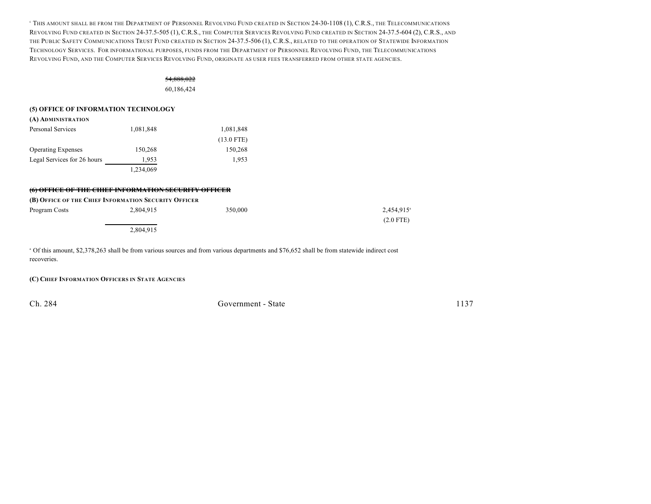<sup>e</sup> This amount shall be from the Department of Personnel Revolving Fund created in Section 24-30-1108 (1), C.R.S., the Telecommunications REVOLVING FUND CREATED IN SECTION 24-37.5-505 (1), C.R.S., THE COMPUTER SERVICES REVOLVING FUND CREATED IN SECTION 24-37.5-604 (2), C.R.S., AND THE PUBLIC SAFETY COMMUNICATIONS TRUST FUND CREATED IN SECTION 24-37.5-506 (1), C.R.S., RELATED TO THE OPERATION OF STATEWIDE INFORMATION TECHNOLOGY SERVICES. FOR INFORMATIONAL PURPOSES, FUNDS FROM THE DEPARTMENT OF PERSONNEL REVOLVING FUND, THE TELECOMMUNICATIONS REVOLVING FUND, AND THE COMPUTER SERVICES REVOLVING FUND, ORIGINATE AS USER FEES TRANSFERRED FROM OTHER STATE AGENCIES.

#### 54,888,022

60,186,424

#### **(5) OFFICE OF INFORMATION TECHNOLOGY**

| (A) ADMINISTRATION          |           |              |
|-----------------------------|-----------|--------------|
| Personal Services           | 1,081,848 | 1,081,848    |
|                             |           | $(13.0$ FTE) |
| <b>Operating Expenses</b>   | 150,268   | 150,268      |
| Legal Services for 26 hours | 1.953     | 1.953        |
|                             | 1,234,069 |              |

#### **(6) OFFICE OF THE CHIEF INFORMATION SECURITY OFFICER**

### **(B) OFFICE OF THE CHIEF INFORMATION SECURITY OFFICER**

| Program Costs | 2,804,915 | 350,000 | 2,454,915 <sup>a</sup> |
|---------------|-----------|---------|------------------------|
|               |           |         | $(2.0$ FTE)            |
|               | 2,804,915 |         |                        |

 Of this amount, \$2,378,263 shall be from various sources and from various departments and \$76,652 shall be from statewide indirect cost <sup>a</sup> recoveries.

#### **(C) CHIEF INFORMATION OFFICERS IN STATE AGENCIES**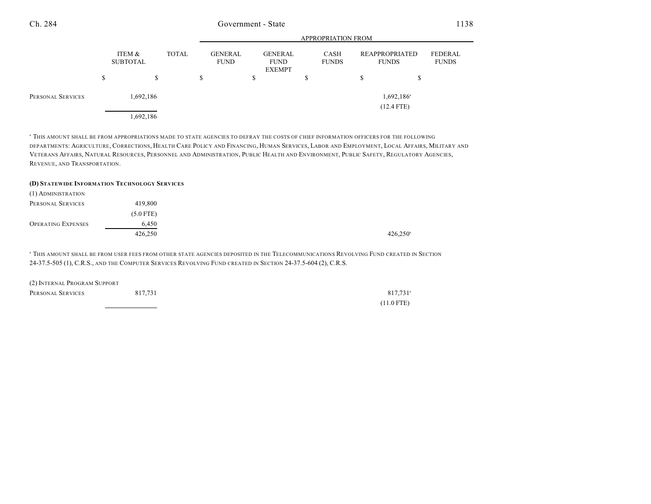|                                |   |                                           |    |                               |                                                |   | <b>APPROPRIATION FROM</b> |    |                                       |                         |
|--------------------------------|---|-------------------------------------------|----|-------------------------------|------------------------------------------------|---|---------------------------|----|---------------------------------------|-------------------------|
|                                |   | ITEM &<br><b>TOTAL</b><br><b>SUBTOTAL</b> |    | <b>GENERAL</b><br><b>FUND</b> | <b>GENERAL</b><br><b>FUND</b><br><b>EXEMPT</b> |   | CASH<br><b>FUNDS</b>      |    | <b>REAPPROPRIATED</b><br><b>FUNDS</b> | FEDERAL<br><b>FUNDS</b> |
|                                | D | \$                                        | \$ |                               | \$                                             | D |                           | S. | J.D                                   |                         |
| 1,692,186<br>PERSONAL SERVICES |   |                                           |    |                               |                                                |   | 1,692,186 <sup>a</sup>    |    |                                       |                         |
|                                |   | 1,692,186                                 |    |                               |                                                |   |                           |    | $(12.4$ FTE)                          |                         |

 $^{\rm a}$  THIS AMOUNT SHALL BE FROM APPROPRIATIONS MADE TO STATE AGENCIES TO DEFRAY THE COSTS OF CHIEF INFORMATION OFFICERS FOR THE FOLLOWING DEPARTMENTS: AGRICULTURE, CORRECTIONS, HEALTH CARE POLICY AND FINANCING, HUMAN SERVICES, LABOR AND EMPLOYMENT, LOCAL AFFAIRS, MILITARY AND VETERANS AFFAIRS, NATURAL RESOURCES, PERSONNEL AND ADMINISTRATION, PUBLIC HEALTH AND ENVIRONMENT, PUBLIC SAFETY, REGULATORY AGENCIES, REVENUE, AND TRANSPORTATION.

#### **(D) STATEWIDE INFORMATION TECHNOLOGY SERVICES**

| (1) ADMINISTRATION        |             |                        |
|---------------------------|-------------|------------------------|
| PERSONAL SERVICES         | 419,800     |                        |
|                           | $(5.0$ FTE) |                        |
| <b>OPERATING EXPENSES</b> | 6.450       |                        |
|                           | 426,250     | $426,250$ <sup>a</sup> |

<sup>a</sup> This amount shall be from user fees from other state agencies deposited in the Telecommunications Revolving Fund created in Section 24-37.5-505 (1), C.R.S., AND THE COMPUTER SERVICES REVOLVING FUND CREATED IN SECTION 24-37.5-604 (2), C.R.S.

| (2) INTERNAL PROGRAM SUPPORT |         |                      |
|------------------------------|---------|----------------------|
| PERSONAL SERVICES            | 817.731 | 817.731 <sup>a</sup> |
|                              |         | $(11.0$ FTE)         |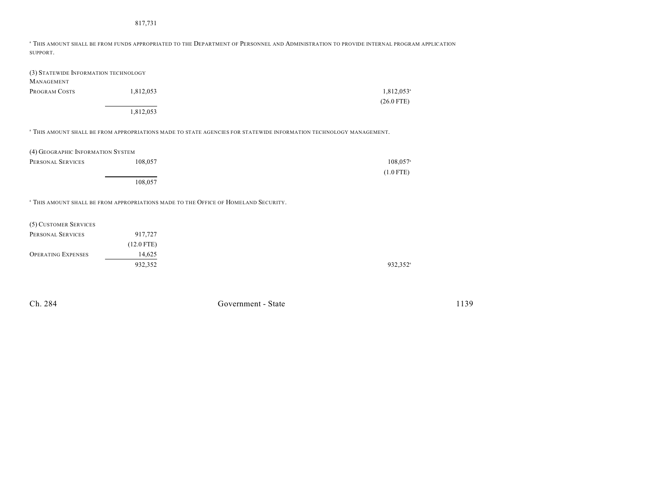#### 817,731

<sup>a</sup> This amount shall be from funds appropriated to the Department of Personnel and Administration to provide internal program application SUPPORT.

| (3) STATEWIDE INFORMATION TECHNOLOGY |           |                          |
|--------------------------------------|-----------|--------------------------|
| <b>MANAGEMENT</b>                    |           |                          |
| PROGRAM COSTS                        | 1.812.053 | $1,812,053$ <sup>a</sup> |
|                                      |           | $(26.0$ FTE)             |
|                                      | 1,812,053 |                          |

 $^{\rm a}$  THIS AMOUNT SHALL BE FROM APPROPRIATIONS MADE TO STATE AGENCIES FOR STATEWIDE INFORMATION TECHNOLOGY MANAGEMENT.

| (4) GEOGRAPHIC INFORMATION SYSTEM |         |                        |
|-----------------------------------|---------|------------------------|
| PERSONAL SERVICES                 | 108,057 | $108.057$ <sup>a</sup> |
|                                   |         | $(1.0$ FTE)            |
|                                   | 108,057 |                        |

**THIS AMOUNT SHALL BE FROM APPROPRIATIONS MADE TO THE OFFICE OF HOMELAND SECURITY.** 

| (5) CUSTOMER SERVICES     |              |
|---------------------------|--------------|
| PERSONAL SERVICES         | 917,727      |
|                           | $(12.0$ FTE) |
| <b>OPERATING EXPENSES</b> | 14.625       |
|                           | 932,352      |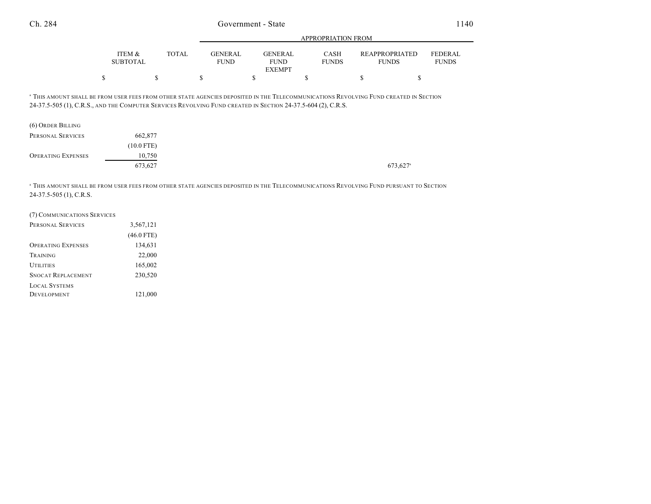|                           |              | APPROPRIATION FROM                                             |                             |  |                                       |                                |
|---------------------------|--------------|----------------------------------------------------------------|-----------------------------|--|---------------------------------------|--------------------------------|
| ITEM &<br><b>SUBTOTAL</b> | <b>TOTAL</b> | <b>GENERAL</b><br><b>GENERAL</b><br><b>FUND</b><br><b>FUND</b> | <b>CASH</b><br><b>FUNDS</b> |  | <b>REAPPROPRIATED</b><br><b>FUNDS</b> | <b>FEDERAL</b><br><b>FUNDS</b> |
|                           |              | <b>EXEMPT</b>                                                  |                             |  |                                       |                                |
|                           |              |                                                                |                             |  |                                       |                                |

<sup>a</sup> THIS AMOUNT SHALL BE FROM USER FEES FROM OTHER STATE AGENCIES DEPOSITED IN THE TELECOMMUNICATIONS REVOLVING FUND CREATED IN SECTION 24-37.5-505 (1), C.R.S., AND THE COMPUTER SERVICES REVOLVING FUND CREATED IN SECTION 24-37.5-604 (2), C.R.S.

| (6) ORDER BILLING         |              |
|---------------------------|--------------|
| PERSONAL SERVICES         | 662,877      |
|                           | $(10.0$ FTE) |
| <b>OPERATING EXPENSES</b> | 10,750       |
|                           | 673,627      |

<sup>a</sup> THIS AMOUNT SHALL BE FROM USER FEES FROM OTHER STATE AGENCIES DEPOSITED IN THE TELECOMMUNICATIONS REVOLVING FUND PURSUANT TO SECTION 24-37.5-505 (1), C.R.S.

| (7) COMMUNICATIONS SERVICES |              |
|-----------------------------|--------------|
| PERSONAL SERVICES           | 3,567,121    |
|                             | $(46.0$ FTE) |
| <b>OPERATING EXPENSES</b>   | 134,631      |
| TRAINING                    | 22,000       |
| <b>UTILITIES</b>            | 165,002      |
| <b>SNOCAT REPLACEMENT</b>   | 230,520      |
| <b>LOCAL SYSTEMS</b>        |              |
| <b>DEVELOPMENT</b>          | 121,000      |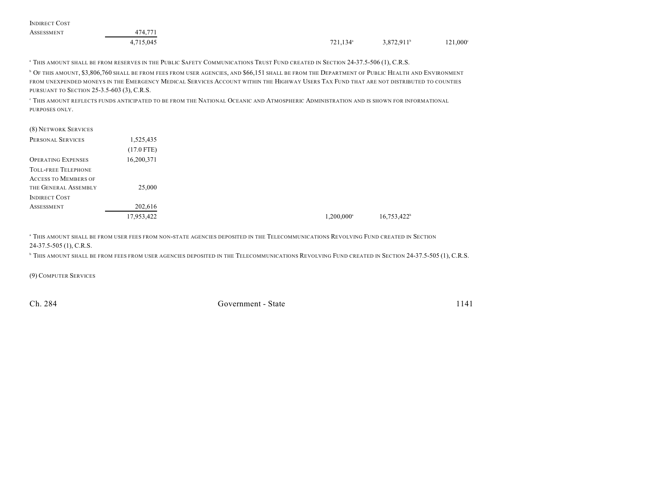| <b>INDIRECT COST</b> |           |                      |                     |                   |
|----------------------|-----------|----------------------|---------------------|-------------------|
| ASSESSMENT           | 474,771   |                      |                     |                   |
|                      | 4,715,045 | 721.134 <sup>a</sup> | $3,872,911^{\circ}$ | $121,000^{\circ}$ |

<sup>a</sup> This amount shall be from reserves in the Public Safety Communications Trust Fund created in Section 24-37.5-506 (1), C.R.S.

**D** OF THIS AMOUNT, \$3,806,760 SHALL BE FROM FEES FROM USER AGENCIES, AND \$66,151 SHALL BE FROM THE DEPARTMENT OF PUBLIC HEALTH AND ENVIRONMENT FROM UNEXPENDED MONEYS IN THE EMERGENCY MEDICAL SERVICES ACCOUNT WITHIN THE HIGHWAY USERS TAX FUND THAT ARE NOT DISTRIBUTED TO COUNTIES PURSUANT TO SECTION 25-3.5-603 (3), C.R.S.

 $^{\rm c}$  This amount reflects funds anticipated to be from the National Oceanic and Atmospheric Administration and is shown for informational PURPOSES ONLY.

| (8) NETWORK SERVICES                    |  |
|-----------------------------------------|--|
| PERSONAL SERVICES<br>1,525,435          |  |
| $(17.0$ FTE)                            |  |
| 16,200,371<br><b>OPERATING EXPENSES</b> |  |
| <b>TOLL-FREE TELEPHONE</b>              |  |
| <b>ACCESS TO MEMBERS OF</b>             |  |
| THE GENERAL ASSEMBLY<br>25,000          |  |
| <b>INDIRECT COST</b>                    |  |
| 202,616<br><b>ASSESSMENT</b>            |  |
|                                         |  |

<sup>a</sup> THIS AMOUNT SHALL BE FROM USER FEES FROM NON-STATE AGENCIES DEPOSITED IN THE TELECOMMUNICATIONS REVOLVING FUND CREATED IN SECTION 24-37.5-505 (1), C.R.S.

<sup>b</sup> This amount shall be from fees from user agencies deposited in the Telecommunications Revolving Fund created in Section 24-37.5-505 (1), C.R.S.

(9) COMPUTER SERVICES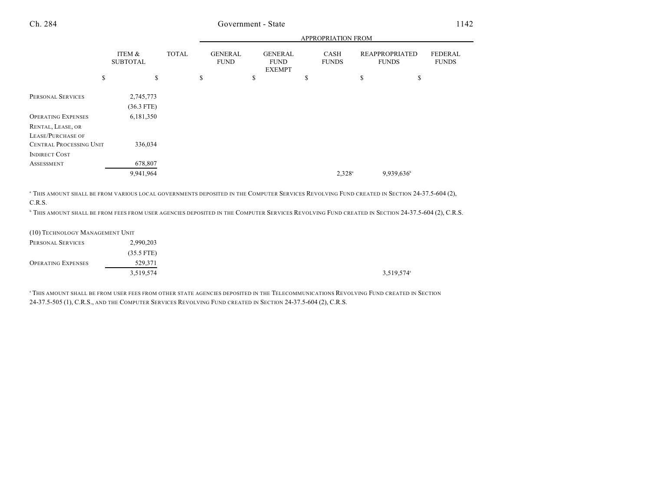|                                                                   |                           |              |    |                               | APPROPRIATION FROM |                                                |    |                             |    |                                       |                                |
|-------------------------------------------------------------------|---------------------------|--------------|----|-------------------------------|--------------------|------------------------------------------------|----|-----------------------------|----|---------------------------------------|--------------------------------|
|                                                                   | ITEM &<br><b>SUBTOTAL</b> | <b>TOTAL</b> |    | <b>GENERAL</b><br><b>FUND</b> |                    | <b>GENERAL</b><br><b>FUND</b><br><b>EXEMPT</b> |    | <b>CASH</b><br><b>FUNDS</b> |    | <b>REAPPROPRIATED</b><br><b>FUNDS</b> | <b>FEDERAL</b><br><b>FUNDS</b> |
|                                                                   | \$<br>\$                  |              | \$ |                               | \$                 |                                                | \$ |                             | \$ | \$                                    |                                |
| PERSONAL SERVICES                                                 | 2,745,773<br>$(36.3$ FTE) |              |    |                               |                    |                                                |    |                             |    |                                       |                                |
| <b>OPERATING EXPENSES</b>                                         | 6,181,350                 |              |    |                               |                    |                                                |    |                             |    |                                       |                                |
| RENTAL, LEASE, OR<br>LEASE/PURCHASE OF<br>CENTRAL PROCESSING UNIT | 336,034                   |              |    |                               |                    |                                                |    |                             |    |                                       |                                |
| <b>INDIRECT COST</b>                                              |                           |              |    |                               |                    |                                                |    |                             |    |                                       |                                |
| ASSESSMENT                                                        | 678,807                   |              |    |                               |                    |                                                |    |                             |    |                                       |                                |
|                                                                   | 9,941,964                 |              |    |                               |                    |                                                |    | $2,328^{\circ}$             |    | 9,939,636                             |                                |
|                                                                   |                           |              |    |                               |                    |                                                |    |                             |    |                                       |                                |

<sup>a</sup> This amount shall be from various local governments deposited in the Computer Services Revolving Fund created in Section 24-37.5-604 (2), C.R.S.

<sup>b</sup> This amount shall be from fees from user agencies deposited in the Computer Services Revolving Fund created in Section 24-37.5-604 (2), C.R.S.

(10) TECHNOLOGY MANAGEMENT UNIT

| PERSONAL SERVICES         | 2,990,203    |           |
|---------------------------|--------------|-----------|
|                           | $(35.5$ FTE) |           |
| <b>OPERATING EXPENSES</b> | 529,371      |           |
|                           | 3,519,574    | 3,519,574 |

<sup>a</sup> THIS AMOUNT SHALL BE FROM USER FEES FROM OTHER STATE AGENCIES DEPOSITED IN THE TELECOMMUNICATIONS REVOLVING FUND CREATED IN SECTION 24-37.5-505 (1), C.R.S., AND THE COMPUTER SERVICES REVOLVING FUND CREATED IN SECTION 24-37.5-604 (2), C.R.S.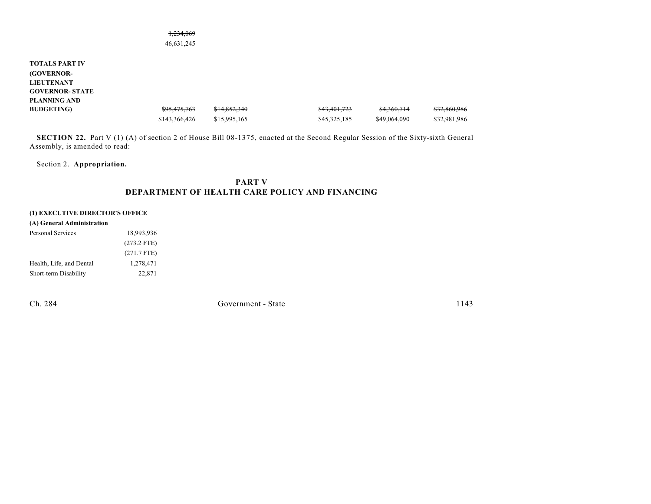|                        | 46,631,245               |              |              |              |              |
|------------------------|--------------------------|--------------|--------------|--------------|--------------|
| <b>TOTALS PART IV</b>  |                          |              |              |              |              |
| <b>(GOVERNOR-</b>      |                          |              |              |              |              |
| <b>LIEUTENANT</b>      |                          |              |              |              |              |
| <b>GOVERNOR- STATE</b> |                          |              |              |              |              |
| <b>PLANNING AND</b>    |                          |              |              |              |              |
| <b>BUDGETING</b> )     | 005175762<br>575.475.705 | \$14,852,340 | \$43,401,723 | \$4,360,714  | \$32,860,986 |
|                        | \$143,366,426            | \$15,995,165 | \$45,325,185 | \$49,064,090 | \$32,981,986 |

1,234,069

**SECTION 22.** Part V (1) (A) of section 2 of House Bill 08-1375, enacted at the Second Regular Session of the Sixty-sixth General Assembly, is amended to read:

Section 2. **Appropriation.**

## **PART V DEPARTMENT OF HEALTH CARE POLICY AND FINANCING**

### **(1) EXECUTIVE DIRECTOR'S OFFICE**

| 18,993,936       |
|------------------|
| $(273.2$ FTE $)$ |
| $(271.7$ FTE)    |
| 1,278,471        |
| 22,871           |
|                  |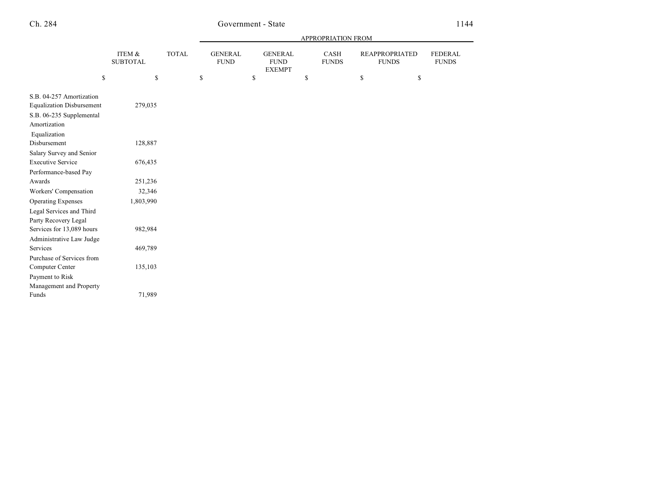|                                                                                                          |                           |              | APPROPRIATION FROM |                               |    |                                                |    |                      |    |                                       |                                |
|----------------------------------------------------------------------------------------------------------|---------------------------|--------------|--------------------|-------------------------------|----|------------------------------------------------|----|----------------------|----|---------------------------------------|--------------------------------|
|                                                                                                          | ITEM &<br><b>SUBTOTAL</b> | <b>TOTAL</b> |                    | <b>GENERAL</b><br><b>FUND</b> |    | <b>GENERAL</b><br><b>FUND</b><br><b>EXEMPT</b> |    | CASH<br><b>FUNDS</b> |    | <b>REAPPROPRIATED</b><br><b>FUNDS</b> | <b>FEDERAL</b><br><b>FUNDS</b> |
| \$                                                                                                       | \$                        |              | \$                 |                               | \$ |                                                | \$ |                      | \$ | \$                                    |                                |
| S.B. 04-257 Amortization<br><b>Equalization Disbursement</b><br>S.B. 06-235 Supplemental<br>Amortization | 279,035                   |              |                    |                               |    |                                                |    |                      |    |                                       |                                |
| Equalization<br>Disbursement                                                                             | 128,887                   |              |                    |                               |    |                                                |    |                      |    |                                       |                                |
| Salary Survey and Senior<br><b>Executive Service</b>                                                     | 676,435                   |              |                    |                               |    |                                                |    |                      |    |                                       |                                |
| Performance-based Pay<br>Awards                                                                          | 251,236                   |              |                    |                               |    |                                                |    |                      |    |                                       |                                |
| Workers' Compensation<br><b>Operating Expenses</b>                                                       | 32,346<br>1,803,990       |              |                    |                               |    |                                                |    |                      |    |                                       |                                |
| Legal Services and Third<br>Party Recovery Legal                                                         |                           |              |                    |                               |    |                                                |    |                      |    |                                       |                                |
| Services for 13,089 hours<br>Administrative Law Judge                                                    | 982,984                   |              |                    |                               |    |                                                |    |                      |    |                                       |                                |
| Services                                                                                                 | 469,789                   |              |                    |                               |    |                                                |    |                      |    |                                       |                                |
| Purchase of Services from<br>Computer Center<br>Payment to Risk<br>Management and Property               | 135,103                   |              |                    |                               |    |                                                |    |                      |    |                                       |                                |
| Funds                                                                                                    | 71,989                    |              |                    |                               |    |                                                |    |                      |    |                                       |                                |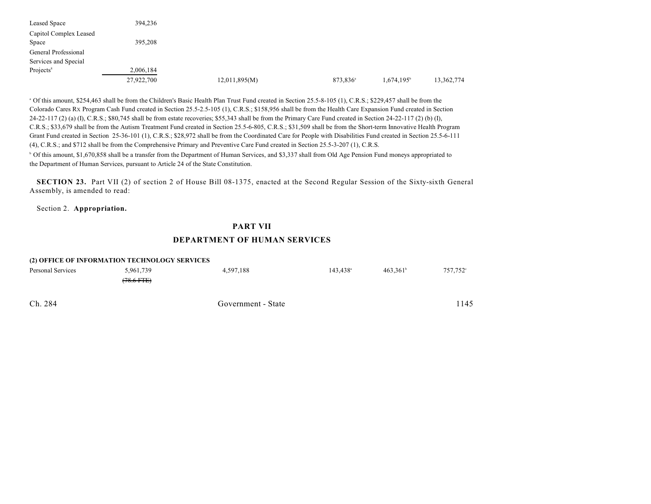| Leased Space           | 394,236    |               |                      |                        |            |
|------------------------|------------|---------------|----------------------|------------------------|------------|
| Capitol Complex Leased |            |               |                      |                        |            |
| Space                  | 395,208    |               |                      |                        |            |
| General Professional   |            |               |                      |                        |            |
| Services and Special   |            |               |                      |                        |            |
| Projects <sup>8</sup>  | 2,006,184  |               |                      |                        |            |
|                        | 27,922,700 | 12,011,895(M) | 873,836 <sup>a</sup> | 1,674,195 <sup>b</sup> | 13,362,774 |

<sup>a</sup> Of this amount, \$254,463 shall be from the Children's Basic Health Plan Trust Fund created in Section 25.5-8-105 (1), C.R.S.; \$229,457 shall be from the Colorado Cares RX Program Cash Fund created in Section 25.5-2.5-105 (1), C.R.S.; \$158,956 shall be from the Health Care Expansion Fund created in Section 24-22-117 (2) (a) (I), C.R.S.; \$80,745 shall be from estate recoveries; \$55,343 shall be from the Primary Care Fund created in Section 24-22-117 (2) (b) (I), C.R.S.; \$33,679 shall be from the Autism Treatment Fund created in Section 25.5-6-805, C.R.S.; \$31,509 shall be from the Short-term Innovative Health Program Grant Fund created in Section 25-36-101 (1), C.R.S.; \$28,972 shall be from the Coordinated Care for People with Disabilities Fund created in Section 25.5-6-111 (4), C.R.S.; and \$712 shall be from the Comprehensive Primary and Preventive Care Fund created in Section 25.5-3-207 (1), C.R.S.

<sup>b</sup> Of this amount, \$1,670,858 shall be a transfer from the Department of Human Services, and \$3,337 shall from Old Age Pension Fund moneys appropriated to the Department of Human Services, pursuant to Article 24 of the State Constitution.

**SECTION 23.** Part VII (2) of section 2 of House Bill 08-1375, enacted at the Second Regular Session of the Sixty-sixth General Assembly, is amended to read:

Section 2. **Appropriation.**

# **PART VII DEPARTMENT OF HUMAN SERVICES**

|                   | (2) OFFICE OF INFORMATION TECHNOLOGY SERVICES |                    |                        |                      |                      |
|-------------------|-----------------------------------------------|--------------------|------------------------|----------------------|----------------------|
| Personal Services | 5,961,739                                     | 4.597.188          | $143.438$ <sup>a</sup> | 463.361 <sup>b</sup> | 757.752 <sup>c</sup> |
|                   | $(78.6 \text{ FFE})$                          |                    |                        |                      |                      |
| Ch. 284           |                                               | Government - State |                        |                      | 1145                 |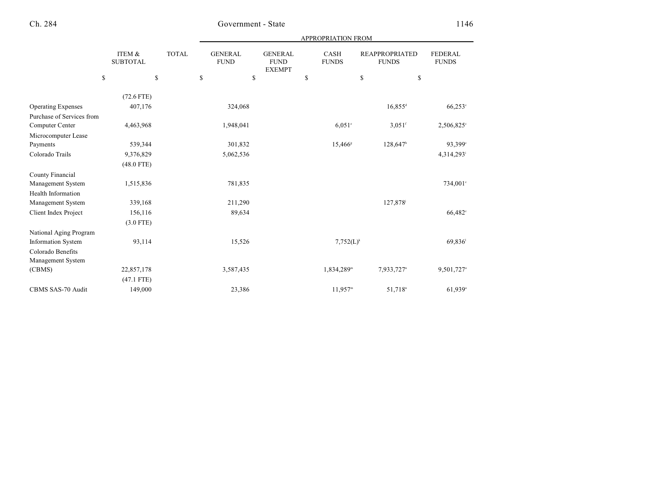| <b>APPROPRIATION FROM</b> |  |
|---------------------------|--|
|                           |  |

|                           | ITEM &<br><b>SUBTOTAL</b> | <b>TOTAL</b> | <b>GENERAL</b><br><b>FUND</b> | <b>GENERAL</b><br><b>FUND</b><br><b>EXEMPT</b> | CASH<br><b>FUNDS</b>     | <b>REAPPROPRIATED</b><br><b>FUNDS</b> | <b>FEDERAL</b><br><b>FUNDS</b> |
|---------------------------|---------------------------|--------------|-------------------------------|------------------------------------------------|--------------------------|---------------------------------------|--------------------------------|
|                           | $\mathbf S$               | \$<br>\$     |                               | \$                                             | \$<br>\$                 |                                       | \$                             |
|                           | $(72.6$ FTE)              |              |                               |                                                |                          |                                       |                                |
| <b>Operating Expenses</b> | 407,176                   |              | 324,068                       |                                                |                          | $16,855$ <sup>d</sup>                 | $66,253$ °                     |
| Purchase of Services from |                           |              |                               |                                                |                          |                                       |                                |
| Computer Center           | 4,463,968                 |              | 1,948,041                     |                                                | $6.051^{\circ}$          | $3,051$ <sup>f</sup>                  | 2,506,825°                     |
| Microcomputer Lease       |                           |              |                               |                                                |                          |                                       |                                |
| Payments                  | 539,344                   |              | 301,832                       |                                                | $15,466$ <sup>s</sup>    | $128,647$ <sup>h</sup>                | 93,399°                        |
| Colorado Trails           | 9,376,829                 |              | 5,062,536                     |                                                |                          |                                       | 4,314,293                      |
|                           | $(48.0$ FTE)              |              |                               |                                                |                          |                                       |                                |
| County Financial          |                           |              |                               |                                                |                          |                                       |                                |
| Management System         | 1,515,836                 |              | 781,835                       |                                                |                          |                                       | 734,001°                       |
| <b>Health Information</b> |                           |              |                               |                                                |                          |                                       |                                |
| Management System         | 339,168                   |              | 211,290                       |                                                |                          | 127,878 <sup>j</sup>                  |                                |
| Client Index Project      | 156,116                   |              | 89,634                        |                                                |                          |                                       | 66,482 <sup>c</sup>            |
|                           | $(3.0$ FTE)               |              |                               |                                                |                          |                                       |                                |
| National Aging Program    |                           |              |                               |                                                |                          |                                       |                                |
| Information System        | 93,114                    |              | 15,526                        |                                                | $7,752(L)^k$             |                                       | 69,836                         |
| Colorado Benefits         |                           |              |                               |                                                |                          |                                       |                                |
| Management System         |                           |              |                               |                                                |                          |                                       |                                |
| (CBMS)                    | 22,857,178                |              | 3,587,435                     |                                                | $1,834,289$ <sup>m</sup> | 7,933,727 <sup>n</sup>                | 9,501,727°                     |
|                           | $(47.1$ FTE)              |              |                               |                                                |                          |                                       |                                |
| <b>CBMS SAS-70 Audit</b>  | 149,000                   |              | 23,386                        |                                                | $11,957^m$               | 51,718 <sup>n</sup>                   | 61,939°                        |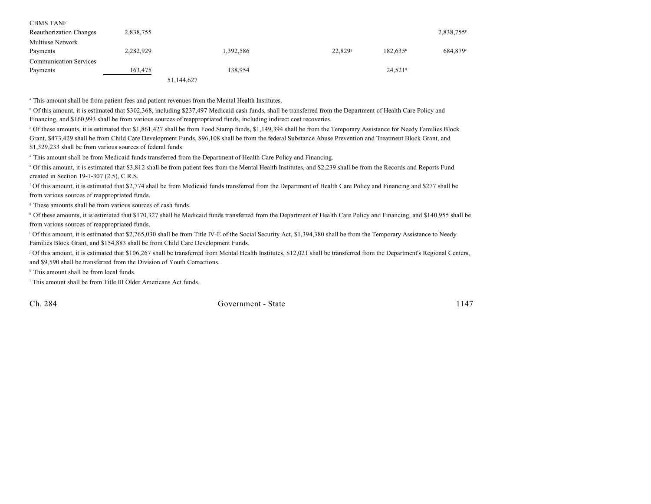| <b>CBMS TANF</b>               |           |            |                       |                       |                        |
|--------------------------------|-----------|------------|-----------------------|-----------------------|------------------------|
| <b>Reauthorization Changes</b> | 2,838,755 |            |                       |                       | 2,838,755 <sup>P</sup> |
| Multiuse Network               |           |            |                       |                       |                        |
| Payments                       | 2,282,929 | 1,392,586  | $22,829$ <sup>s</sup> | $182,635^h$           | 684,879 <sup>c</sup>   |
| <b>Communication Services</b>  |           |            |                       |                       |                        |
| Payments                       | 163,475   | 138.954    |                       | $24,521$ <sup>q</sup> |                        |
|                                |           | 51,144,627 |                       |                       |                        |

<sup>a</sup> This amount shall be from patient fees and patient revenues from the Mental Health Institutes.

<sup>b</sup> Of this amount, it is estimated that \$302,368, including \$237,497 Medicaid cash funds, shall be transferred from the Department of Health Care Policy and Financing, and \$160,993 shall be from various sources of reappropriated funds, including indirect cost recoveries.

 Of these amounts, it is estimated that \$1,861,427 shall be from Food Stamp funds, \$1,149,394 shall be from the Temporary Assistance for Needy Families Block <sup>c</sup> Grant, \$473,429 shall be from Child Care Development Funds, \$96,108 shall be from the federal Substance Abuse Prevention and Treatment Block Grant, and \$1,329,233 shall be from various sources of federal funds.

<sup>d</sup> This amount shall be from Medicaid funds transferred from the Department of Health Care Policy and Financing.

 Of this amount, it is estimated that \$3,812 shall be from patient fees from the Mental Health Institutes, and \$2,239 shall be from the Records and Reports Fund <sup>e</sup> created in Section 19-1-307 (2.5), C.R.S.

 Of this amount, it is estimated that \$2,774 shall be from Medicaid funds transferred from the Department of Health Care Policy and Financing and \$277 shall be <sup>f</sup> from various sources of reappropriated funds.

<sup>8</sup> These amounts shall be from various sources of cash funds.

<sup>h</sup> Of these amounts, it is estimated that \$170,327 shall be Medicaid funds transferred from the Department of Health Care Policy and Financing, and \$140,955 shall be from various sources of reappropriated funds.

<sup>1</sup> Of this amount, it is estimated that \$2,765,030 shall be from Title IV-E of the Social Security Act, \$1,394,380 shall be from the Temporary Assistance to Needy Families Block Grant, and \$154,883 shall be from Child Care Development Funds.

<sup>j</sup> Of this amount, it is estimated that \$106,267 shall be transferred from Mental Health Institutes, \$12,021 shall be transferred from the Department's Regional Centers, and \$9,590 shall be transferred from the Division of Youth Corrections.

 $*$  This amount shall be from local funds.

<sup>1</sup> This amount shall be from Title III Older Americans Act funds.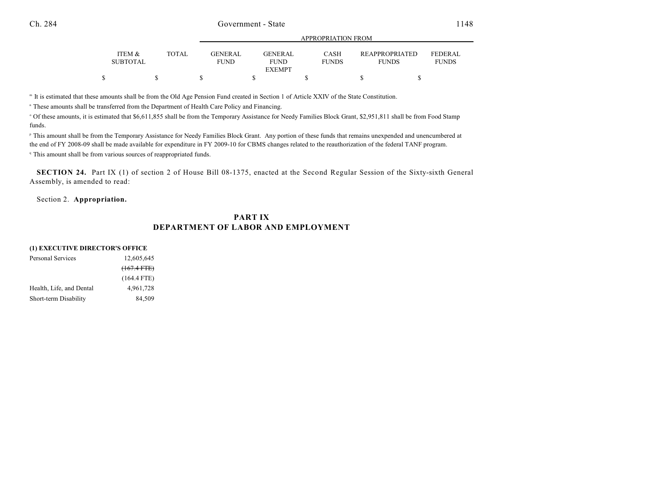|                           |       | APPROPRIATION FROM            |                               |                             |                                       |                                |  |  |  |  |
|---------------------------|-------|-------------------------------|-------------------------------|-----------------------------|---------------------------------------|--------------------------------|--|--|--|--|
| ITEM &<br><b>SUBTOTAL</b> | TOTAL | <b>GENERAL</b><br><b>FUND</b> | <b>GENERAL</b><br><b>FUND</b> | <b>CASH</b><br><b>FUNDS</b> | <b>REAPPROPRIATED</b><br><b>FUNDS</b> | <b>FEDERAL</b><br><b>FUNDS</b> |  |  |  |  |
|                           |       |                               | <b>EXEMPT</b>                 |                             |                                       |                                |  |  |  |  |
| Φ                         |       |                               |                               |                             |                                       |                                |  |  |  |  |

It is estimated that these amounts shall be from the Old Age Pension Fund created in Section 1 of Article XXIV of the State Constitution. <sup>m</sup>

" These amounts shall be transferred from the Department of Health Care Policy and Financing.

<sup>o</sup> Of these amounts, it is estimated that \$6,611,855 shall be from the Temporary Assistance for Needy Families Block Grant, \$2,951,811 shall be from Food Stamp funds.

P This amount shall be from the Temporary Assistance for Needy Families Block Grant. Any portion of these funds that remains unexpended and unencumbered at the end of FY 2008-09 shall be made available for expenditure in FY 2009-10 for CBMS changes related to the reauthorization of the federal TANF program.

<sup>q</sup> This amount shall be from various sources of reappropriated funds.

**SECTION 24.** Part IX (1) of section 2 of House Bill 08-1375, enacted at the Second Regular Session of the Sixty-sixth General Assembly, is amended to read:

Section 2. **Appropriation.**

## **PART IX DEPARTMENT OF LABOR AND EMPLOYMENT**

#### **(1) EXECUTIVE DIRECTOR'S OFFICE**

| Personal Services        | 12,605,645    |
|--------------------------|---------------|
|                          | $(167.4$ FTE) |
|                          | $(164.4$ FTE) |
| Health, Life, and Dental | 4,961,728     |
| Short-term Disability    | 84,509        |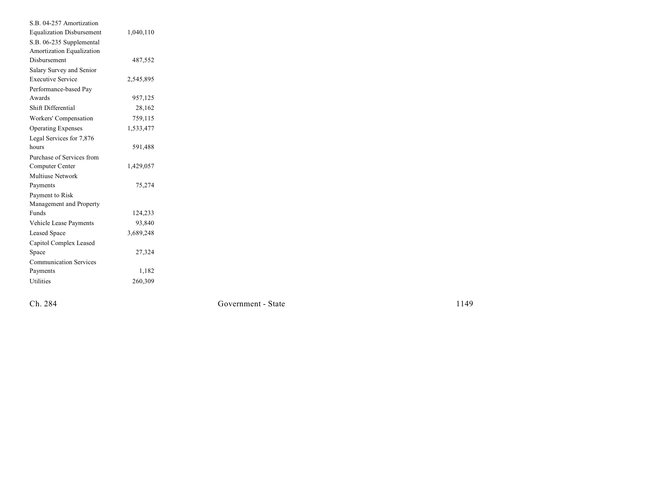| S.B. 04-257 Amortization         |           |  |
|----------------------------------|-----------|--|
| <b>Equalization Disbursement</b> | 1,040,110 |  |
| S.B. 06-235 Supplemental         |           |  |
| Amortization Equalization        |           |  |
| Disbursement                     | 487,552   |  |
| Salary Survey and Senior         |           |  |
| <b>Executive Service</b>         | 2,545,895 |  |
| Performance-based Pay            |           |  |
| Awards                           | 957,125   |  |
| Shift Differential               | 28,162    |  |
| Workers' Compensation            | 759,115   |  |
| <b>Operating Expenses</b>        | 1,533,477 |  |
| Legal Services for 7,876         |           |  |
| hours                            | 591,488   |  |
| Purchase of Services from        |           |  |
| Computer Center                  | 1,429,057 |  |
| Multiuse Network                 |           |  |
| Payments                         | 75,274    |  |
| Payment to Risk                  |           |  |
| Management and Property          |           |  |
| Funds                            | 124,233   |  |
| Vehicle Lease Payments           | 93,840    |  |
| <b>Leased Space</b>              | 3,689,248 |  |
| Capitol Complex Leased           |           |  |
| Space                            | 27,324    |  |
| <b>Communication Services</b>    |           |  |
| Payments                         | 1,182     |  |
| Utilities                        | 260,309   |  |
|                                  |           |  |

Ch. 284

Government - Stat

 $e$  1149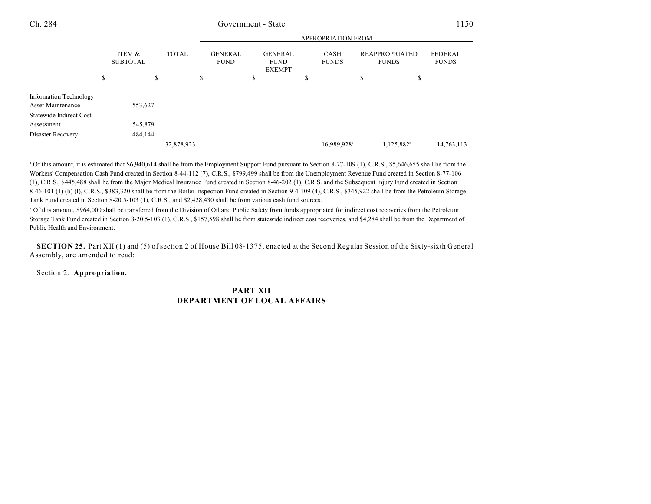APPROPRIATION FROM

|                                             |    |                           |    |            | APPROPRIATION FROM |  |                               |  |                                                |                         |                             |                                       |            |                                |
|---------------------------------------------|----|---------------------------|----|------------|--------------------|--|-------------------------------|--|------------------------------------------------|-------------------------|-----------------------------|---------------------------------------|------------|--------------------------------|
|                                             |    | ITEM &<br><b>SUBTOTAL</b> |    |            | <b>TOTAL</b>       |  | <b>GENERAL</b><br><b>FUND</b> |  | <b>GENERAL</b><br><b>FUND</b><br><b>EXEMPT</b> |                         | <b>CASH</b><br><b>FUNDS</b> | <b>REAPPROPRIATED</b><br><b>FUNDS</b> |            | <b>FEDERAL</b><br><b>FUNDS</b> |
|                                             | \$ |                           | \$ |            | \$                 |  | \$                            |  | \$                                             |                         | \$                          | \$                                    |            |                                |
| Information Technology<br>Asset Maintenance |    | 553,627                   |    |            |                    |  |                               |  |                                                |                         |                             |                                       |            |                                |
| Statewide Indirect Cost                     |    |                           |    |            |                    |  |                               |  |                                                |                         |                             |                                       |            |                                |
| Assessment                                  |    | 545,879                   |    |            |                    |  |                               |  |                                                |                         |                             |                                       |            |                                |
| Disaster Recovery                           |    | 484,144                   |    |            |                    |  |                               |  |                                                |                         |                             |                                       |            |                                |
|                                             |    |                           |    | 32,878,923 |                    |  |                               |  |                                                | 16,989,928 <sup>a</sup> |                             | 1,125,882 <sup>b</sup>                | 14,763,113 |                                |

<sup>a</sup> Of this amount, it is estimated that \$6,940,614 shall be from the Employment Support Fund pursuant to Section 8-77-109 (1), C.R.S., \$5,646,655 shall be from the Workers' Compensation Cash Fund created in Section 8-44-112 (7), C.R.S., \$799,499 shall be from the Unemployment Revenue Fund created in Section 8-77-106 (1), C.R.S., \$445,488 shall be from the Major Medical Insurance Fund created in Section 8-46-202 (1), C.R.S. and the Subsequent Injury Fund created in Section 8-46-101 (1) (b) (I), C.R.S., \$383,320 shall be from the Boiler Inspection Fund created in Section 9-4-109 (4), C.R.S., \$345,922 shall be from the Petroleum Storage Tank Fund created in Section 8-20.5-103 (1), C.R.S., and \$2,428,430 shall be from various cash fund sources.

<sup>b</sup> Of this amount, \$964,000 shall be transferred from the Division of Oil and Public Safety from funds appropriated for indirect cost recoveries from the Petroleum Storage Tank Fund created in Section 8-20.5-103 (1), C.R.S., \$157,598 shall be from statewide indirect cost recoveries, and \$4,284 shall be from the Department of Public Health and Environment.

**SECTION 25.** Part XII (1) and (5) of section 2 of House Bill 08-1375, enacted at the Second Regular Session of the Sixty-sixth General Assembly, are amended to read:

Section 2. **Appropriation.**

## **PART XII DEPARTMENT OF LOCAL AFFAIRS**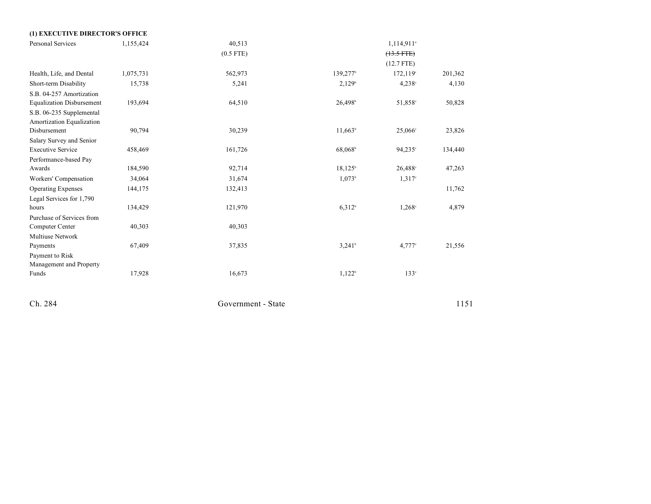| (1) EXECUTIVE DIRECTOR'S OFFICE  |           |             |                      |                        |         |
|----------------------------------|-----------|-------------|----------------------|------------------------|---------|
| Personal Services                | 1,155,424 | 40,513      |                      | 1,114,911 <sup>a</sup> |         |
|                                  |           | $(0.5$ FTE) |                      | $(13.5 FTE)$           |         |
|                                  |           |             |                      | $(12.7$ FTE)           |         |
| Health, Life, and Dental         | 1,075,731 | 562,973     | 139,277 <sup>b</sup> | 172,119°               | 201,362 |
| Short-term Disability            | 15,738    | 5,241       | 2,129 <sup>b</sup>   | $4,238^{\circ}$        | 4,130   |
| S.B. 04-257 Amortization         |           |             |                      |                        |         |
| <b>Equalization Disbursement</b> | 193,694   | 64,510      | 26,498 <sup>b</sup>  | 51,858 <sup>c</sup>    | 50,828  |
| S.B. 06-235 Supplemental         |           |             |                      |                        |         |
| Amortization Equalization        |           |             |                      |                        |         |
| Disbursement                     | 90,794    | 30,239      | $11,663^b$           | $25,066$ °             | 23,826  |
| Salary Survey and Senior         |           |             |                      |                        |         |
| <b>Executive Service</b>         | 458,469   | 161,726     | 68,068 <sup>b</sup>  | 94,235°                | 134,440 |
| Performance-based Pay            |           |             |                      |                        |         |
| Awards                           | 184,590   | 92,714      | $18,125^{\circ}$     | $26,488$ °             | 47,263  |
| Workers' Compensation            | 34,064    | 31,674      | 1,073 <sup>b</sup>   | $1,317$ °              |         |
| <b>Operating Expenses</b>        | 144,175   | 132,413     |                      |                        | 11,762  |
| Legal Services for 1,790         |           |             |                      |                        |         |
| hours                            | 134,429   | 121,970     | 6,312 <sup>b</sup>   | $1,268^{\circ}$        | 4,879   |
| Purchase of Services from        |           |             |                      |                        |         |
| Computer Center                  | 40,303    | 40,303      |                      |                        |         |
| <b>Multiuse Network</b>          |           |             |                      |                        |         |
| Payments                         | 67,409    | 37,835      | $3,241$ <sup>b</sup> | $4,777$ °              | 21,556  |
| Payment to Risk                  |           |             |                      |                        |         |
| Management and Property          |           |             |                      |                        |         |
| Funds                            | 17,928    | 16,673      | 1,122 <sup>b</sup>   | 133 <sup>c</sup>       |         |
|                                  |           |             |                      |                        |         |
|                                  |           |             |                      |                        |         |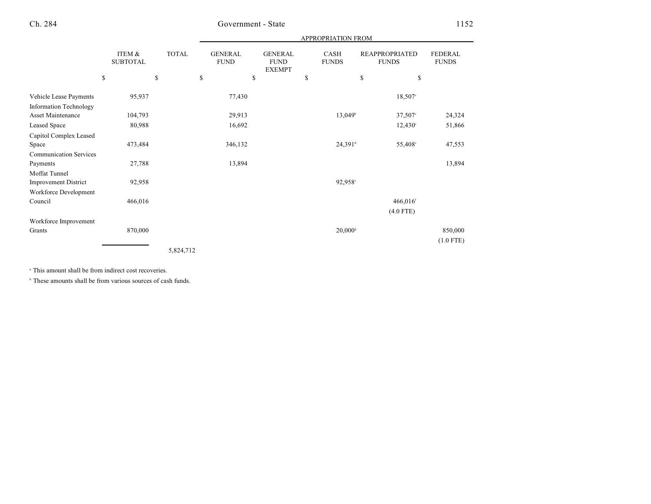|                                                         |    |                           |    |           | APPROPRIATION FROM |         |    |  |    |                       |    |                        |                        |  |  |                               |  |  |                                                |  |                             |                                       |  |                                |
|---------------------------------------------------------|----|---------------------------|----|-----------|--------------------|---------|----|--|----|-----------------------|----|------------------------|------------------------|--|--|-------------------------------|--|--|------------------------------------------------|--|-----------------------------|---------------------------------------|--|--------------------------------|
|                                                         |    | ITEM &<br><b>SUBTOTAL</b> |    |           |                    |         |    |  |    |                       |    |                        | <b>TOTAL</b>           |  |  | <b>GENERAL</b><br><b>FUND</b> |  |  | <b>GENERAL</b><br><b>FUND</b><br><b>EXEMPT</b> |  | <b>CASH</b><br><b>FUNDS</b> | <b>REAPPROPRIATED</b><br><b>FUNDS</b> |  | <b>FEDERAL</b><br><b>FUNDS</b> |
|                                                         | \$ |                           | \$ |           | $\mathbb{S}$       |         | \$ |  | \$ |                       | \$ | \$                     |                        |  |  |                               |  |  |                                                |  |                             |                                       |  |                                |
| Vehicle Lease Payments<br><b>Information Technology</b> |    | 95,937                    |    |           |                    | 77,430  |    |  |    |                       |    | 18,507 <sup>c</sup>    |                        |  |  |                               |  |  |                                                |  |                             |                                       |  |                                |
| <b>Asset Maintenance</b>                                |    | 104,793                   |    |           |                    | 29,913  |    |  |    | $13,049$ <sup>b</sup> |    | $37,507$ °             | 24,324                 |  |  |                               |  |  |                                                |  |                             |                                       |  |                                |
| <b>Leased Space</b>                                     |    | 80,988                    |    |           |                    | 16,692  |    |  |    |                       |    | $12,430^{\circ}$       | 51,866                 |  |  |                               |  |  |                                                |  |                             |                                       |  |                                |
| Capitol Complex Leased<br>Space                         |    | 473,484                   |    |           |                    | 346,132 |    |  |    | $24,391$ <sup>d</sup> |    | 55,408 <sup>c</sup>    | 47,553                 |  |  |                               |  |  |                                                |  |                             |                                       |  |                                |
| <b>Communication Services</b><br>Payments               |    | 27,788                    |    |           |                    | 13,894  |    |  |    |                       |    |                        | 13,894                 |  |  |                               |  |  |                                                |  |                             |                                       |  |                                |
| Moffat Tunnel                                           |    |                           |    |           |                    |         |    |  |    |                       |    |                        |                        |  |  |                               |  |  |                                                |  |                             |                                       |  |                                |
| Improvement District                                    |    | 92,958                    |    |           |                    |         |    |  |    | 92,958 <sup>c</sup>   |    |                        |                        |  |  |                               |  |  |                                                |  |                             |                                       |  |                                |
| Workforce Development<br>Council                        |    | 466,016                   |    |           |                    |         |    |  |    |                       |    | $466,016$ <sup>f</sup> |                        |  |  |                               |  |  |                                                |  |                             |                                       |  |                                |
|                                                         |    |                           |    |           |                    |         |    |  |    |                       |    | $(4.0$ FTE)            |                        |  |  |                               |  |  |                                                |  |                             |                                       |  |                                |
| Workforce Improvement<br>Grants                         |    | 870,000                   |    |           |                    |         |    |  |    | $20,000$ <sup>s</sup> |    |                        | 850,000<br>$(1.0$ FTE) |  |  |                               |  |  |                                                |  |                             |                                       |  |                                |
|                                                         |    |                           |    | 5,824,712 |                    |         |    |  |    |                       |    |                        |                        |  |  |                               |  |  |                                                |  |                             |                                       |  |                                |

<sup>a</sup> This amount shall be from indirect cost recoveries.

 $\degree$  These amounts shall be from various sources of cash funds.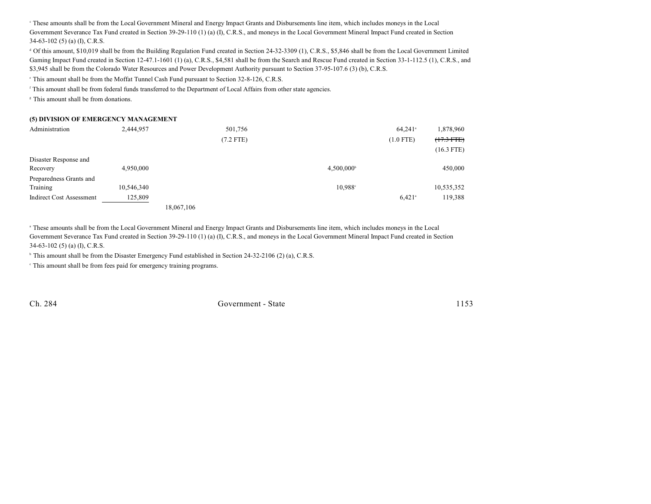These amounts shall be from the Local Government Mineral and Energy Impact Grants and Disbursements line item, which includes moneys in the Local <sup>c</sup> Government Severance Tax Fund created in Section 39-29-110 (1) (a) (I), C.R.S., and moneys in the Local Government Mineral Impact Fund created in Section 34-63-102 (5) (a) (I), C.R.S.

 Of this amount, \$10,019 shall be from the Building Regulation Fund created in Section 24-32-3309 (1), C.R.S., \$5,846 shall be from the Local Government Limited <sup>d</sup> Gaming Impact Fund created in Section 12-47.1-1601 (1) (a), C.R.S., \$4,581 shall be from the Search and Rescue Fund created in Section 33-1-112.5 (1), C.R.S., and \$3,945 shall be from the Colorado Water Resources and Power Development Authority pursuant to Section 37-95-107.6 (3) (b), C.R.S.

This amount shall be from the Moffat Tunnel Cash Fund pursuant to Section 32-8-126, C.R.S. <sup>e</sup>

This amount shall be from federal funds transferred to the Department of Local Affairs from other state agencies.

<sup>8</sup> This amount shall be from donations.

#### **(5) DIVISION OF EMERGENCY MANAGEMENT**

| Administration                  | 2,444,957  |            | 501,756     |                     | $64,241$ <sup>a</sup> | 1,878,960    |
|---------------------------------|------------|------------|-------------|---------------------|-----------------------|--------------|
|                                 |            |            | $(7.2$ FTE) |                     | $(1.0$ FTE)           | $(17.3$ FTE) |
|                                 |            |            |             |                     |                       | $(16.3$ FTE) |
| Disaster Response and           |            |            |             |                     |                       |              |
| Recovery                        | 4,950,000  |            |             | $4,500,000^{\circ}$ |                       | 450,000      |
| Preparedness Grants and         |            |            |             |                     |                       |              |
| Training                        | 10,546,340 |            |             | 10.988 <sup>c</sup> |                       | 10,535,352   |
| <b>Indirect Cost Assessment</b> | 125,809    |            |             |                     | $6,421$ <sup>a</sup>  | 119,388      |
|                                 |            | 18,067,106 |             |                     |                       |              |

<sup>a</sup> These amounts shall be from the Local Government Mineral and Energy Impact Grants and Disbursements line item, which includes moneys in the Local Government Severance Tax Fund created in Section 39-29-110 (1) (a) (I), C.R.S., and moneys in the Local Government Mineral Impact Fund created in Section 34-63-102 (5) (a) (I), C.R.S.

 $\textdegree$  This amount shall be from the Disaster Emergency Fund established in Section 24-32-2106 (2) (a), C.R.S.

 $\cdot$  This amount shall be from fees paid for emergency training programs.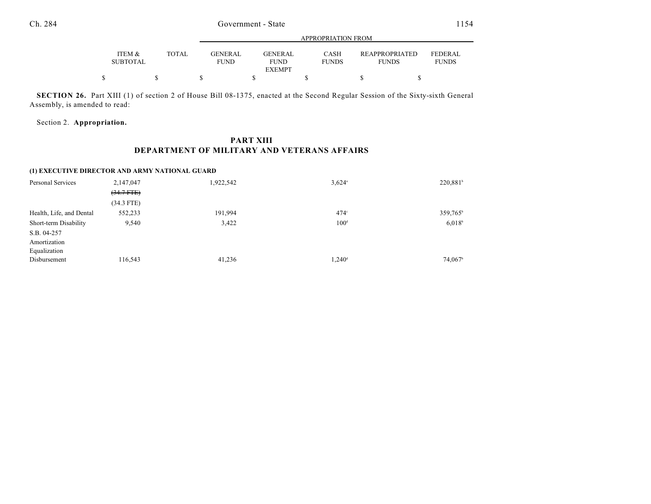|                           |       |                               | APPROPRIATION FROM     |                      |                                       |                                |  |
|---------------------------|-------|-------------------------------|------------------------|----------------------|---------------------------------------|--------------------------------|--|
| ITEM &<br><b>SUBTOTAL</b> | TOTAL | <b>GENERAL</b><br><b>FUND</b> | GENERAL<br><b>FUND</b> | CASH<br><b>FUNDS</b> | <b>REAPPROPRIATED</b><br><b>FUNDS</b> | <b>FEDERAL</b><br><b>FUNDS</b> |  |
|                           |       |                               | <b>EXEMPT</b>          |                      |                                       |                                |  |
|                           |       |                               |                        |                      |                                       |                                |  |

**SECTION 26.** Part XIII (1) of section 2 of House Bill 08-1375, enacted at the Second Regular Session of the Sixty-sixth General Assembly, is amended to read:

Section 2. **Appropriation.**

## **PART XIII DEPARTMENT OF MILITARY AND VETERANS AFFAIRS**

### **(1) EXECUTIVE DIRECTOR AND ARMY NATIONAL GUARD**

| Personal Services        | 2,147,047    | 1,922,542 | $3.624$ <sup>a</sup> | 220,881 <sup>b</sup> |
|--------------------------|--------------|-----------|----------------------|----------------------|
|                          | $(34.7$ FTE) |           |                      |                      |
|                          | $(34.3$ FTE) |           |                      |                      |
| Health, Life, and Dental | 552,233      | 191,994   | $474^\circ$          | 359,765 <sup>b</sup> |
| Short-term Disability    | 9,540        | 3,422     | 100 <sup>d</sup>     | 6.018 <sup>b</sup>   |
| S.B. 04-257              |              |           |                      |                      |
| Amortization             |              |           |                      |                      |
| Equalization             |              |           |                      |                      |
| Disbursement             | 116,543      | 41,236    | $1,240$ <sup>d</sup> | 74,067 <sup>b</sup>  |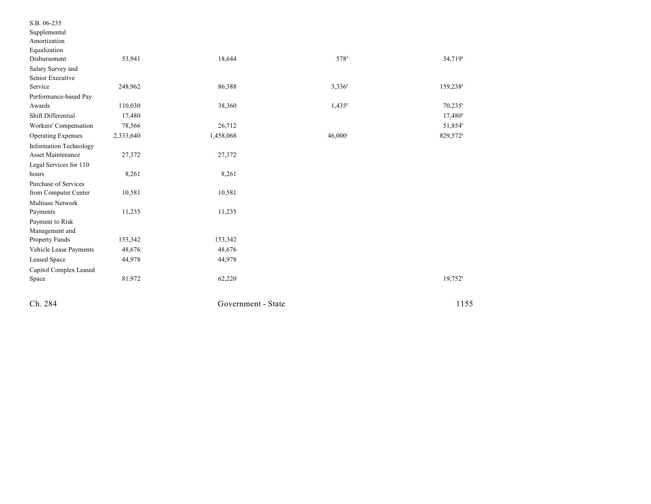| S.B. 06-235<br>Supplemental   |           |                    |                      |                      |
|-------------------------------|-----------|--------------------|----------------------|----------------------|
| Amortization                  |           |                    |                      |                      |
| Equalization                  |           |                    |                      |                      |
| Disbursement                  | 53,941    | 18,644             | 578 <sup>d</sup>     | 34,719 <sup>b</sup>  |
| Salary Survey and             |           |                    |                      |                      |
| Senior Executive              |           |                    |                      |                      |
| Service                       | 248,962   | 86,388             | $3,336^d$            | 159,238b             |
| Performance-based Pay         |           |                    |                      |                      |
| Awards                        | 110,030   | 38,360             | $1,435$ <sup>d</sup> | $70,235^{\rm b}$     |
| Shift Differential            | 17,480    |                    |                      | $17,480^{\circ}$     |
| Workers' Compensation         | 78,566    | 26,712             |                      | 51,854b              |
| <b>Operating Expenses</b>     | 2,333,640 | 1,458,068          | $46,000^\circ$       | 829,572 <sup>b</sup> |
| <b>Information Technology</b> |           |                    |                      |                      |
| Asset Maintenance             | 27,372    | 27,372             |                      |                      |
| Legal Services for 110        |           |                    |                      |                      |
| hours                         | 8,261     | 8,261              |                      |                      |
| Purchase of Services          |           |                    |                      |                      |
| from Computer Center          | 10,581    | 10,581             |                      |                      |
| Multiuse Network              |           |                    |                      |                      |
| Payments                      | 11,235    | 11,235             |                      |                      |
| Payment to Risk               |           |                    |                      |                      |
| Management and                |           |                    |                      |                      |
| Property Funds                | 153,342   | 153,342            |                      |                      |
| Vehicle Lease Payments        | 48,676    | 48,676             |                      |                      |
| Leased Space                  | 44,978    | 44,978             |                      |                      |
| Capitol Complex Leased        |           |                    |                      |                      |
| Space                         | 81,972    | 62,220             |                      | $19,752^b$           |
| Ch. 284                       |           | Government - State |                      | 1155                 |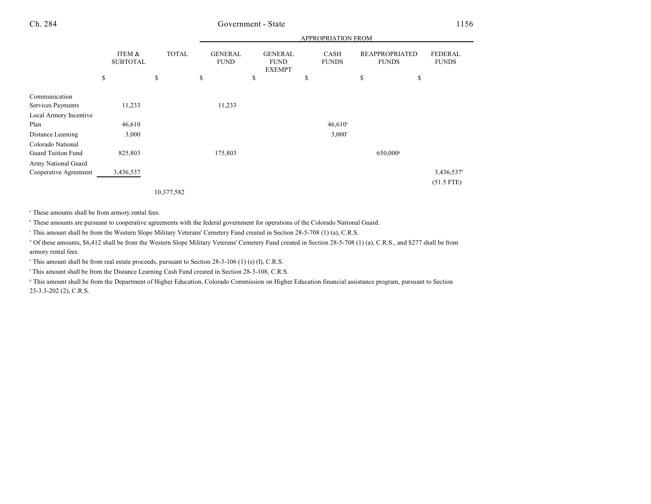|                                                |                           |              |                               |                                                | <b>APPROPRIATION FROM</b>   |                                       |                                        |
|------------------------------------------------|---------------------------|--------------|-------------------------------|------------------------------------------------|-----------------------------|---------------------------------------|----------------------------------------|
|                                                | ITEM &<br><b>SUBTOTAL</b> | <b>TOTAL</b> | <b>GENERAL</b><br><b>FUND</b> | <b>GENERAL</b><br><b>FUND</b><br><b>EXEMPT</b> | <b>CASH</b><br><b>FUNDS</b> | <b>REAPPROPRIATED</b><br><b>FUNDS</b> | <b>FEDERAL</b><br><b>FUNDS</b>         |
|                                                | \$                        | \$           | \$                            | \$                                             | \$                          | \$<br>\$                              |                                        |
| Communication                                  |                           |              |                               |                                                |                             |                                       |                                        |
| Services Payments                              | 11,233                    |              | 11,233                        |                                                |                             |                                       |                                        |
| Local Armory Incentive                         |                           |              |                               |                                                |                             |                                       |                                        |
| Plan                                           | 46,610                    |              |                               |                                                | $46,610^{\circ}$            |                                       |                                        |
| Distance Learning                              | 3,000                     |              |                               |                                                | $3,000$ <sup>f</sup>        |                                       |                                        |
| Colorado National<br><b>Guard Tuition Fund</b> | 825,803                   |              | 175,803                       |                                                |                             | 650,000 <sup>s</sup>                  |                                        |
| Army National Guard                            |                           |              |                               |                                                |                             |                                       |                                        |
| Cooperative Agreement                          | 3,436,537                 |              |                               |                                                |                             |                                       | 3,436,537 <sup>b</sup><br>$(51.5$ FTE) |

10,377,582

<sup>a</sup> These amounts shall be from armory rental fees.

<sup>b</sup> These amounts are pursuant to cooperative agreements with the federal government for operations of the Colorado National Guard.

<sup>e</sup> This amount shall be from the Western Slope Military Veterans' Cemetery Fund created in Section 28-5-708 (1) (a), C.R.S.

 $\alpha$  Of these amounts, \$6,412 shall be from the Western Slope Military Veterans' Cemetery Fund created in Section 28-5-708 (1) (a), C.R.S., and \$277 shall be from armory rental fees.

 $\degree$  This amount shall be from real estate proceeds, pursuant to Section 28-3-106 (1) (s) (I), C.R.S.

<sup>f</sup> This amount shall be from the Distance Learning Cash Fund created in Section 28-3-108, C.R.S.

<sup>8</sup> This amount shall be from the Department of Higher Education, Colorado Commission on Higher Education financial assistance program, pursuant to Section 23-3.3-202 (2), C.R.S.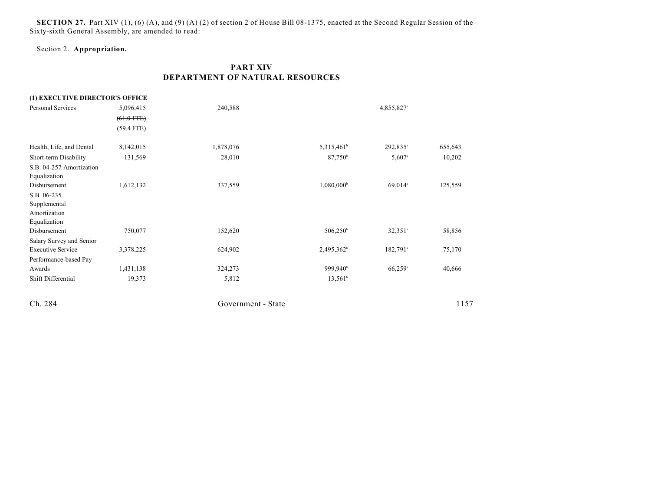**SECTION 27.** Part XIV (1), (6) (A), and (9) (A) (2) of section 2 of House Bill 08-1375, enacted at the Second Regular Session of the Sixty-sixth General Assembly, are amended to read:

## Section 2. **Appropriation.**

## **PART XIV DEPARTMENT OF NATURAL RESOURCES**

| (1) EXECUTIVE DIRECTOR'S OFFICE |              |                    |                        |                        |         |
|---------------------------------|--------------|--------------------|------------------------|------------------------|---------|
| Personal Services               | 5,096,415    | 240,588            |                        | 4,855,827 <sup>a</sup> |         |
|                                 | $(61.0$ FTE) |                    |                        |                        |         |
|                                 | $(59.4$ FTE) |                    |                        |                        |         |
| Health, Life, and Dental        | 8,142,015    | 1,878,076          | 5,315,461 <sup>b</sup> | 292,835 <sup>a</sup>   | 655,643 |
| Short-term Disability           | 131,569      | 28,010             | $87,750^{\circ}$       | $5,607$ <sup>a</sup>   | 10,202  |
| S.B. 04-257 Amortization        |              |                    |                        |                        |         |
| Equalization                    |              |                    |                        |                        |         |
| Disbursement                    | 1,612,132    | 337,559            | 1,080,000 <sup>b</sup> | 69,014 <sup>a</sup>    | 125,559 |
| S.B. 06-235                     |              |                    |                        |                        |         |
| Supplemental                    |              |                    |                        |                        |         |
| Amortization                    |              |                    |                        |                        |         |
| Equalization                    |              |                    |                        |                        |         |
| Disbursement                    | 750,077      | 152,620            | $506,250^{\circ}$      | $32,351$ <sup>a</sup>  | 58,856  |
| Salary Survey and Senior        |              |                    |                        |                        |         |
| <b>Executive Service</b>        | 3,378,225    | 624,902            | 2,495,362 <sup>b</sup> | $182,791$ <sup>a</sup> | 75,170  |
| Performance-based Pay           |              |                    |                        |                        |         |
| Awards                          | 1,431,138    | 324,273            | 999,940 <sup>b</sup>   | $66,259$ <sup>a</sup>  | 40,666  |
| Shift Differential              | 19,373       | 5,812              | $13,561^b$             |                        |         |
| Ch. 284                         |              | Government - State |                        |                        | 1157    |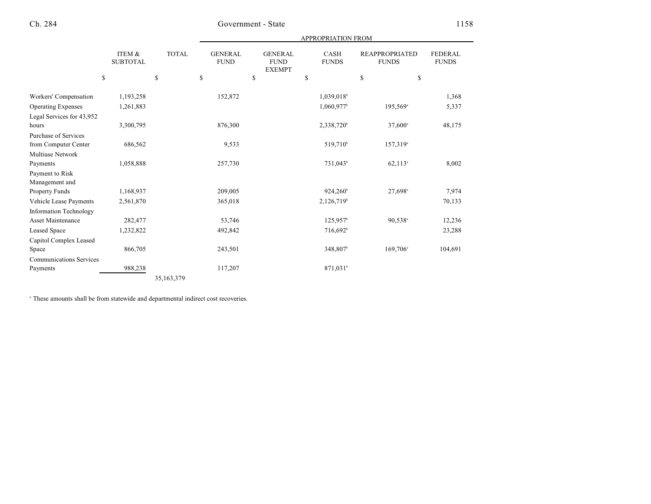|                                   |                           |              |                               |                                                | <b>APPROPRIATION FROM</b>   |                                       |                                |  |
|-----------------------------------|---------------------------|--------------|-------------------------------|------------------------------------------------|-----------------------------|---------------------------------------|--------------------------------|--|
|                                   | ITEM &<br><b>SUBTOTAL</b> | <b>TOTAL</b> | <b>GENERAL</b><br><b>FUND</b> | <b>GENERAL</b><br><b>FUND</b><br><b>EXEMPT</b> | <b>CASH</b><br><b>FUNDS</b> | <b>REAPPROPRIATED</b><br><b>FUNDS</b> | <b>FEDERAL</b><br><b>FUNDS</b> |  |
|                                   | \$                        | \$           | \$                            | \$                                             | \$                          | \$<br>\$                              |                                |  |
| Workers' Compensation             | 1,193,258                 |              | 152,872                       |                                                | 1,039,018 <sup>b</sup>      |                                       | 1,368                          |  |
| <b>Operating Expenses</b>         | 1,261,883                 |              |                               |                                                | 1,060,977                   | 195,569 <sup>a</sup>                  | 5,337                          |  |
| Legal Services for 43,952         |                           |              |                               |                                                |                             |                                       |                                |  |
| hours                             | 3,300,795                 |              | 876,300                       |                                                | 2,338,720 <sup>b</sup>      | $37,600^{\circ}$                      | 48,175                         |  |
| Purchase of Services              |                           |              |                               |                                                |                             |                                       |                                |  |
| from Computer Center              | 686,562                   |              | 9,533                         |                                                | 519,710 <sup>b</sup>        | 157,319 <sup>a</sup>                  |                                |  |
| Multiuse Network                  |                           |              |                               |                                                |                             |                                       |                                |  |
| Payments                          | 1,058,888                 |              | 257,730                       |                                                | 731,043 <sup>b</sup>        | $62,113^{\circ}$                      | 8,002                          |  |
| Payment to Risk<br>Management and |                           |              |                               |                                                |                             |                                       |                                |  |
| Property Funds                    | 1,168,937                 |              | 209,005                       |                                                | $924,260^{\circ}$           | 27,698 <sup>a</sup>                   | 7,974                          |  |
| Vehicle Lease Payments            | 2,561,870                 |              | 365,018                       |                                                | 2,126,719 <sup>b</sup>      |                                       | 70,133                         |  |
| <b>Information Technology</b>     |                           |              |                               |                                                |                             |                                       |                                |  |
| <b>Asset Maintenance</b>          | 282,477                   |              | 53,746                        |                                                | $125,957$ <sup>b</sup>      | 90,538 <sup>a</sup>                   | 12,236                         |  |
| <b>Leased Space</b>               | 1,232,822                 |              | 492,842                       |                                                | $716,692^b$                 |                                       | 23,288                         |  |
| Capitol Complex Leased            |                           |              |                               |                                                |                             |                                       |                                |  |
| Space                             | 866,705                   |              | 243,501                       |                                                | 348,807 <sup>b</sup>        | 169,706 <sup>a</sup>                  | 104,691                        |  |
| <b>Communications Services</b>    |                           |              |                               |                                                |                             |                                       |                                |  |
| Payments                          | 988,238                   |              | 117,207                       |                                                | 871,031 <sup>b</sup>        |                                       |                                |  |

35,163,379

<sup>a</sup> These amounts shall be from statewide and departmental indirect cost recoveries.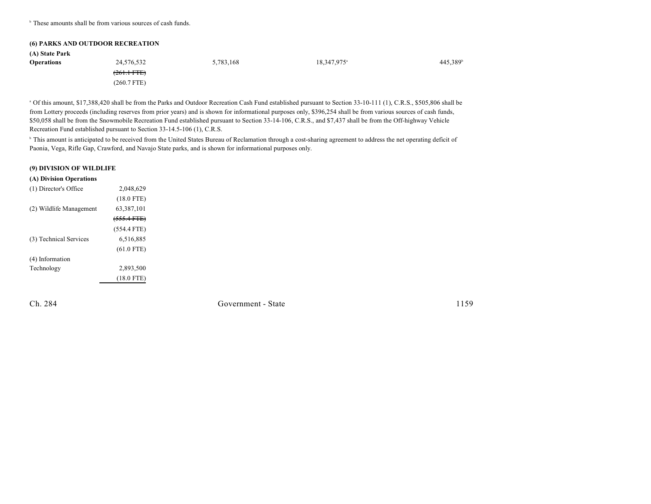$\cdot$  These amounts shall be from various sources of cash funds.

|                   | <b>(6) PARKS AND OUTDOOR RECREATION</b> |           |                         |                      |
|-------------------|-----------------------------------------|-----------|-------------------------|----------------------|
| (A) State Park    |                                         |           |                         |                      |
| <b>Operations</b> | 24,576,532                              | 5,783,168 | 18,347,975 <sup>a</sup> | 445,389 <sup>b</sup> |
|                   | $(261.1 - FFE)$                         |           |                         |                      |
|                   | $(260.7$ FTE)                           |           |                         |                      |

<sup>a</sup> Of this amount, \$17,388,420 shall be from the Parks and Outdoor Recreation Cash Fund established pursuant to Section 33-10-111 (1), C.R.S., \$505,806 shall be from Lottery proceeds (including reserves from prior years) and is shown for informational purposes only, \$396,254 shall be from various sources of cash funds, \$50,058 shall be from the Snowmobile Recreation Fund established pursuant to Section 33-14-106, C.R.S., and \$7,437 shall be from the Off-highway Vehicle Recreation Fund established pursuant to Section 33-14.5-106 (1), C.R.S.

<sup>b</sup> This amount is anticipated to be received from the United States Bureau of Reclamation through a cost-sharing agreement to address the net operating deficit of Paonia, Vega, Rifle Gap, Crawford, and Navajo State parks, and is shown for informational purposes only.

#### **(9) DIVISION OF WILDLIFE**

| (A) Division Operations |               |  |
|-------------------------|---------------|--|
| (1) Director's Office   | 2,048,629     |  |
|                         | $(18.0$ FTE)  |  |
| (2) Wildlife Management | 63, 387, 101  |  |
|                         | $(555.4 FTE)$ |  |
|                         | $(554.4$ FTE) |  |
| (3) Technical Services  | 6,516,885     |  |
|                         | $(61.0$ FTE)  |  |
| (4) Information         |               |  |
| Technology              | 2,893,500     |  |
|                         | $(18.0$ FTE)  |  |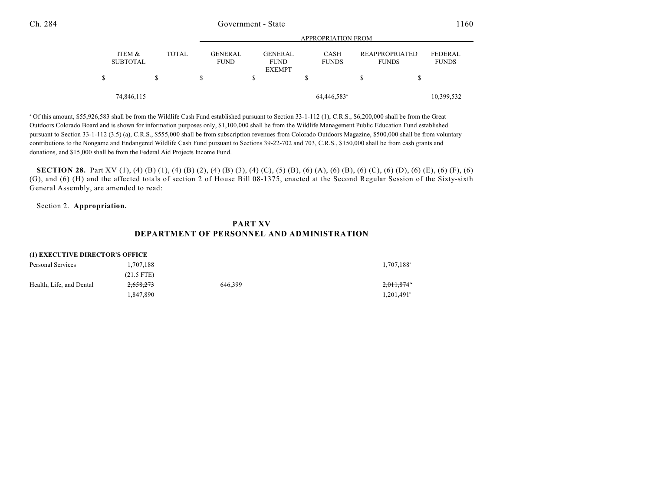|                           |              |                        |                                                | APPROPRIATION FROM          |                                       |                                |
|---------------------------|--------------|------------------------|------------------------------------------------|-----------------------------|---------------------------------------|--------------------------------|
| ITEM &<br><b>SUBTOTAL</b> | <b>TOTAL</b> | GENERAL<br><b>FUND</b> | <b>GENERAL</b><br><b>FUND</b><br><b>EXEMPT</b> | <b>CASH</b><br><b>FUNDS</b> | <b>REAPPROPRIATED</b><br><b>FUNDS</b> | <b>FEDERAL</b><br><b>FUNDS</b> |
|                           | S            | S                      | \$                                             | S                           |                                       |                                |
|                           | 74,846,115   |                        |                                                | 64,446,583 <sup>a</sup>     |                                       | 10,399,532                     |

APPROPRIATION FROM

<sup>a</sup> Of this amount, \$55,926,583 shall be from the Wildlife Cash Fund established pursuant to Section 33-1-112 (1), C.R.S., \$6,200,000 shall be from the Great Outdoors Colorado Board and is shown for information purposes only, \$1,100,000 shall be from the Wildlife Management Public Education Fund established pursuant to Section 33-1-112 (3.5) (a), C.R.S., \$555,000 shall be from subscription revenues from Colorado Outdoors Magazine, \$500,000 shall be from voluntary contributions to the Nongame and Endangered Wildlife Cash Fund pursuant to Sections 39-22-702 and 703, C.R.S., \$150,000 shall be from cash grants and donations, and \$15,000 shall be from the Federal Aid Projects Income Fund.

**SECTION 28.** Part XV (1), (4) (B) (1), (4) (B) (2), (4) (B) (3), (4) (C), (5) (B), (6) (A), (6) (B), (6) (C), (6) (D), (6) (E), (6) (F), (6) (G), and (6) (H) and the affected totals of section 2 of House Bill 08-1375, enacted at the Second Regular Session of the Sixty-sixth General Assembly, are amended to read:

#### Section 2. **Appropriation.**

## **PART XV DEPARTMENT OF PERSONNEL AND ADMINISTRATION**

#### **(1) EXECUTIVE DIRECTOR'S OFFICE**

| Personal Services        | 1.707.188    |         | 1,707,188 <sup>a</sup>   |
|--------------------------|--------------|---------|--------------------------|
|                          | $(21.5$ FTE) |         |                          |
| Health, Life, and Dental | 2,658,273    | 646.399 | 2,011,874                |
|                          | 1.847.890    |         | $1.201.491$ <sup>b</sup> |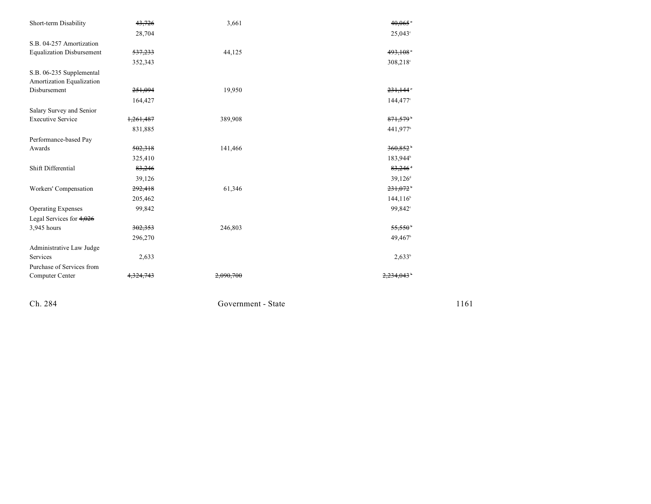| Short-term Disability            | 43,726    | 3,661   | 40,065                 |
|----------------------------------|-----------|---------|------------------------|
|                                  | 28,704    |         | $25,043^{\circ}$       |
| S.B. 04-257 Amortization         |           |         |                        |
| <b>Equalization Disbursement</b> | 537,233   | 44,125  | 493,108                |
|                                  | 352,343   |         | 308,218°               |
| S.B. 06-235 Supplemental         |           |         |                        |
| Amortization Equalization        |           |         |                        |
| Disbursement                     | 251,094   | 19,950  | 231,144                |
|                                  | 164,427   |         | 144,477 <sup>c</sup>   |
| Salary Survey and Senior         |           |         |                        |
| <b>Executive Service</b>         | 1,261,487 | 389,908 | 871,579                |
|                                  | 831,885   |         | 441,977 <sup>b</sup>   |
| Performance-based Pay            |           |         |                        |
| Awards                           | 502,318   | 141,466 | 360,852                |
|                                  | 325,410   |         | 183,944 <sup>b</sup>   |
| Shift Differential               | 83,246    |         | $83,246$ <sup>+</sup>  |
|                                  | 39,126    |         | 39,126 <sup>d</sup>    |
| Workers' Compensation            | 292,418   | 61,346  | $231,072$ <sup>*</sup> |
|                                  | 205,462   |         | 144, 116 <sup>b</sup>  |
| <b>Operating Expenses</b>        | 99,842    |         | 99,842 <sup>c</sup>    |
| Legal Services for $4,026$       |           |         |                        |
| 3,945 hours                      | 302,353   | 246,803 | 55,550                 |
|                                  | 296,270   |         | 49,467 <sup>b</sup>    |
| Administrative Law Judge         |           |         |                        |
| Services                         | 2,633     |         | $2,633^b$              |
| Purchase of Services from        |           |         |                        |
| Computer Center                  |           |         |                        |

Ch. 284

Government - Stat

 $e$  1161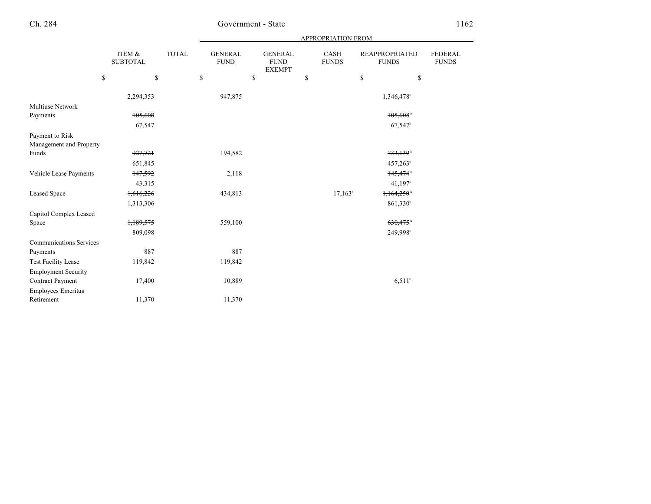|                                |                           |              |                               |                                                | APPROPRIATION FROM    |                                       |                                |
|--------------------------------|---------------------------|--------------|-------------------------------|------------------------------------------------|-----------------------|---------------------------------------|--------------------------------|
|                                | ITEM &<br><b>SUBTOTAL</b> | <b>TOTAL</b> | <b>GENERAL</b><br><b>FUND</b> | <b>GENERAL</b><br><b>FUND</b><br><b>EXEMPT</b> | CASH<br><b>FUNDS</b>  | <b>REAPPROPRIATED</b><br><b>FUNDS</b> | <b>FEDERAL</b><br><b>FUNDS</b> |
|                                | \$                        | $\mathbb{S}$ | \$                            | \$                                             | \$                    | \$                                    | \$                             |
|                                | 2,294,353                 |              | 947,875                       |                                                |                       | 1,346,478 <sup>b</sup>                |                                |
| Multiuse Network               |                           |              |                               |                                                |                       |                                       |                                |
| Payments                       | 105,608                   |              |                               |                                                |                       | 105,608                               |                                |
|                                | 67,547                    |              |                               |                                                |                       | $67,547^{\circ}$                      |                                |
| Payment to Risk                |                           |              |                               |                                                |                       |                                       |                                |
| Management and Property        |                           |              |                               |                                                |                       |                                       |                                |
| Funds                          | 927,721                   |              | 194,582                       |                                                |                       | 733,139                               |                                |
|                                | 651,845                   |              |                               |                                                |                       | 457,263 <sup>b</sup>                  |                                |
| Vehicle Lease Payments         | 147,592                   |              | 2,118                         |                                                |                       | 145,474                               |                                |
|                                | 43,315                    |              |                               |                                                |                       | 41,197 <sup>b</sup>                   |                                |
| <b>Leased Space</b>            | 1,616,226                 |              | 434,813                       |                                                | $17.163$ <sup>f</sup> | 1,164,250                             |                                |
|                                | 1,313,306                 |              |                               |                                                |                       | 861,330 <sup>b</sup>                  |                                |
| Capitol Complex Leased         |                           |              |                               |                                                |                       |                                       |                                |
| Space                          | 1,189,575                 |              | 559,100                       |                                                |                       | 630,475                               |                                |
|                                | 809,098                   |              |                               |                                                |                       | 249,998                               |                                |
| <b>Communications Services</b> |                           |              |                               |                                                |                       |                                       |                                |
| Payments                       | 887                       |              | 887                           |                                                |                       |                                       |                                |
| <b>Test Facility Lease</b>     | 119,842                   |              | 119,842                       |                                                |                       |                                       |                                |
| <b>Employment Security</b>     |                           |              |                               |                                                |                       |                                       |                                |
| Contract Payment               | 17,400                    |              | 10,889                        |                                                |                       | $6,511^b$                             |                                |
| <b>Employees Emeritus</b>      |                           |              |                               |                                                |                       |                                       |                                |
| Retirement                     | 11,370                    |              | 11,370                        |                                                |                       |                                       |                                |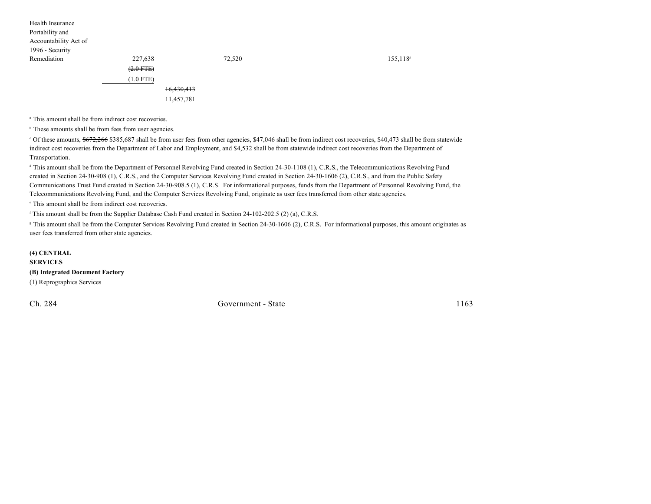| Health Insurance      |             |            |        |         |
|-----------------------|-------------|------------|--------|---------|
| Portability and       |             |            |        |         |
| Accountability Act of |             |            |        |         |
| 1996 - Security       |             |            |        |         |
| Remediation           | 227,638     |            | 72,520 | 155,118 |
|                       | $(2.0$ FTE) |            |        |         |
|                       | $(1.0$ FTE) |            |        |         |
|                       |             | 16,430,413 |        |         |
|                       |             | 11,457,781 |        |         |

<sup>a</sup> This amount shall be from indirect cost recoveries.

<sup>b</sup> These amounts shall be from fees from user agencies.

<sup>c</sup> Of these amounts, \$672,266 \$385,687 shall be from user fees from other agencies, \$47,046 shall be from indirect cost recoveries, \$40,473 shall be from statewide indirect cost recoveries from the Department of Labor and Employment, and \$4,532 shall be from statewide indirect cost recoveries from the Department of Transportation.

<sup>d</sup> This amount shall be from the Department of Personnel Revolving Fund created in Section 24-30-1108 (1), C.R.S., the Telecommunications Revolving Fund created in Section 24-30-908 (1), C.R.S., and the Computer Services Revolving Fund created in Section 24-30-1606 (2), C.R.S., and from the Public Safety Communications Trust Fund created in Section 24-30-908.5 (1), C.R.S. For informational purposes, funds from the Department of Personnel Revolving Fund, the Telecommunications Revolving Fund, and the Computer Services Revolving Fund, originate as user fees transferred from other state agencies.

 $\cdot$  This amount shall be from indirect cost recoveries.

<sup>f</sup> This amount shall be from the Supplier Database Cash Fund created in Section 24-102-202.5 (2) (a), C.R.S.

<sup>8</sup> This amount shall be from the Computer Services Revolving Fund created in Section 24-30-1606 (2), C.R.S. For informational purposes, this amount originates as user fees transferred from other state agencies.

**(4) CENTRAL SERVICES (B) Integrated Document Factory** (1) Reprographics Services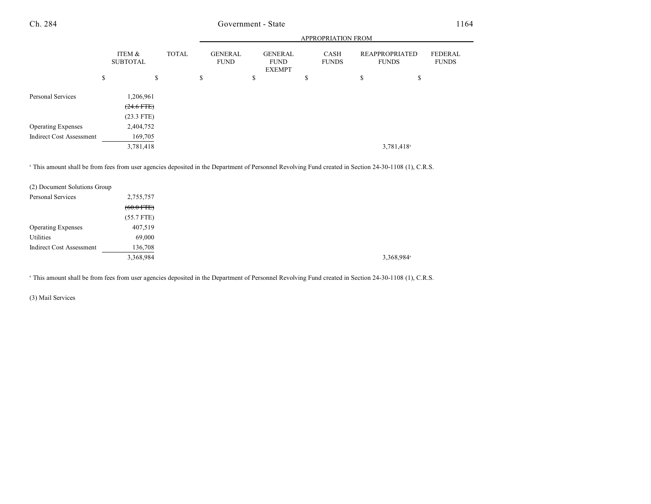|                                 |                           |           |              |   | <b>APPROPRIATION FROM</b>     |                                                |  |    |                             |    |                                       |                                |  |
|---------------------------------|---------------------------|-----------|--------------|---|-------------------------------|------------------------------------------------|--|----|-----------------------------|----|---------------------------------------|--------------------------------|--|
|                                 | ITEM &<br><b>SUBTOTAL</b> |           | <b>TOTAL</b> |   | <b>GENERAL</b><br><b>FUND</b> | <b>GENERAL</b><br><b>FUND</b><br><b>EXEMPT</b> |  |    | <b>CASH</b><br><b>FUNDS</b> |    | <b>REAPPROPRIATED</b><br><b>FUNDS</b> | <b>FEDERAL</b><br><b>FUNDS</b> |  |
|                                 | \$                        | S         |              | S |                               | \$                                             |  | \$ |                             | \$ | \$                                    |                                |  |
| Personal Services               |                           | 1,206,961 |              |   |                               |                                                |  |    |                             |    |                                       |                                |  |
|                                 | $(24.6$ FTE)              |           |              |   |                               |                                                |  |    |                             |    |                                       |                                |  |
|                                 | $(23.3$ FTE)              |           |              |   |                               |                                                |  |    |                             |    |                                       |                                |  |
| <b>Operating Expenses</b>       | 2,404,752                 |           |              |   |                               |                                                |  |    |                             |    |                                       |                                |  |
| <b>Indirect Cost Assessment</b> |                           | 169,705   |              |   |                               |                                                |  |    |                             |    |                                       |                                |  |
|                                 |                           | 3,781,418 |              |   |                               |                                                |  |    |                             |    | 3,781,418 <sup>a</sup>                |                                |  |

<sup>a</sup> This amount shall be from fees from user agencies deposited in the Department of Personnel Revolving Fund created in Section 24-30-1108 (1), C.R.S.

| (2) Document Solutions Group    |              |
|---------------------------------|--------------|
| Personal Services               | 2,755,757    |
|                                 | $(60.0$ FTE) |
|                                 | $(55.7$ FTE) |
| <b>Operating Expenses</b>       | 407,519      |
| Utilities                       | 69,000       |
| <b>Indirect Cost Assessment</b> | 136,708      |
|                                 | 3,368,984    |

<sup>a</sup> This amount shall be from fees from user agencies deposited in the Department of Personnel Revolving Fund created in Section 24-30-1108 (1), C.R.S.

(3) Mail Services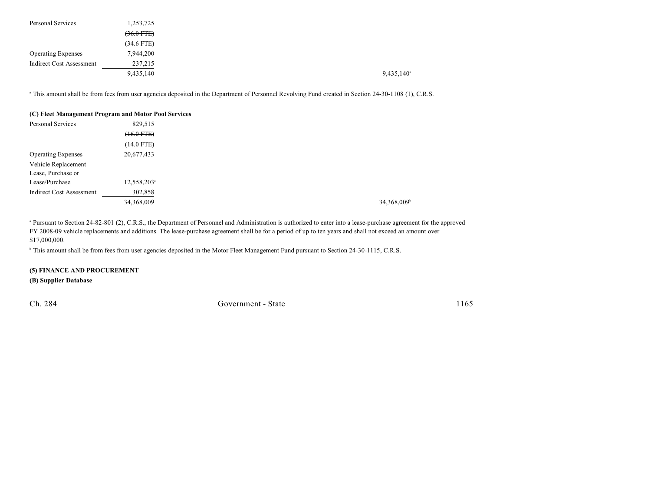| Personal Services               | 1,253,725            |  |                          |
|---------------------------------|----------------------|--|--------------------------|
|                                 | $(36.0 \text{ FFE})$ |  |                          |
|                                 | (34.6 FTE)           |  |                          |
| <b>Operating Expenses</b>       | 7,944,200            |  |                          |
| <b>Indirect Cost Assessment</b> | 237,215              |  |                          |
|                                 | 9,435,140            |  | $9,435,140$ <sup>a</sup> |

<sup>a</sup> This amount shall be from fees from user agencies deposited in the Department of Personnel Revolving Fund created in Section 24-30-1108 (1), C.R.S.

| (C) Fleet Management Program and Motor Pool Services |                         |
|------------------------------------------------------|-------------------------|
| Personal Services                                    | 829,515                 |
|                                                      | $(16.0$ FTE $)$         |
|                                                      | (14.0 FTE)              |
| <b>Operating Expenses</b>                            | 20,677,433              |
| Vehicle Replacement                                  |                         |
| Lease, Purchase or                                   |                         |
| Lease/Purchase                                       | 12,558,203 <sup>a</sup> |
| <b>Indirect Cost Assessment</b>                      | 302,858                 |
|                                                      | 34,368,009              |

<sup>a</sup> Pursuant to Section 24-82-801 (2), C.R.S., the Department of Personnel and Administration is authorized to enter into a lease-purchase agreement for the approved FY 2008-09 vehicle replacements and additions. The lease-purchase agreement shall be for a period of up to ten years and shall not exceed an amount over \$17,000,000.

<sup>b</sup> This amount shall be from fees from user agencies deposited in the Motor Fleet Management Fund pursuant to Section 24-30-1115, C.R.S.

### **(5) FINANCE AND PROCUREMENT**

**(B) Supplier Database**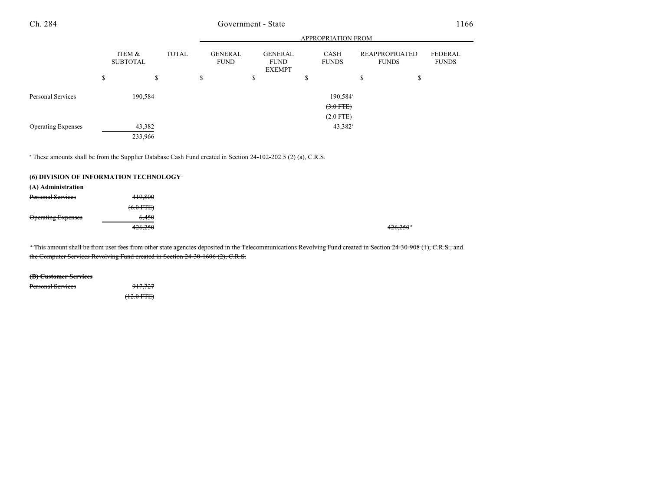|                           |   |                           |    |              |                               |                                                |               | <b>APPROPRIATION FROM</b> |                                       |                         |
|---------------------------|---|---------------------------|----|--------------|-------------------------------|------------------------------------------------|---------------|---------------------------|---------------------------------------|-------------------------|
|                           |   | ITEM &<br><b>SUBTOTAL</b> |    | <b>TOTAL</b> | <b>GENERAL</b><br><b>FUND</b> | <b>GENERAL</b><br><b>FUND</b><br><b>EXEMPT</b> |               | CASH<br><b>FUNDS</b>      | <b>REAPPROPRIATED</b><br><b>FUNDS</b> | FEDERAL<br><b>FUNDS</b> |
|                           | S |                           | \$ |              | \$                            | \$                                             | <sup>\$</sup> |                           | \$                                    | \$                      |
| Personal Services         |   | 190,584                   |    |              |                               |                                                |               | 190,584 <sup>a</sup>      |                                       |                         |
|                           |   |                           |    |              |                               |                                                |               | $(3.0$ FTE)               |                                       |                         |
|                           |   |                           |    |              |                               |                                                |               | $(2.0$ FTE)               |                                       |                         |
| <b>Operating Expenses</b> |   | 43,382                    |    |              |                               |                                                |               | $43,382$ <sup>a</sup>     |                                       |                         |
|                           |   | 233,966                   |    |              |                               |                                                |               |                           |                                       |                         |

<sup>a</sup> These amounts shall be from the Supplier Database Cash Fund created in Section 24-102-202.5 (2) (a), C.R.S.

|                           | (6) DIVISION OF INFORMATION TECHNOLOGY |         |
|---------------------------|----------------------------------------|---------|
| (A) Administration        |                                        |         |
| <b>Personal Services</b>  | 419,800                                |         |
|                           | $(6.0$ FTE)                            |         |
| <b>Operating Expenses</b> | 6.450                                  |         |
|                           | 426,250                                | 426,250 |
|                           |                                        |         |

This amount shall be from user fees from other state agencies deposited in the Telecommunications Revolving Fund created in Section 24-30-908 (1), C.R.S., and the Computer Services Revolving Fund created in Section 24-30-1606 (2), C.R.S.

**(B) Customer Services**

Personal Services 917,727

 $(12.0$  FTE)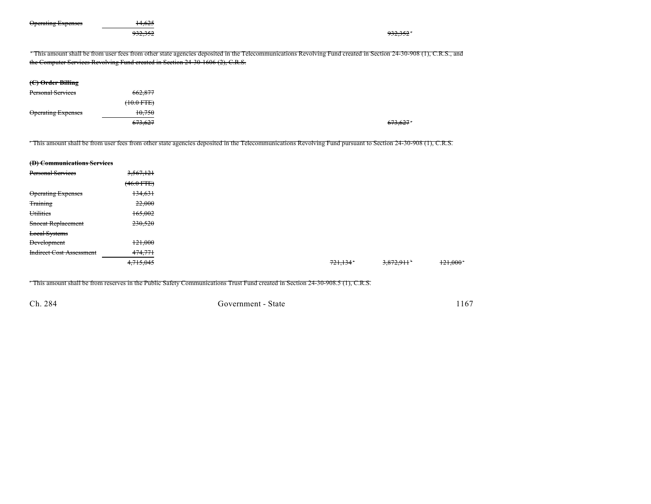| <b>Operating Expenses</b>       | 14,625<br>932,352                                                              |                                                                                                                                                                | 932.352   |         |
|---------------------------------|--------------------------------------------------------------------------------|----------------------------------------------------------------------------------------------------------------------------------------------------------------|-----------|---------|
|                                 | the Computer Services Revolving Fund created in Section 24-30-1606 (2), C.R.S. | This amount shall be from user fees from other state agencies deposited in the Telecommunications Revolving Fund created in Section 24-30-908 (1), C.R.S., and |           |         |
|                                 |                                                                                |                                                                                                                                                                |           |         |
| (C) Order Billing               |                                                                                |                                                                                                                                                                |           |         |
| <b>Personal Services</b>        | 662,877                                                                        |                                                                                                                                                                |           |         |
|                                 | $(10.0$ FTE)                                                                   |                                                                                                                                                                |           |         |
| <b>Operating Expenses</b>       | 10,750                                                                         |                                                                                                                                                                |           |         |
|                                 | 673,627                                                                        |                                                                                                                                                                | 673.627   |         |
| (D) Communications Services     |                                                                                | This amount shall be from user fees from other state agencies deposited in the Telecommunications Revolving Fund pursuant to Section 24-30-908 (1), C.R.S.     |           |         |
| <b>Personal Services</b>        | 3,567,121                                                                      |                                                                                                                                                                |           |         |
|                                 | $(46.0$ FTE $)$                                                                |                                                                                                                                                                |           |         |
| <b>Operating Expenses</b>       | 134,631                                                                        |                                                                                                                                                                |           |         |
| <b>Training</b>                 | 22,000                                                                         |                                                                                                                                                                |           |         |
| Utilities                       | 165,002                                                                        |                                                                                                                                                                |           |         |
| Snocat Replacement              | 230,520                                                                        |                                                                                                                                                                |           |         |
| <b>Local Systems</b>            |                                                                                |                                                                                                                                                                |           |         |
| <b>Development</b>              | 121,000                                                                        |                                                                                                                                                                |           |         |
| <b>Indirect Cost Assessment</b> | 474,771                                                                        |                                                                                                                                                                |           |         |
|                                 | 4, 715, 045                                                                    | <del>721.134</del>                                                                                                                                             | 3,872,911 | 121,000 |
|                                 |                                                                                |                                                                                                                                                                |           |         |

This amount shall be from reserves in the Public Safety Communications Trust Fund created in Section 24-30-908.5 (1), C.R.S.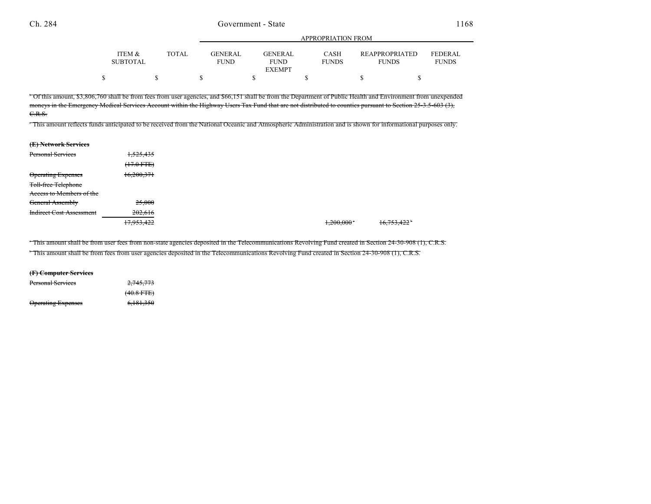|                 |              |             |               | $\ldots$     |                       |                |
|-----------------|--------------|-------------|---------------|--------------|-----------------------|----------------|
|                 |              |             |               |              |                       |                |
| ITEM &          | <b>TOTAL</b> | GENERAL     | GENERAL       | CASH         | <b>REAPPROPRIATED</b> | <b>FEDERAL</b> |
| <b>SUBTOTAL</b> |              | <b>FUND</b> | <b>FUND</b>   | <b>FUNDS</b> | <b>FUNDS</b>          | <b>FUNDS</b>   |
|                 |              |             | <b>EXEMPT</b> |              |                       |                |
|                 |              |             |               |              |                       |                |

APPROPRIATION FROM

 Of this amount, \$3,806,760 shall be from fees from user agencies, and \$66,151 shall be from the Department of Public Health and Environment from unexpended <sup>b</sup> moneys in the Emergency Medical Services Account within the Highway Users Tax Fund that are not distributed to counties pursuant to Section 25-3.5-603 (3), C.R.S.

This amount reflects funds anticipated to be received from the National Oceanic and Atmospheric Administration and is shown for informational purposes only.

| (E) Network Services            |                                              |
|---------------------------------|----------------------------------------------|
| <b>Personal Services</b>        | 1,525,435                                    |
|                                 | $(17.0 \text{ FTE})$<br><del>(17.01TE)</del> |
| <b>Operating Expenses</b>       | 16,200,371                                   |
| <b>Toll-free Telephone</b>      |                                              |
| Access to Members of the        |                                              |
| <b>General Assembly</b>         | 25,000                                       |
| <b>Indirect Cost Assessment</b> | 202,616                                      |
|                                 | 17.052.422<br>11,995,722                     |

This amount shall be from user fees from non-state agencies deposited in the Telecommunications Revolving Fund created in Section 24-30-908 (1), C.R.S. a

 $^{\circ}$  This amount shall be from fees from user agencies deposited in the Telecommunications Revolving Fund created in Section 24-30-908 (1), C.R.S.

#### **(F) Computer Services**

| <del>Personal Services</del> | 2,745,773       |
|------------------------------|-----------------|
|                              | $(40.8$ FTE $)$ |
| <b>Operating Expenses</b>    | 6,181,350       |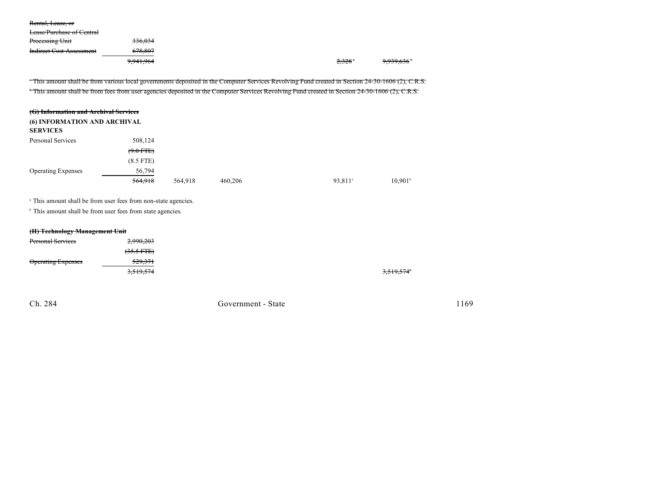| Rental, Lease, or                |                      |  |       |                        |
|----------------------------------|----------------------|--|-------|------------------------|
| <b>Lease/Purchase of Central</b> |                      |  |       |                        |
| Processing Unit                  | 336.034              |  |       |                        |
| <b>Indirect Cost Assessment</b>  | 678.807              |  |       |                        |
|                                  | <del>9,941,964</del> |  | 2,328 | 9,939,636 <sup>*</sup> |
|                                  |                      |  |       |                        |

This amount shall be from various local governments deposited in the Computer Services Revolving Fund created in Section 24-30-1606 (2), C.R.S. This amount shall be from fees from user agencies deposited in the Computer Services Revolving Fund created in Section 24-30-1606 (2), C.R.S.

| (G) Information and Archival Services<br>(6) INFORMATION AND ARCHIVAL<br><b>SERVICES</b> |             |         |         |                     |                  |
|------------------------------------------------------------------------------------------|-------------|---------|---------|---------------------|------------------|
| Personal Services                                                                        | 508,124     |         |         |                     |                  |
|                                                                                          | $(9.0$ FTE) |         |         |                     |                  |
|                                                                                          | $(8.5$ FTE) |         |         |                     |                  |
| <b>Operating Expenses</b>                                                                | 56,794      |         |         |                     |                  |
|                                                                                          | 564,918     | 564,918 | 460,206 | 93.811 <sup>a</sup> | $10.901^{\circ}$ |

<sup>a</sup> This amount shall be from user fees from non-state agencies.

<sup>b</sup> This amount shall be from user fees from state agencies.

### **(H) Technology Management Unit**

| <b>Personal Services</b>  | 2,990,203            |            |
|---------------------------|----------------------|------------|
|                           | $(35.5 \text{ FFE})$ |            |
| <b>Operating Expenses</b> | <del>529,371</del>   |            |
|                           | 3,519,574            | 3,519,574° |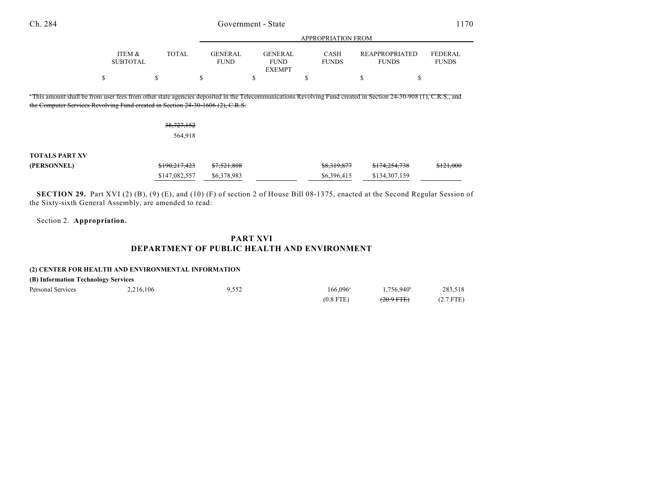|                                                                                                                                                                                                                                                  |                           |               |                               |                                                | <b>APPROPRIATION FROM</b>   |                                       |                                |
|--------------------------------------------------------------------------------------------------------------------------------------------------------------------------------------------------------------------------------------------------|---------------------------|---------------|-------------------------------|------------------------------------------------|-----------------------------|---------------------------------------|--------------------------------|
|                                                                                                                                                                                                                                                  | ITEM &<br><b>SUBTOTAL</b> | TOTAL         | <b>GENERAL</b><br><b>FUND</b> | <b>GENERAL</b><br><b>FUND</b><br><b>EXEMPT</b> | <b>CASH</b><br><b>FUNDS</b> | <b>REAPPROPRIATED</b><br><b>FUNDS</b> | <b>FEDERAL</b><br><b>FUNDS</b> |
|                                                                                                                                                                                                                                                  | \$                        | \$            | S                             | ъ                                              | э                           | S<br>э                                |                                |
| This amount shall be from user fees from other state agencies deposited in the Telecommunications Revolving Fund created in Section 24-30-908 (1), C.R.S., and<br>the Computer Services Revolving Fund created in Section 24-30-1606 (2), C.R.S. |                           |               |                               |                                                |                             |                                       |                                |
|                                                                                                                                                                                                                                                  |                           | 38,727,152    |                               |                                                |                             |                                       |                                |
|                                                                                                                                                                                                                                                  |                           | 564,918       |                               |                                                |                             |                                       |                                |
| <b>TOTALS PART XV</b>                                                                                                                                                                                                                            |                           |               |                               |                                                |                             |                                       |                                |
| (PERSONNEL)                                                                                                                                                                                                                                      |                           | \$190,217,423 | \$7,521,808                   |                                                | \$8,319,877                 | \$174,254,738                         | \$121,000                      |
|                                                                                                                                                                                                                                                  |                           | \$147,082,557 | \$6,378,983                   |                                                | \$6,396,415                 | \$134,307,159                         |                                |

**SECTION 29.** Part XVI (2) (B), (9) (E), and (10) (F) of section 2 of House Bill 08-1375, enacted at the Second Regular Session of the Sixty-sixth General Assembly, are amended to read:

Section 2. **Appropriation.**

## **PART XVI DEPARTMENT OF PUBLIC HEALTH AND ENVIRONMENT**

#### **(2) CENTER FOR HEALTH AND ENVIRONMENTAL INFORMATION**

| (B) Information Technology Services |           |       |             |                     |             |  |  |  |
|-------------------------------------|-----------|-------|-------------|---------------------|-------------|--|--|--|
| Personal Services                   | 2,216,106 | 9,552 | 166.096ª    | $1,756,940^{\circ}$ | 283,518     |  |  |  |
|                                     |           |       | $(0.8$ FTE) | $(20.9$ FTE $)$     | $(2.7$ FTE) |  |  |  |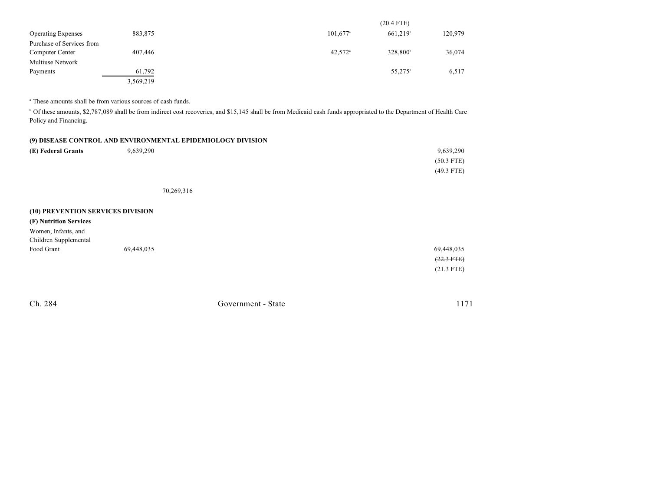|                           |           |                        | $(20.4$ FTE)         |         |
|---------------------------|-----------|------------------------|----------------------|---------|
| <b>Operating Expenses</b> | 883,875   | $101,677$ <sup>a</sup> | 661.219 <sup>b</sup> | 120,979 |
| Purchase of Services from |           |                        |                      |         |
| Computer Center           | 407,446   | $42,572$ <sup>a</sup>  | 328,800 <sup>b</sup> | 36,074  |
| Multiuse Network          |           |                        |                      |         |
| Payments                  | 61.792    |                        | 55,275 <sup>b</sup>  | 6,517   |
|                           | 3,569,219 |                        |                      |         |

<sup>a</sup> These amounts shall be from various sources of cash funds.

<sup>b</sup> Of these amounts, \$2,787,089 shall be from indirect cost recoveries, and \$15,145 shall be from Medicaid cash funds appropriated to the Department of Health Care Policy and Financing.

|                                   |            | (9) DISEASE CONTROL AND ENVIRONMENTAL EPIDEMIOLOGY DIVISION |
|-----------------------------------|------------|-------------------------------------------------------------|
| (E) Federal Grants                | 9,639,290  | 9,639,290                                                   |
|                                   |            | $(50.3$ FTE)                                                |
|                                   |            | $(49.3$ FTE)                                                |
|                                   |            | 70,269,316                                                  |
| (10) PREVENTION SERVICES DIVISION |            |                                                             |
| (F) Nutrition Services            |            |                                                             |
| Women, Infants, and               |            |                                                             |
| Children Supplemental             |            |                                                             |
| Food Grant                        | 69,448,035 | 69,448,035                                                  |
|                                   |            | $(22.3$ FTE)                                                |
|                                   |            | $(21.3$ FTE)                                                |
|                                   |            |                                                             |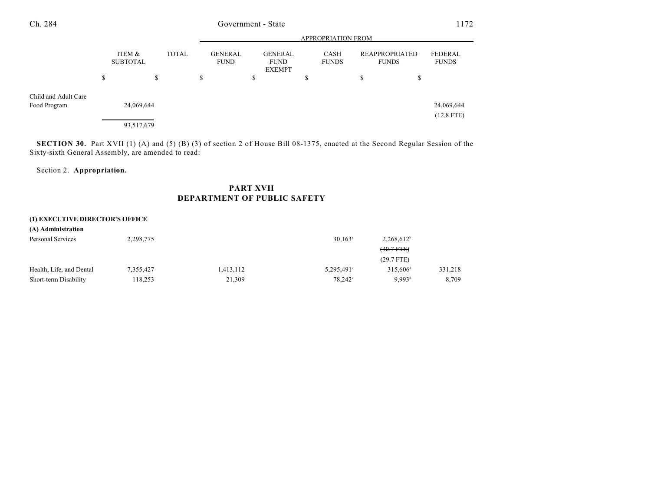|                      |                 |            | APPROPRIATION FROM |                               |    |                                         |   |                      |    |                                |                         |
|----------------------|-----------------|------------|--------------------|-------------------------------|----|-----------------------------------------|---|----------------------|----|--------------------------------|-------------------------|
|                      | <b>SUBTOTAL</b> | ITEM &     | <b>TOTAL</b>       | <b>GENERAL</b><br><b>FUND</b> |    | GENERAL<br><b>FUND</b><br><b>EXEMPT</b> |   | CASH<br><b>FUNDS</b> |    | REAPPROPRIATED<br><b>FUNDS</b> | FEDERAL<br><b>FUNDS</b> |
|                      | \$              | \$         |                    | \$                            | \$ |                                         | D |                      | \$ | \$                             |                         |
| Child and Adult Care |                 |            |                    |                               |    |                                         |   |                      |    |                                |                         |
| Food Program         |                 | 24,069,644 |                    |                               |    |                                         |   |                      |    |                                | 24,069,644              |
|                      |                 |            |                    |                               |    |                                         |   |                      |    |                                | $(12.8$ FTE)            |
|                      |                 | 93,517,679 |                    |                               |    |                                         |   |                      |    |                                |                         |

**SECTION 30.** Part XVII (1) (A) and (5) (B) (3) of section 2 of House Bill 08-1375, enacted at the Second Regular Session of the Sixty-sixth General Assembly, are amended to read:

### Section 2. **Appropriation.**

## **PART XVII DEPARTMENT OF PUBLIC SAFETY**

### **(1) EXECUTIVE DIRECTOR'S OFFICE**

| (A) Administration       |           |           |                       |                      |         |
|--------------------------|-----------|-----------|-----------------------|----------------------|---------|
| Personal Services        | 2,298,775 |           | $30,163$ <sup>a</sup> | $2,268,612^b$        |         |
|                          |           |           |                       | $(30.7$ FTE)         |         |
|                          |           |           |                       | $(29.7$ FTE)         |         |
| Health, Life, and Dental | 7,355,427 | 1,413,112 | 5,295,491°            | $315.606^{\rm d}$    | 331,218 |
| Short-term Disability    | 118,253   | 21,309    | 78,242 <sup>°</sup>   | $9.993$ <sup>d</sup> | 8.709   |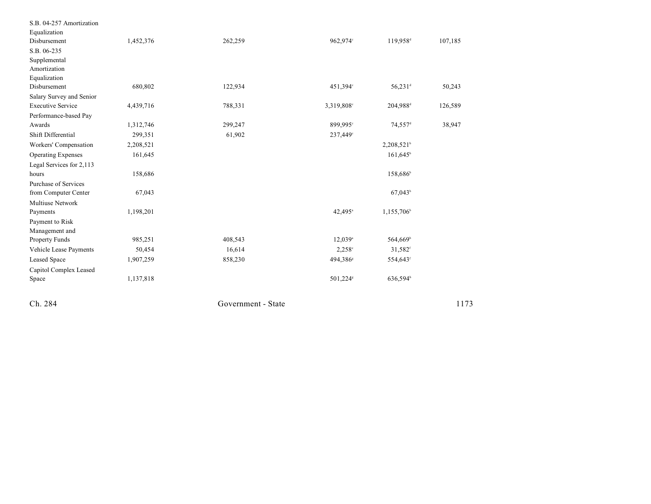| Ch. 284                         |           | Government - State |                       |                       | 1173    |  |
|---------------------------------|-----------|--------------------|-----------------------|-----------------------|---------|--|
|                                 |           |                    |                       |                       |         |  |
| Capitol Complex Leased<br>Space | 1,137,818 |                    | 501,224 <sup>s</sup>  | 636,594h              |         |  |
| <b>Leased Space</b>             | 1,907,259 | 858,230            | 494,386 <sup>s</sup>  | 554,643 <sup>f</sup>  |         |  |
| Vehicle Lease Payments          | 50,454    | 16,614             | $2,258^{\circ}$       | 31,582 <sup>f</sup>   |         |  |
| Property Funds                  | 985,251   | 408,543            | $12,039$ <sup>a</sup> | 564,669 <sup>b</sup>  |         |  |
| Management and                  |           |                    |                       |                       |         |  |
| Payment to Risk                 |           |                    |                       |                       |         |  |
| Payments                        | 1,198,201 |                    | 42,495 <sup>a</sup>   | 1,155,706             |         |  |
| Multiuse Network                |           |                    |                       |                       |         |  |
| from Computer Center            | 67,043    |                    |                       | 67,043                |         |  |
| Purchase of Services            |           |                    |                       |                       |         |  |
| hours                           | 158,686   |                    |                       | 158,686 <sup>b</sup>  |         |  |
| Legal Services for 2,113        |           |                    |                       |                       |         |  |
| <b>Operating Expenses</b>       | 161,645   |                    |                       | $161,645^{\circ}$     |         |  |
| Workers' Compensation           | 2,208,521 |                    |                       | $2,208,521^b$         |         |  |
| Shift Differential              | 299,351   | 61,902             | 237,449°              |                       |         |  |
| Awards                          | 1,312,746 | 299,247            | 899,995°              | $74,557$ <sup>d</sup> | 38,947  |  |
| Performance-based Pay           |           |                    |                       |                       |         |  |
| <b>Executive Service</b>        | 4,439,716 | 788,331            | 3,319,808°            | 204,988 <sup>d</sup>  | 126,589 |  |
| Salary Survey and Senior        |           |                    |                       |                       |         |  |
| Disbursement                    | 680,802   | 122,934            | 451,394°              | 56,231 <sup>d</sup>   | 50,243  |  |
| Amortization<br>Equalization    |           |                    |                       |                       |         |  |
| Supplemental                    |           |                    |                       |                       |         |  |
| S.B. 06-235                     |           |                    |                       |                       |         |  |
| Disbursement                    | 1,452,376 | 262,259            | 962,974°              | 119,958 <sup>d</sup>  | 107,185 |  |
| Equalization                    |           |                    |                       |                       |         |  |
| S.B. 04-257 Amortization        |           |                    |                       |                       |         |  |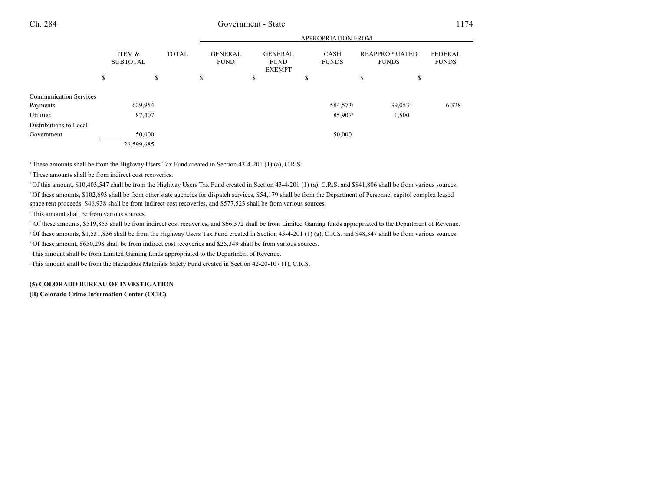APPROPRIATION FROM

|                               | APPROPRIATION FROM        |    |              |    |                               |                                                |   |                             |   |                                       |                         |
|-------------------------------|---------------------------|----|--------------|----|-------------------------------|------------------------------------------------|---|-----------------------------|---|---------------------------------------|-------------------------|
|                               | ITEM &<br><b>SUBTOTAL</b> |    | <b>TOTAL</b> |    | <b>GENERAL</b><br><b>FUND</b> | <b>GENERAL</b><br><b>FUND</b><br><b>EXEMPT</b> |   | <b>CASH</b><br><b>FUNDS</b> |   | <b>REAPPROPRIATED</b><br><b>FUNDS</b> | FEDERAL<br><b>FUNDS</b> |
|                               | \$                        | \$ |              | \$ |                               | \$                                             | Φ |                             | ъ | \$                                    |                         |
| <b>Communication Services</b> |                           |    |              |    |                               |                                                |   |                             |   |                                       |                         |
| Payments                      | 629,954                   |    |              |    |                               |                                                |   | 584,573 <sup>s</sup>        |   | $39,053^h$                            | 6,328                   |
| Utilities                     | 87,407                    |    |              |    |                               |                                                |   | 85,907 <sup>a</sup>         |   | 1,500 <sup>i</sup>                    |                         |
| Distributions to Local        |                           |    |              |    |                               |                                                |   |                             |   |                                       |                         |
| Government                    | 50,000                    |    |              |    |                               |                                                |   | $50,000$ <sup>j</sup>       |   |                                       |                         |
|                               | 26,599,685                |    |              |    |                               |                                                |   |                             |   |                                       |                         |

<sup>a</sup> These amounts shall be from the Highway Users Tax Fund created in Section 43-4-201 (1) (a), C.R.S.

 $\,^{\circ}$  These amounts shall be from indirect cost recoveries.

Of this amount, \$10,403,547 shall be from the Highway Users Tax Fund created in Section 43-4-201 (1) (a), C.R.S. and \$841,806 shall be from various sources. <sup>c</sup> <sup>d</sup> Of these amounts, \$102,693 shall be from other state agencies for dispatch services, \$54,179 shall be from the Department of Personnel capitol complex leased space rent proceeds, \$46,938 shall be from indirect cost recoveries, and \$577,523 shall be from various sources.

<sup>e</sup> This amount shall be from various sources.

Of these amounts, \$519,853 shall be from indirect cost recoveries, and \$66,372 shall be from Limited Gaming funds appropriated to the Department of Revenue. <sup>f</sup>

Of these amounts, \$1,531,836 shall be from the Highway Users Tax Fund created in Section 43-4-201 (1) (a), C.R.S. and \$48,347 shall be from various sources. <sup>g</sup>

<sup>h</sup> Of these amount, \$650,298 shall be from indirect cost recoveries and \$25,349 shall be from various sources.

<sup>i</sup> This amount shall be from Limited Gaming funds appropriated to the Department of Revenue.

This amount shall be from the Hazardous Materials Safety Fund created in Section 42-20-107 (1), C.R.S.

**(5) COLORADO BUREAU OF INVESTIGATION (B) Colorado Crime Information Center (CCIC)**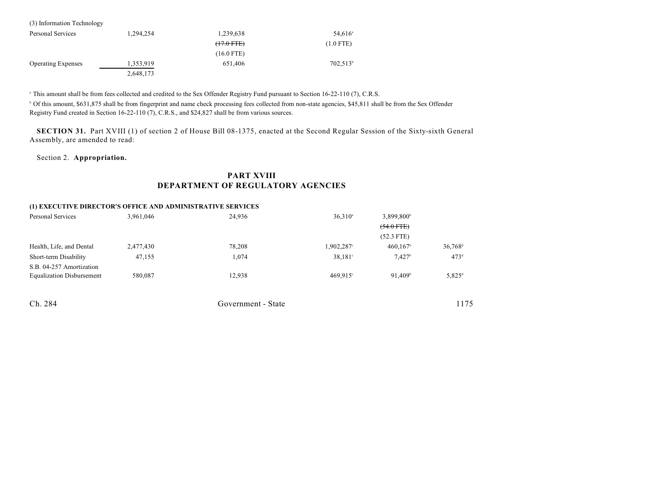| (3) Information Technology |           |                 |                       |
|----------------------------|-----------|-----------------|-----------------------|
| Personal Services          | 1,294,254 | 1,239,638       | $54,616$ <sup>a</sup> |
|                            |           | $(+7.0$ FTE $)$ | $(1.0$ FTE)           |
|                            |           | $(16.0$ FTE)    |                       |
| <b>Operating Expenses</b>  | 1,353,919 | 651.406         | $702,513^b$           |
|                            | 2,648,173 |                 |                       |

<sup>a</sup> This amount shall be from fees collected and credited to the Sex Offender Registry Fund pursuant to Section 16-22-110 (7), C.R.S.

<sup>b</sup> Of this amount, \$631,875 shall be from fingerprint and name check processing fees collected from non-state agencies, \$45,811 shall be from the Sex Offender Registry Fund created in Section 16-22-110 (7), C.R.S., and \$24,827 shall be from various sources.

**SECTION 31.** Part XVIII (1) of section 2 of House Bill 08-1375, enacted at the Second Regular Session of the Sixty-sixth General Assembly, are amended to read:

### Section 2. **Appropriation.**

# **PART XVIII DEPARTMENT OF REGULATORY AGENCIES**

| (1) EXECUTIVE DIRECTOR'S OFFICE AND ADMINISTRATIVE SERVICES |           |                    |                   |                        |                       |
|-------------------------------------------------------------|-----------|--------------------|-------------------|------------------------|-----------------------|
| Personal Services                                           | 3,961,046 | 24,936             | $36,310^a$        | 3,899,800 <sup>b</sup> |                       |
|                                                             |           |                    |                   | $(54.0$ FTE $)$        |                       |
|                                                             |           |                    |                   | $(52.3$ FTE)           |                       |
| Health, Life, and Dental                                    | 2,477,430 | 78,208             | 1,902,287°        | 460,167                | $36,768$ <sup>d</sup> |
| Short-term Disability                                       | 47,155    | 1,074              | $38,181^{\circ}$  | $7,427$ <sup>b</sup>   | 473 <sup>d</sup>      |
| S.B. 04-257 Amortization                                    |           |                    |                   |                        |                       |
| <b>Equalization Disbursement</b>                            | 580,087   | 12.938             | $469.915^{\circ}$ | 91.409 <sup>b</sup>    | $5,825^{\rm d}$       |
|                                                             |           |                    |                   |                        |                       |
| Ch. 284                                                     |           | Government - State |                   |                        | 1175                  |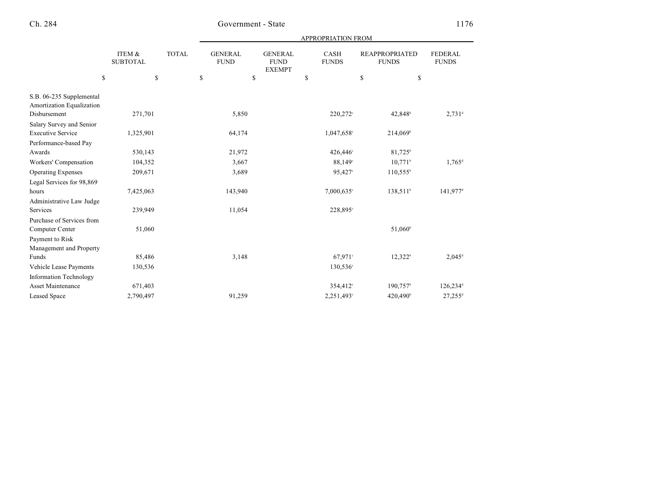| <b>APPROPRIATION FROM</b> |  |
|---------------------------|--|
|                           |  |

|                                                       | ITEM &<br><b>SUBTOTAL</b> | <b>TOTAL</b> | <b>GENERAL</b><br><b>FUND</b> | <b>GENERAL</b><br><b>FUND</b><br><b>EXEMPT</b> | <b>CASH</b><br><b>FUNDS</b> | <b>REAPPROPRIATED</b><br><b>FUNDS</b> | <b>FEDERAL</b><br><b>FUNDS</b> |
|-------------------------------------------------------|---------------------------|--------------|-------------------------------|------------------------------------------------|-----------------------------|---------------------------------------|--------------------------------|
| \$                                                    | \$                        | \$           |                               | \$                                             | \$                          | \$                                    | \$                             |
| S.B. 06-235 Supplemental<br>Amortization Equalization |                           |              |                               |                                                |                             |                                       |                                |
| Disbursement                                          | 271,701                   |              | 5,850                         |                                                | 220,272 <sup>c</sup>        | 42,848 <sup>b</sup>                   | $2,731$ <sup>d</sup>           |
| Salary Survey and Senior                              |                           |              |                               |                                                |                             |                                       |                                |
| <b>Executive Service</b>                              | 1,325,901                 |              | 64,174                        |                                                | 1,047,658°                  | 214,069 <sup>b</sup>                  |                                |
| Performance-based Pay                                 |                           |              |                               |                                                |                             |                                       |                                |
| Awards                                                | 530,143                   |              | 21,972                        |                                                | 426,446°                    | 81,725 <sup>b</sup>                   |                                |
| Workers' Compensation                                 | 104,352                   |              | 3,667                         |                                                | 88,149°                     | $10,771^{\circ}$                      | $1,765^{\rm d}$                |
| <b>Operating Expenses</b>                             | 209,671                   |              | 3,689                         |                                                | 95,427 <sup>c</sup>         | $110,555^{\circ}$                     |                                |
| Legal Services for 98,869                             |                           |              |                               |                                                |                             |                                       |                                |
| hours                                                 | 7,425,063                 |              | 143,940                       |                                                | 7,000,635°                  | 138,511 <sup>b</sup>                  | 141,977 <sup>d</sup>           |
| Administrative Law Judge                              |                           |              |                               |                                                |                             |                                       |                                |
| Services                                              | 239,949                   |              | 11,054                        |                                                | 228,895°                    |                                       |                                |
| Purchase of Services from                             |                           |              |                               |                                                |                             |                                       |                                |
| Computer Center                                       | 51,060                    |              |                               |                                                |                             | 51,060 <sup>b</sup>                   |                                |
| Payment to Risk                                       |                           |              |                               |                                                |                             |                                       |                                |
| Management and Property                               |                           |              |                               |                                                |                             |                                       |                                |
| Funds                                                 | 85,486                    |              | 3,148                         |                                                | 67,971°                     | $12,322^b$                            | $2,045$ <sup>d</sup>           |
| Vehicle Lease Payments                                | 130,536                   |              |                               |                                                | 130,536°                    |                                       |                                |
| <b>Information Technology</b>                         |                           |              |                               |                                                |                             |                                       |                                |
| <b>Asset Maintenance</b>                              | 671,403                   |              |                               |                                                | 354,412 <sup>c</sup>        | 190,757 <sup>b</sup>                  | 126,234 <sup>d</sup>           |
| <b>Leased Space</b>                                   | 2,790,497                 |              | 91,259                        |                                                | 2,251,493°                  | 420,490 <sup>b</sup>                  | $27.255$ <sup>d</sup>          |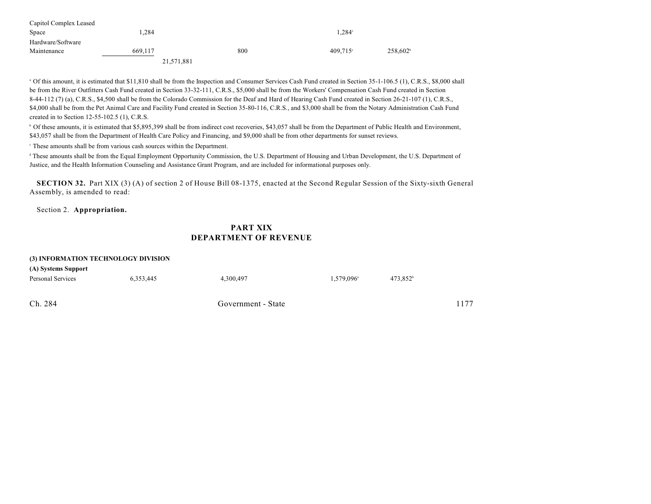| Capitol Complex Leased |            |     |               |             |
|------------------------|------------|-----|---------------|-------------|
| Space                  | . 284      |     | $1.284^\circ$ |             |
| Hardware/Software      |            |     |               |             |
| Maintenance            | 669.117    | 800 | $409.715$ °   | $258.602^b$ |
|                        | 21,571,881 |     |               |             |

<sup>a</sup> Of this amount, it is estimated that \$11,810 shall be from the Inspection and Consumer Services Cash Fund created in Section 35-1-106.5 (1), C.R.S., \$8,000 shall be from the River Outfitters Cash Fund created in Section 33-32-111, C.R.S., \$5,000 shall be from the Workers' Compensation Cash Fund created in Section 8-44-112 (7) (a), C.R.S., \$4,500 shall be from the Colorado Commission for the Deaf and Hard of Hearing Cash Fund created in Section 26-21-107 (1), C.R.S., \$4,000 shall be from the Pet Animal Care and Facility Fund created in Section 35-80-116, C.R.S., and \$3,000 shall be from the Notary Administration Cash Fund created in to Section 12-55-102.5 (1), C.R.S.

<sup>b</sup> Of these amounts, it is estimated that \$5,895,399 shall be from indirect cost recoveries, \$43,057 shall be from the Department of Public Health and Environment, \$43,057 shall be from the Department of Health Care Policy and Financing, and \$9,000 shall be from other departments for sunset reviews.

 $\cdot$  These amounts shall be from various cash sources within the Department.

<sup>d</sup> These amounts shall be from the Equal Employment Opportunity Commission, the U.S. Department of Housing and Urban Development, the U.S. Department of Justice, and the Health Information Counseling and Assistance Grant Program, and are included for informational purposes only.

**SECTION 32.** Part XIX (3) (A) of section 2 of House Bill 08-1375, enacted at the Second Regular Session of the Sixty-sixth General Assembly, is amended to read:

Section 2. **Appropriation.**

## **PART XIX DEPARTMENT OF REVENUE**

| (3) INFORMATION TECHNOLOGY DIVISION |           |                    |                     |         |      |  |  |  |
|-------------------------------------|-----------|--------------------|---------------------|---------|------|--|--|--|
| (A) Systems Support                 |           |                    |                     |         |      |  |  |  |
| Personal Services                   | 6.353.445 | 4.300.497          | $1.579.096^{\circ}$ | 473.852 |      |  |  |  |
| Ch. 284                             |           | Government - State |                     |         | 1177 |  |  |  |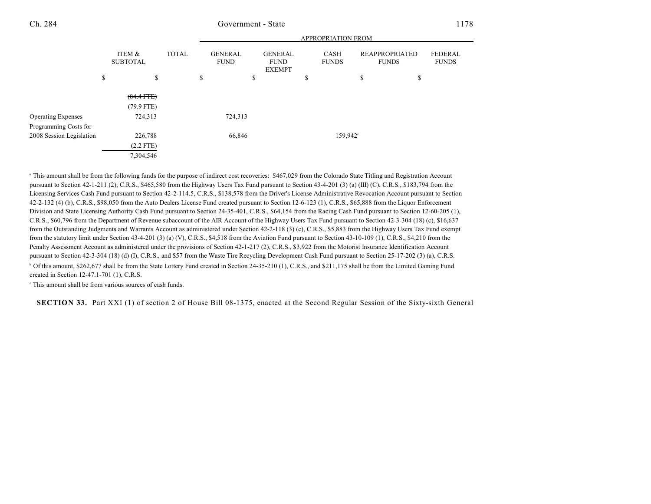|                           |                           | APPROPRIATION FROM |    |                               |    |                                                |    |                             |                                       |                                |
|---------------------------|---------------------------|--------------------|----|-------------------------------|----|------------------------------------------------|----|-----------------------------|---------------------------------------|--------------------------------|
|                           | ITEM &<br><b>SUBTOTAL</b> | <b>TOTAL</b>       |    | <b>GENERAL</b><br><b>FUND</b> |    | <b>GENERAL</b><br><b>FUND</b><br><b>EXEMPT</b> |    | <b>CASH</b><br><b>FUNDS</b> | <b>REAPPROPRIATED</b><br><b>FUNDS</b> | <b>FEDERAL</b><br><b>FUNDS</b> |
|                           | \$<br>\$                  |                    | \$ |                               | \$ |                                                | \$ |                             | \$<br>\$                              |                                |
|                           | $(84.4$ FTE)              |                    |    |                               |    |                                                |    |                             |                                       |                                |
|                           | $(79.9$ FTE)              |                    |    |                               |    |                                                |    |                             |                                       |                                |
| <b>Operating Expenses</b> | 724,313                   |                    |    | 724,313                       |    |                                                |    |                             |                                       |                                |
| Programming Costs for     |                           |                    |    |                               |    |                                                |    |                             |                                       |                                |
| 2008 Session Legislation  | 226,788                   |                    |    | 66,846                        |    |                                                |    | 159,942 <sup>c</sup>        |                                       |                                |
|                           | $(2.2$ FTE)               |                    |    |                               |    |                                                |    |                             |                                       |                                |
|                           | 7,304,546                 |                    |    |                               |    |                                                |    |                             |                                       |                                |

<sup>a</sup> This amount shall be from the following funds for the purpose of indirect cost recoveries: \$467,029 from the Colorado State Titling and Registration Account pursuant to Section 42-1-211 (2), C.R.S., \$465,580 from the Highway Users Tax Fund pursuant to Section 43-4-201 (3) (a) (III) (C), C.R.S., \$183,794 from the Licensing Services Cash Fund pursuant to Section 42-2-114.5, C.R.S., \$138,578 from the Driver's License Administrative Revocation Account pursuant to Section 42-2-132 (4) (b), C.R.S., \$98,050 from the Auto Dealers License Fund created pursuant to Section 12-6-123 (1), C.R.S., \$65,888 from the Liquor Enforcement Division and State Licensing Authority Cash Fund pursuant to Section 24-35-401, C.R.S., \$64,154 from the Racing Cash Fund pursuant to Section 12-60-205 (1), C.R.S., \$60,796 from the Department of Revenue subaccount of the AIR Account of the Highway Users Tax Fund pursuant to Section 42-3-304 (18) (c), \$16,637 from the Outstanding Judgments and Warrants Account as administered under Section 42-2-118 (3) (c), C.R.S., \$5,883 from the Highway Users Tax Fund exempt from the statutory limit under Section 43-4-201 (3) (a) (V), C.R.S., \$4,518 from the Aviation Fund pursuant to Section 43-10-109 (1), C.R.S., \$4,210 from the Penalty Assessment Account as administered under the provisions of Section 42-1-217 (2), C.R.S., \$3,922 from the Motorist Insurance Identification Account pursuant to Section 42-3-304 (18) (d) (I), C.R.S., and \$57 from the Waste Tire Recycling Development Cash Fund pursuant to Section 25-17-202 (3) (a), C.R.S. <sup>b</sup> Of this amount, \$262,677 shall be from the State Lottery Fund created in Section 24-35-210 (1), C.R.S., and \$211,175 shall be from the Limited Gaming Fund created in Section 12-47.1-701 (1), C.R.S.

 $\cdot$  This amount shall be from various sources of cash funds.

**SECTION 33.** Part XXI (1) of section 2 of House Bill 08-1375, enacted at the Second Regular Session of the Sixty-sixth General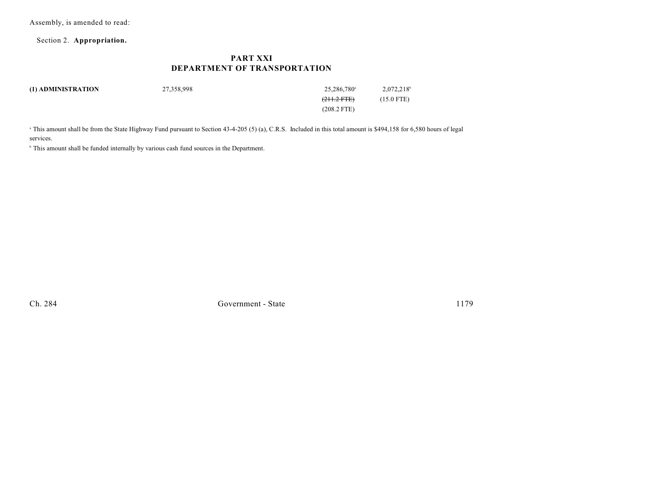Assembly, is amended to read:

Section 2. **Appropriation.**

## **PART XXI DEPARTMENT OF TRANSPORTATION**

| (1) ADMINISTRATION | 27,358,998 | 25.286.780 <sup>a</sup> | $2,072,218$ <sup>b</sup> |
|--------------------|------------|-------------------------|--------------------------|
|                    |            | <del>(211.2 FTE)</del>  | $(15.0$ FTE)             |
|                    |            | $(208.2$ FTE)           |                          |
|                    |            |                         |                          |

<sup>a</sup> This amount shall be from the State Highway Fund pursuant to Section 43-4-205 (5) (a), C.R.S. Included in this total amount is \$494,158 for 6,580 hours of legal services.

<sup>b</sup> This amount shall be funded internally by various cash fund sources in the Department.